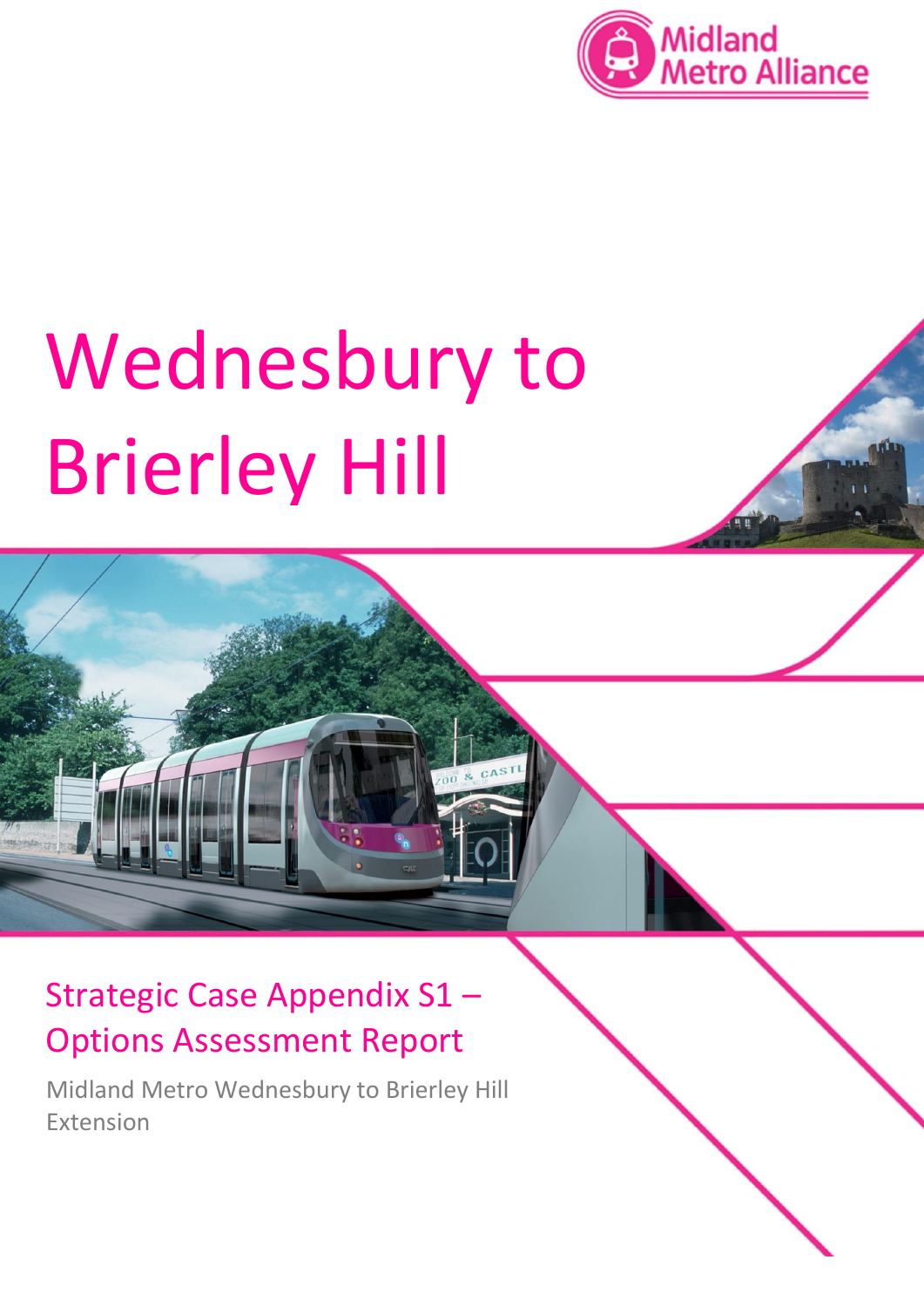

# Wednesbury to Brierley Hill

## Strategic Case Appendix S1 – Options Assessment Report

Midland Metro Wednesbury to Brierley Hill Extension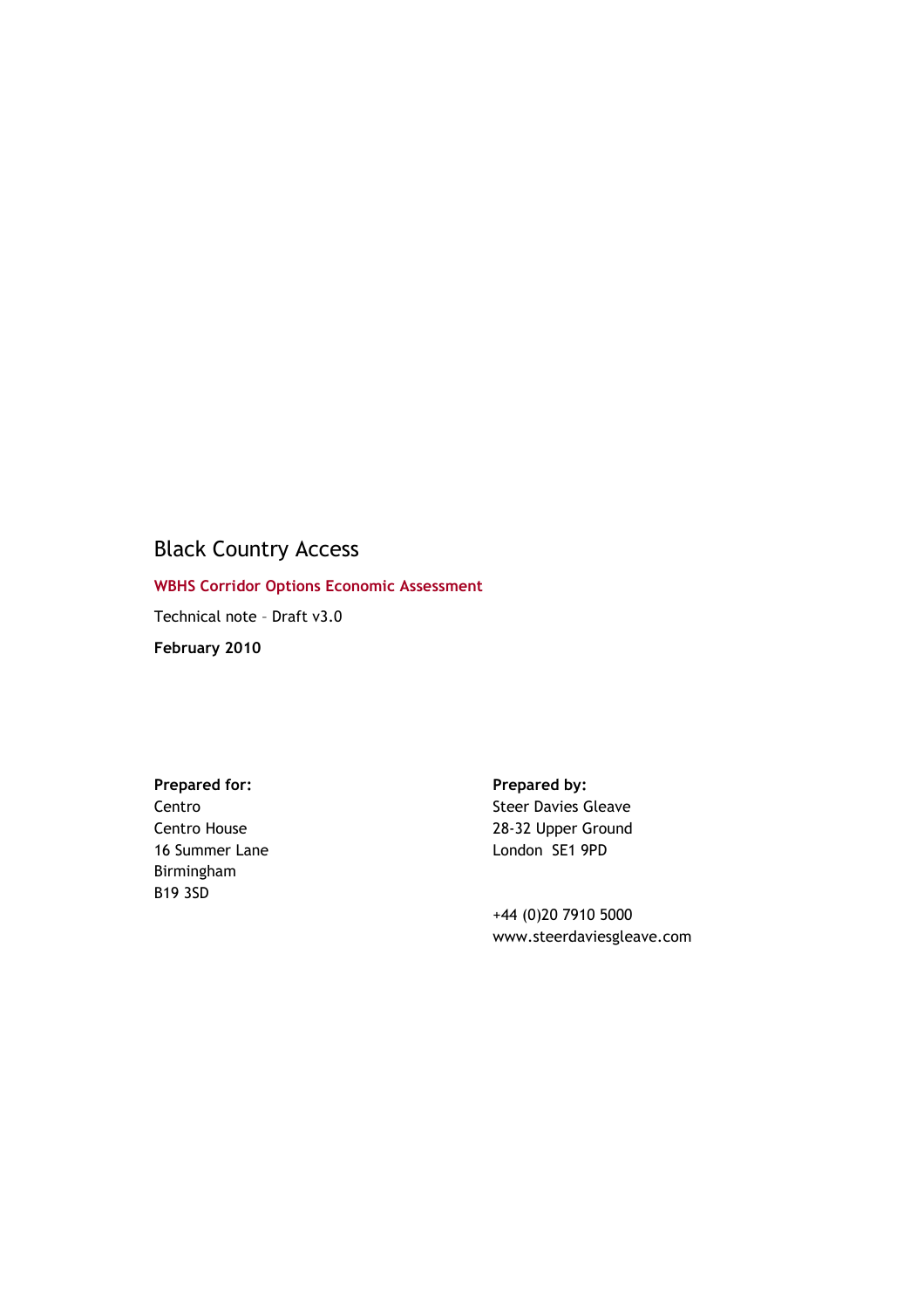## Black Country Access

**WBHS Corridor Options Economic Assessment** 

Technical note – Draft v3.0

**February 2010** 

Prepared for: **Prepared by: Prepared by:** Centro Centro House 16 Summer Lane Birmingham B19 3SD

Steer Davies Gleave 28-32 Upper Ground London SE1 9PD

+44 (0)20 7910 5000 www.steerdaviesgleave.com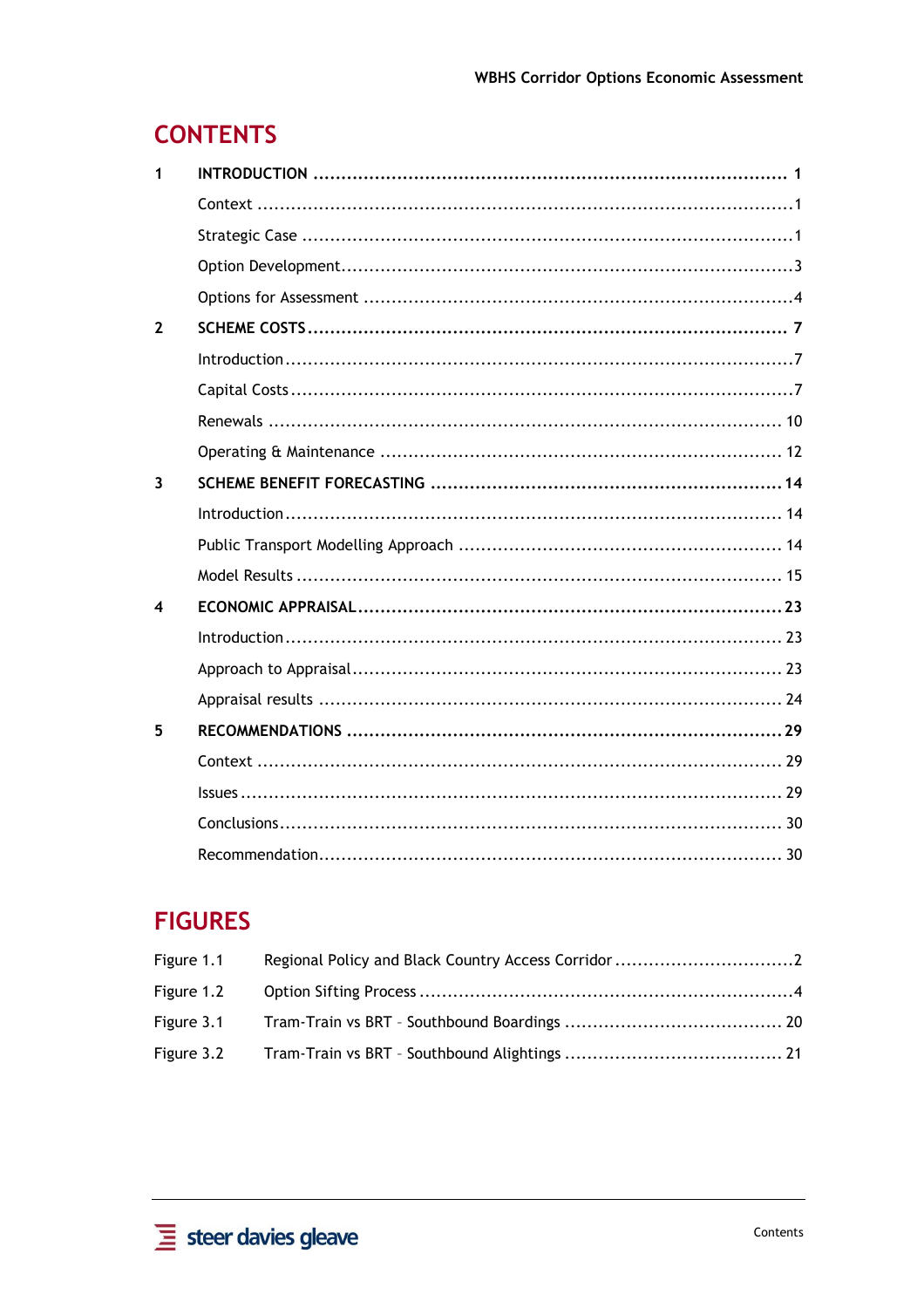## **CONTENTS**

| 1                       |                         |  |
|-------------------------|-------------------------|--|
|                         |                         |  |
|                         |                         |  |
|                         |                         |  |
|                         |                         |  |
| $\overline{2}$          |                         |  |
|                         | $Introduction \dots 17$ |  |
|                         |                         |  |
|                         |                         |  |
|                         |                         |  |
| $\overline{\mathbf{3}}$ |                         |  |
|                         |                         |  |
|                         |                         |  |
|                         |                         |  |
| 4                       |                         |  |
|                         | Introduction 123        |  |
|                         |                         |  |
|                         |                         |  |
| 5                       |                         |  |
|                         |                         |  |
|                         |                         |  |
|                         |                         |  |
|                         |                         |  |

## **FIGURES**

| Figure 1.1 |  |
|------------|--|
|            |  |
|            |  |
|            |  |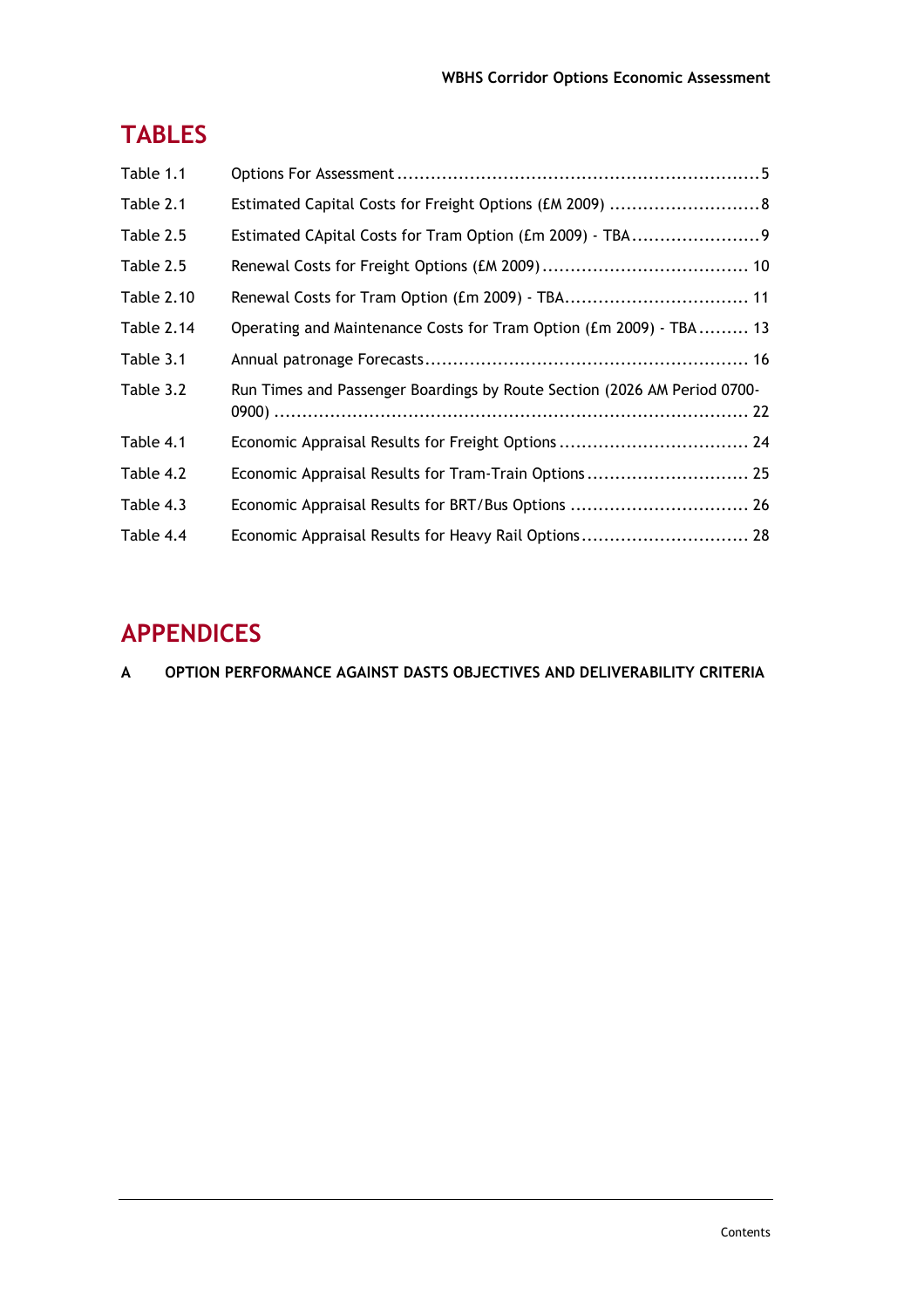## **TABLES**

| Table 1.1         |                                                                          |
|-------------------|--------------------------------------------------------------------------|
| Table 2.1         | Estimated Capital Costs for Freight Options (£M 2009) 8                  |
| Table 2.5         | Estimated CApital Costs for Tram Option (£m 2009) - TBA9                 |
| Table 2.5         |                                                                          |
| <b>Table 2.10</b> |                                                                          |
| Table 2.14        | Operating and Maintenance Costs for Tram Option (£m 2009) - TBA 13       |
| Table 3.1         |                                                                          |
| Table 3.2         | Run Times and Passenger Boardings by Route Section (2026 AM Period 0700- |
| Table 4.1         | Economic Appraisal Results for Freight Options  24                       |
| Table 4.2         | Economic Appraisal Results for Tram-Train Options 25                     |
| Table 4.3         | Economic Appraisal Results for BRT/Bus Options  26                       |
| Table 4.4         | Economic Appraisal Results for Heavy Rail Options 28                     |

## **APPENDICES**

**A OPTION PERFORMANCE AGAINST DASTS OBJECTIVES AND DELIVERABILITY CRITERIA**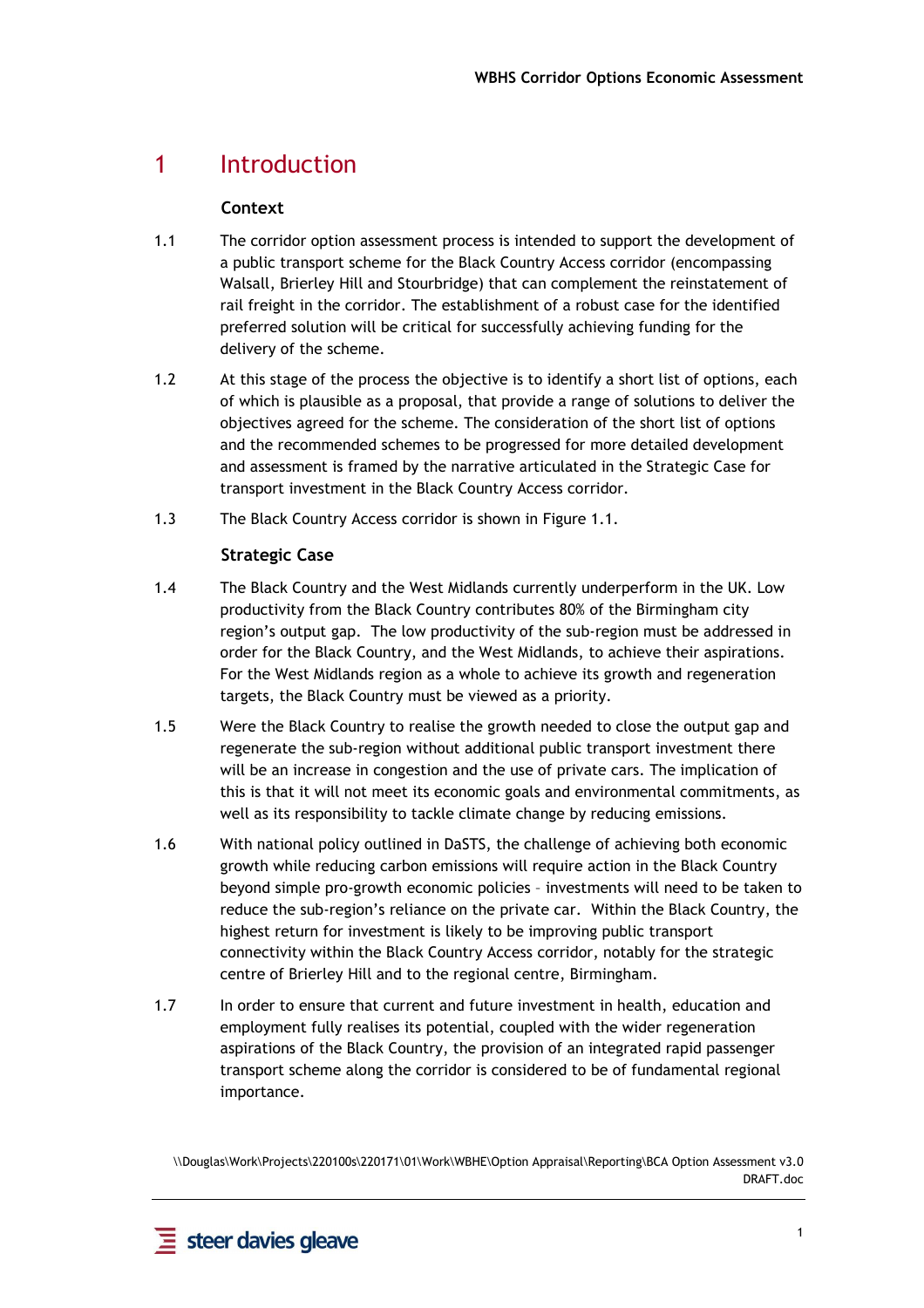## 1 Introduction

#### **Context**

- 1.1 The corridor option assessment process is intended to support the development of a public transport scheme for the Black Country Access corridor (encompassing Walsall, Brierley Hill and Stourbridge) that can complement the reinstatement of rail freight in the corridor. The establishment of a robust case for the identified preferred solution will be critical for successfully achieving funding for the delivery of the scheme.
- 1.2 At this stage of the process the objective is to identify a short list of options, each of which is plausible as a proposal, that provide a range of solutions to deliver the objectives agreed for the scheme. The consideration of the short list of options and the recommended schemes to be progressed for more detailed development and assessment is framed by the narrative articulated in the Strategic Case for transport investment in the Black Country Access corridor.
- 1.3 The Black Country Access corridor is shown in Figure 1.1.

#### **Strategic Case**

- 1.4 The Black Country and the West Midlands currently underperform in the UK. Low productivity from the Black Country contributes 80% of the Birmingham city region's output gap. The low productivity of the sub-region must be addressed in order for the Black Country, and the West Midlands, to achieve their aspirations. For the West Midlands region as a whole to achieve its growth and regeneration targets, the Black Country must be viewed as a priority.
- 1.5 Were the Black Country to realise the growth needed to close the output gap and regenerate the sub-region without additional public transport investment there will be an increase in congestion and the use of private cars. The implication of this is that it will not meet its economic goals and environmental commitments, as well as its responsibility to tackle climate change by reducing emissions.
- 1.6 With national policy outlined in DaSTS, the challenge of achieving both economic growth while reducing carbon emissions will require action in the Black Country beyond simple pro-growth economic policies – investments will need to be taken to reduce the sub-region's reliance on the private car. Within the Black Country, the highest return for investment is likely to be improving public transport connectivity within the Black Country Access corridor, notably for the strategic centre of Brierley Hill and to the regional centre, Birmingham.
- 1.7 In order to ensure that current and future investment in health, education and employment fully realises its potential, coupled with the wider regeneration aspirations of the Black Country, the provision of an integrated rapid passenger transport scheme along the corridor is considered to be of fundamental regional importance.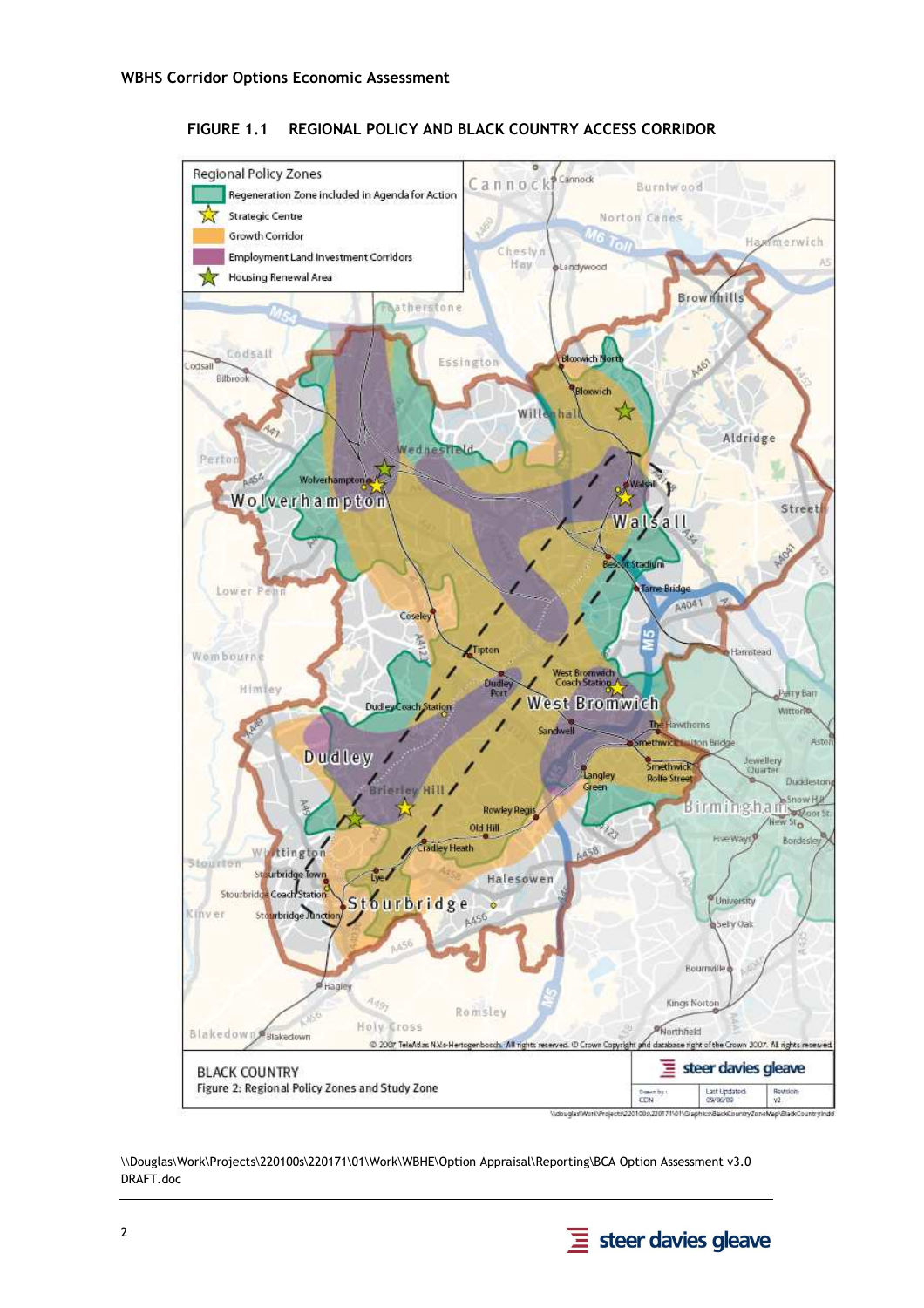

#### **FIGURE 1.1 REGIONAL POLICY AND BLACK COUNTRY ACCESS CORRIDOR**

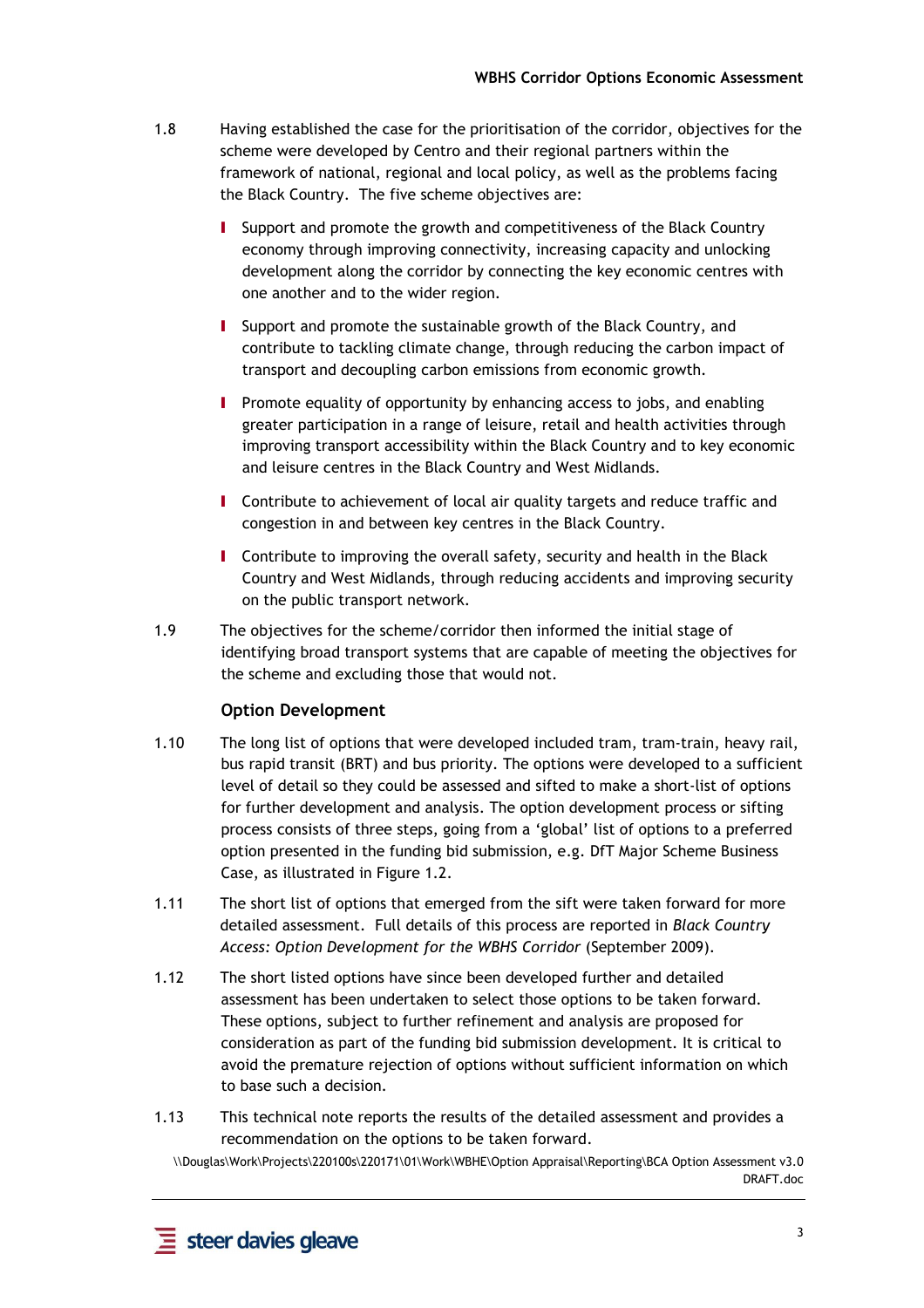- 1.8 Having established the case for the prioritisation of the corridor, objectives for the scheme were developed by Centro and their regional partners within the framework of national, regional and local policy, as well as the problems facing the Black Country. The five scheme objectives are:
	- I Support and promote the growth and competitiveness of the Black Country economy through improving connectivity, increasing capacity and unlocking development along the corridor by connecting the key economic centres with one another and to the wider region.
	- I Support and promote the sustainable growth of the Black Country, and contribute to tackling climate change, through reducing the carbon impact of transport and decoupling carbon emissions from economic growth.
	- I Promote equality of opportunity by enhancing access to jobs, and enabling greater participation in a range of leisure, retail and health activities through improving transport accessibility within the Black Country and to key economic and leisure centres in the Black Country and West Midlands.
	- **I** Contribute to achievement of local air quality targets and reduce traffic and congestion in and between key centres in the Black Country.
	- I Contribute to improving the overall safety, security and health in the Black Country and West Midlands, through reducing accidents and improving security on the public transport network.
- 1.9 The objectives for the scheme/corridor then informed the initial stage of identifying broad transport systems that are capable of meeting the objectives for the scheme and excluding those that would not.

#### **Option Development**

- 1.10 The long list of options that were developed included tram, tram-train, heavy rail, bus rapid transit (BRT) and bus priority. The options were developed to a sufficient level of detail so they could be assessed and sifted to make a short-list of options for further development and analysis. The option development process or sifting process consists of three steps, going from a 'global' list of options to a preferred option presented in the funding bid submission, e.g. DfT Major Scheme Business Case, as illustrated in Figure 1.2.
- 1.11 The short list of options that emerged from the sift were taken forward for more detailed assessment. Full details of this process are reported in *Black Country Access: Option Development for the WBHS Corridor* (September 2009).
- 1.12 The short listed options have since been developed further and detailed assessment has been undertaken to select those options to be taken forward. These options, subject to further refinement and analysis are proposed for consideration as part of the funding bid submission development. It is critical to avoid the premature rejection of options without sufficient information on which to base such a decision.
- 1.13 This technical note reports the results of the detailed assessment and provides a recommendation on the options to be taken forward.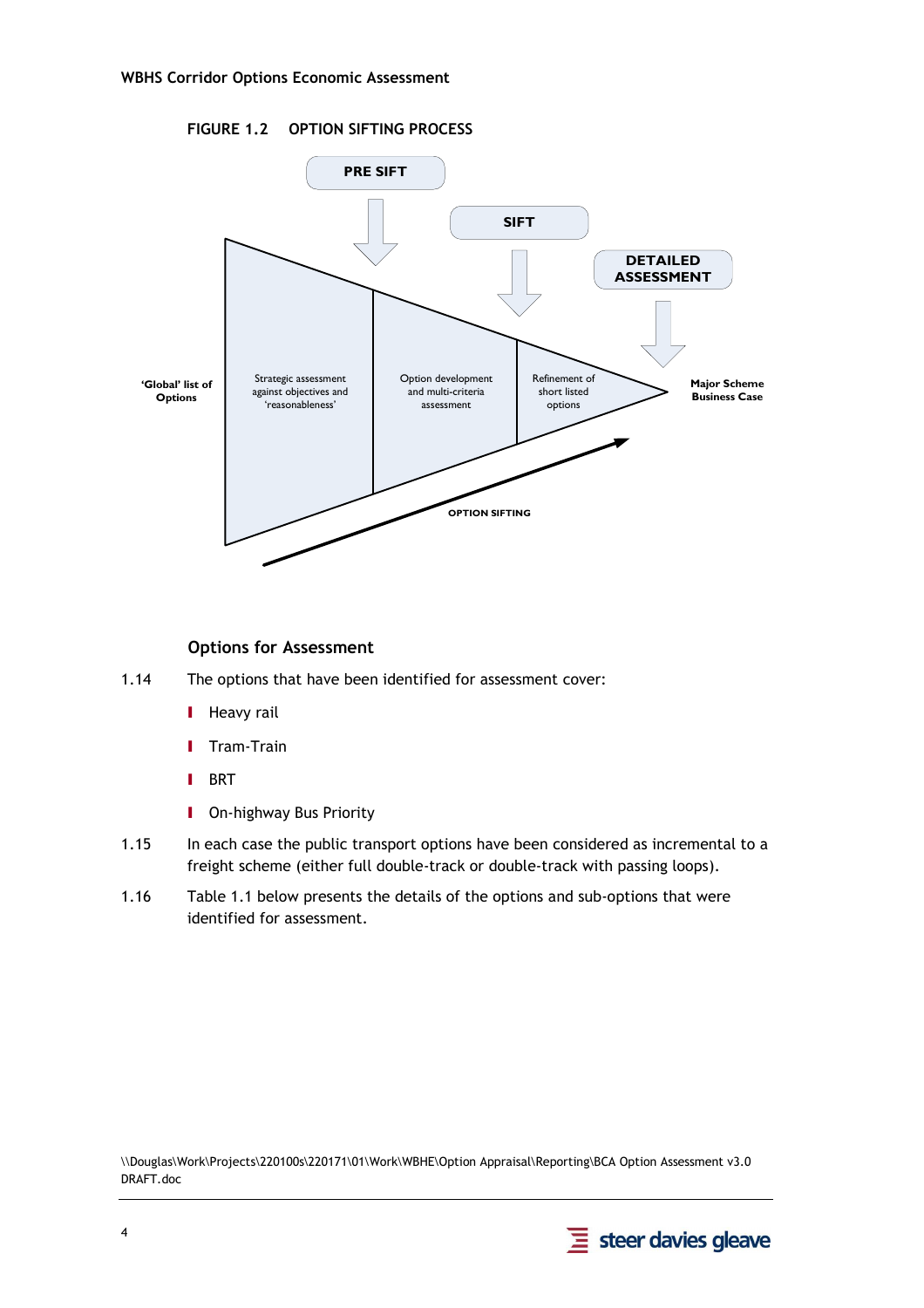



#### **Options for Assessment**

- 1.14 The options that have been identified for assessment cover:
	- **I** Heavy rail
	- I Tram-Train
	- I BRT
	- **I** On-highway Bus Priority
- 1.15 In each case the public transport options have been considered as incremental to a freight scheme (either full double-track or double-track with passing loops).
- 1.16 Table 1.1 below presents the details of the options and sub-options that were identified for assessment.

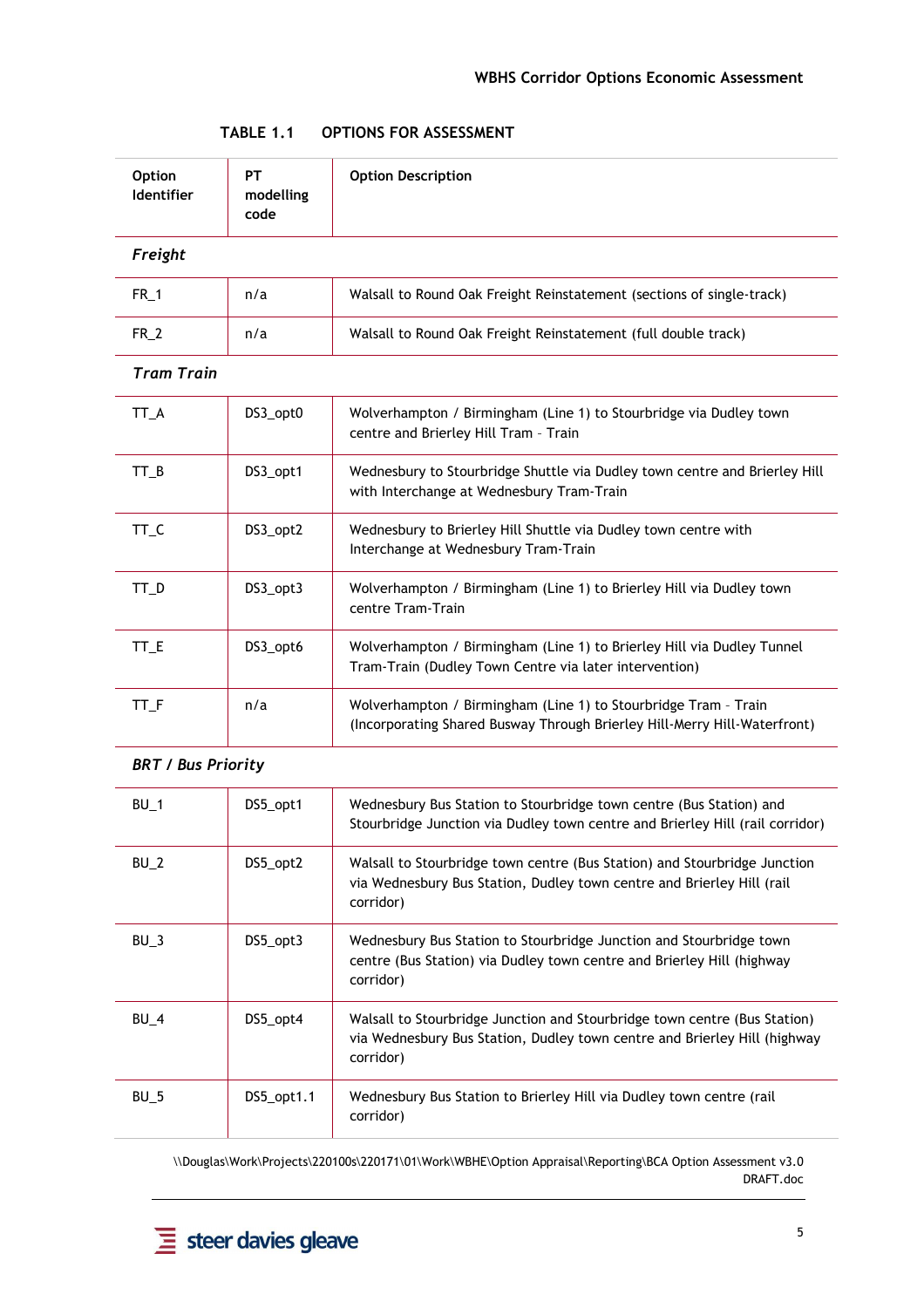| <b>Option</b><br><b>Identifier</b> | PT<br>modelling<br>code | <b>Option Description</b>                                                                                                                             |  |
|------------------------------------|-------------------------|-------------------------------------------------------------------------------------------------------------------------------------------------------|--|
| Freight                            |                         |                                                                                                                                                       |  |
| $FR_1$                             | n/a                     | Walsall to Round Oak Freight Reinstatement (sections of single-track)                                                                                 |  |
| $FR_2$                             | n/a                     | Walsall to Round Oak Freight Reinstatement (full double track)                                                                                        |  |
| <b>Tram Train</b>                  |                         |                                                                                                                                                       |  |
| TT_A                               | DS3_opt0                | Wolverhampton / Birmingham (Line 1) to Stourbridge via Dudley town<br>centre and Brierley Hill Tram - Train                                           |  |
| $TT_B$                             | DS3_opt1                | Wednesbury to Stourbridge Shuttle via Dudley town centre and Brierley Hill<br>with Interchange at Wednesbury Tram-Train                               |  |
| TT_C                               | DS3_opt2                | Wednesbury to Brierley Hill Shuttle via Dudley town centre with<br>Interchange at Wednesbury Tram-Train                                               |  |
| TT_D                               | DS3_opt3                | Wolverhampton / Birmingham (Line 1) to Brierley Hill via Dudley town<br>centre Tram-Train                                                             |  |
| $TT_E$                             | DS3_opt6                | Wolverhampton / Birmingham (Line 1) to Brierley Hill via Dudley Tunnel<br>Tram-Train (Dudley Town Centre via later intervention)                      |  |
| TT_F                               | n/a                     | Wolverhampton / Birmingham (Line 1) to Stourbridge Tram - Train<br>(Incorporating Shared Busway Through Brierley Hill-Merry Hill-Waterfront)          |  |
| <b>BRT / Bus Priority</b>          |                         |                                                                                                                                                       |  |
| $BU_1$                             | DS5_opt1                | Wednesbury Bus Station to Stourbridge town centre (Bus Station) and<br>Stourbridge, Junction via Dudley town centre and Brierley Hill (rail corridor) |  |

| TABLE 1.1 | <b>OPTIONS FOR ASSESSMENT</b> |
|-----------|-------------------------------|
|-----------|-------------------------------|

## urbridge Junction via Dudley town centre and Brierley Hill (rail corridor) BU\_2 DS5\_opt2 Walsall to Stourbridge town centre (Bus Station) and Stourbridge Junction via Wednesbury Bus Station, Dudley town centre and Brierley Hill (rail corridor) BU\_3 DS5\_opt3 Wednesbury Bus Station to Stourbridge Junction and Stourbridge town centre (Bus Station) via Dudley town centre and Brierley Hill (highway corridor) BU<sub>\_4</sub> DS5\_opt4 Walsall to Stourbridge Junction and Stourbridge town centre (Bus Station) via Wednesbury Bus Station, Dudley town centre and Brierley Hill (highway corridor) BU<sub>\_5</sub> DS5\_opt1.1 Wednesbury Bus Station to Brierley Hill via Dudley town centre (rail corridor)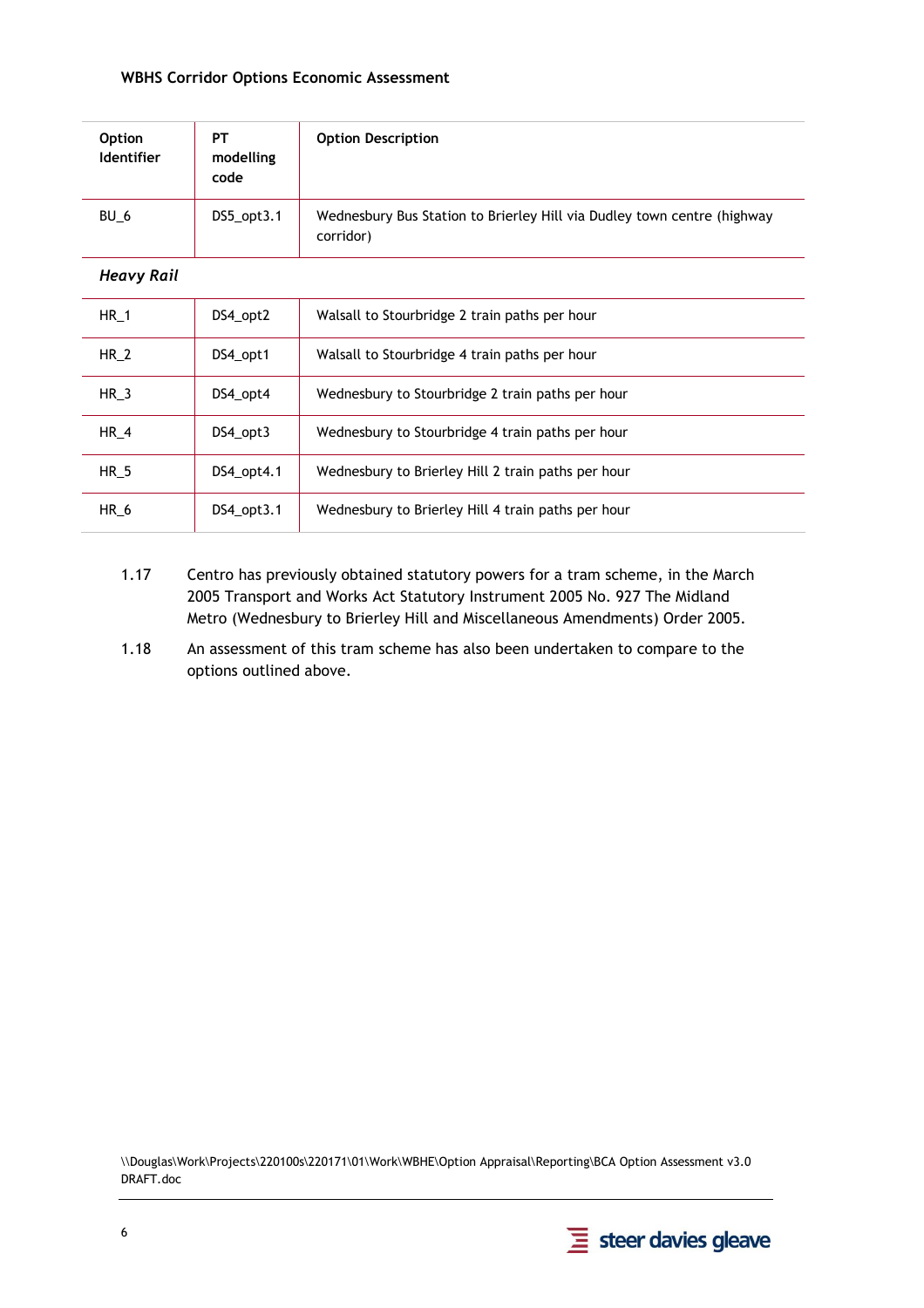| <b>Option</b><br><b>Identifier</b> | PT<br>modelling<br>code | <b>Option Description</b>                                                            |  |
|------------------------------------|-------------------------|--------------------------------------------------------------------------------------|--|
| BU 6                               | $DS5$ _opt $3.1$        | Wednesbury Bus Station to Brierley Hill via Dudley town centre (highway<br>corridor) |  |
| <b>Heavy Rail</b>                  |                         |                                                                                      |  |
| <b>HR 1</b>                        | DS4_opt2                | Walsall to Stourbridge 2 train paths per hour                                        |  |
| <b>HR 2</b>                        | DS4_opt1                | Walsall to Stourbridge 4 train paths per hour                                        |  |
| $HR_3$                             | DS4_opt4                | Wednesbury to Stourbridge 2 train paths per hour                                     |  |
| <b>HR 4</b>                        | DS4_opt3                | Wednesbury to Stourbridge 4 train paths per hour                                     |  |
| $HR_5$                             | DS4_opt4.1              | Wednesbury to Brierley Hill 2 train paths per hour                                   |  |
| HR_6                               | $DS4$ _opt $3.1$        | Wednesbury to Brierley Hill 4 train paths per hour                                   |  |

- 1.17 Centro has previously obtained statutory powers for a tram scheme, in the March 2005 Transport and Works Act Statutory Instrument 2005 No. 927 The Midland Metro (Wednesbury to Brierley Hill and Miscellaneous Amendments) Order 2005.
- 1.18 An assessment of this tram scheme has also been undertaken to compare to the options outlined above.

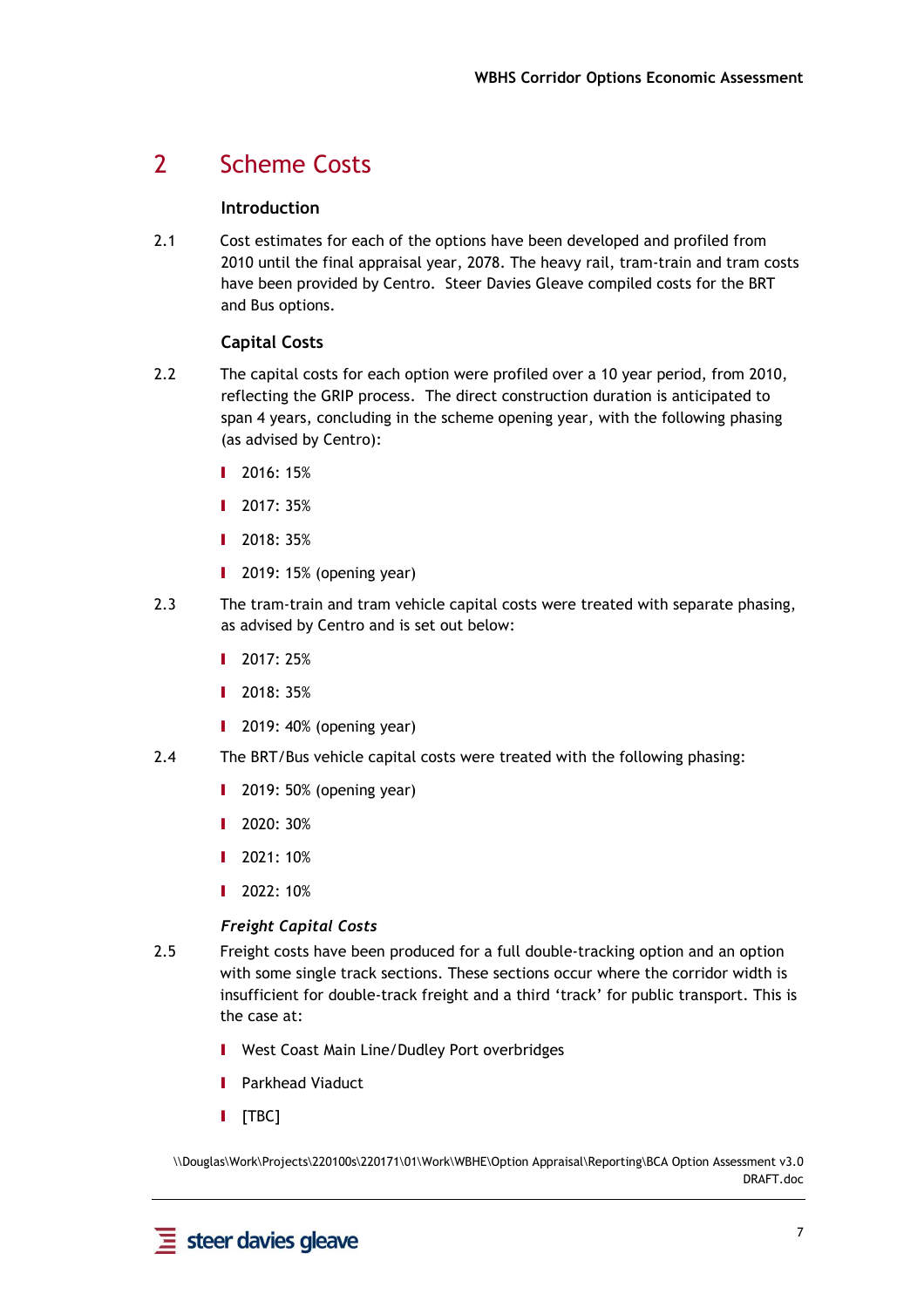## 2 Scheme Costs

#### **Introduction**

2.1 Cost estimates for each of the options have been developed and profiled from 2010 until the final appraisal year, 2078. The heavy rail, tram-train and tram costs have been provided by Centro. Steer Davies Gleave compiled costs for the BRT and Bus options.

#### **Capital Costs**

- 2.2 The capital costs for each option were profiled over a 10 year period, from 2010, reflecting the GRIP process. The direct construction duration is anticipated to span 4 years, concluding in the scheme opening year, with the following phasing (as advised by Centro):
	- **I** 2016: 15%
	- I 2017: 35%
	- **I** 2018: 35%
	- I 2019: 15% (opening year)
- 2.3 The tram-train and tram vehicle capital costs were treated with separate phasing, as advised by Centro and is set out below:
	- **I** 2017: 25%
	- **I** 2018: 35%
	- $\blacksquare$  2019: 40% (opening year)
- 2.4 The BRT/Bus vehicle capital costs were treated with the following phasing:
	- **I** 2019: 50% (opening year)
	- **I** 2020: 30%
	- **I** 2021: 10%
	- **I** 2022: 10%

#### *Freight Capital Costs*

- 2.5 Freight costs have been produced for a full double-tracking option and an option with some single track sections. These sections occur where the corridor width is insufficient for double-track freight and a third 'track' for public transport. This is the case at:
	- I West Coast Main Line/Dudley Port overbridges
	- I Parkhead Viaduct
	- **I** [TBC]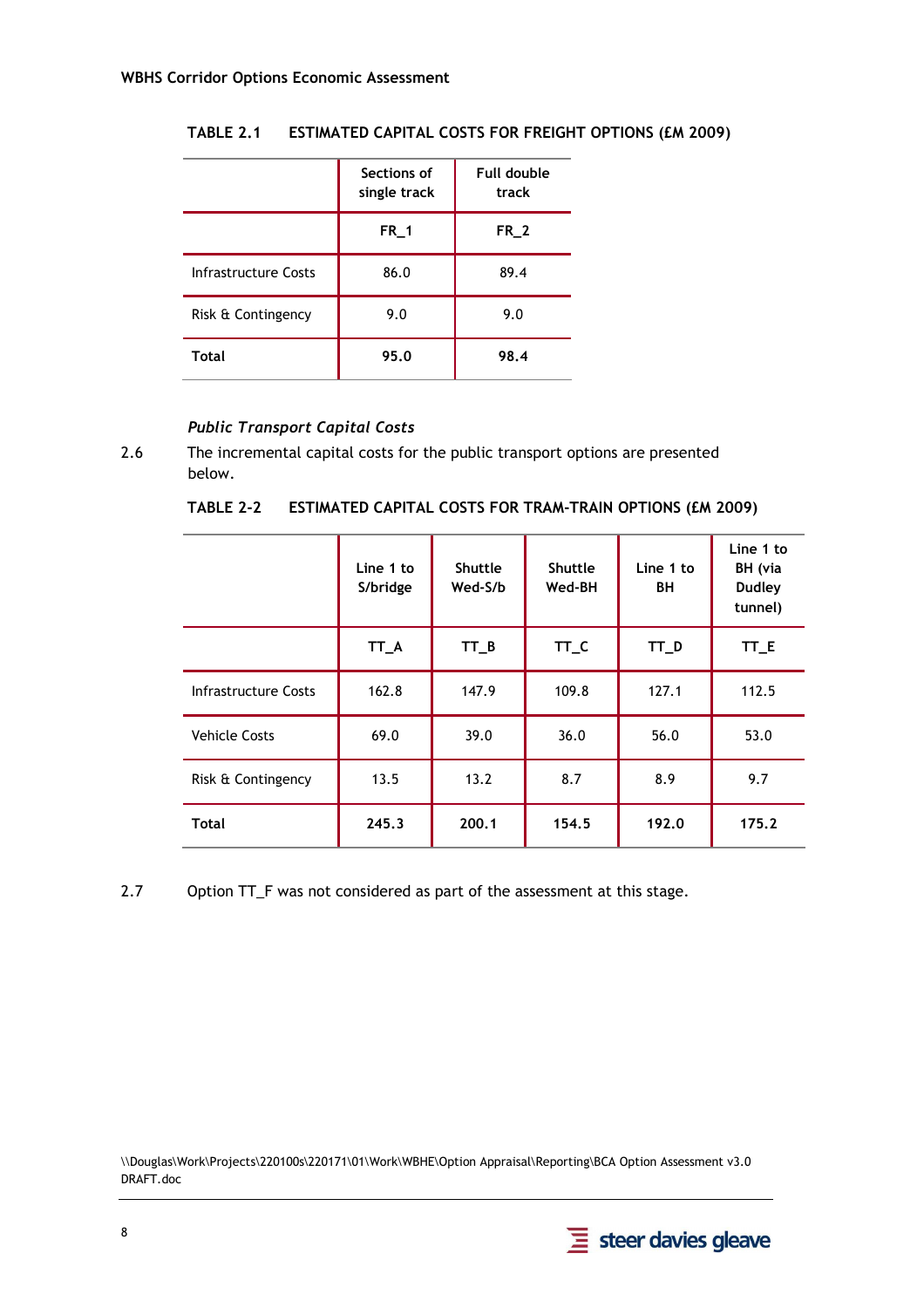|                      | Sections of<br>single track | Full double<br>track |
|----------------------|-----------------------------|----------------------|
|                      | $FR_1$                      | $FR_2$               |
| Infrastructure Costs | 86.0                        | 89.4                 |
| Risk & Contingency   | 9.0                         | 9.0                  |
| <b>Total</b>         | 95.0                        | 98.4                 |

#### **TABLE 2.1 ESTIMATED CAPITAL COSTS FOR FREIGHT OPTIONS (£M 2009)**

#### *Public Transport Capital Costs*

2.6 The incremental capital costs for the public transport options are presented below.

**TABLE 2-2 ESTIMATED CAPITAL COSTS FOR TRAM-TRAIN OPTIONS (£M 2009)** 

|                      | Line 1 to<br>S/bridge | <b>Shuttle</b><br>Wed-S/b | <b>Shuttle</b><br>Wed-BH | Line 1 to<br>BH | Line 1 to<br>BH (via<br><b>Dudley</b><br>tunnel) |
|----------------------|-----------------------|---------------------------|--------------------------|-----------------|--------------------------------------------------|
|                      | TT_A                  | $TT_B$                    | TT_C                     | TT_D            | TT_E                                             |
| Infrastructure Costs | 162.8                 | 147.9                     | 109.8                    | 127.1           | 112.5                                            |
| <b>Vehicle Costs</b> | 69.0                  | 39.0                      | 36.0                     | 56.0            | 53.0                                             |
| Risk & Contingency   | 13.5                  | 13.2                      | 8.7                      | 8.9             | 9.7                                              |
| <b>Total</b>         | 245.3                 | 200.1                     | 154.5                    | 192.0           | 175.2                                            |

2.7 Option TT\_F was not considered as part of the assessment at this stage.

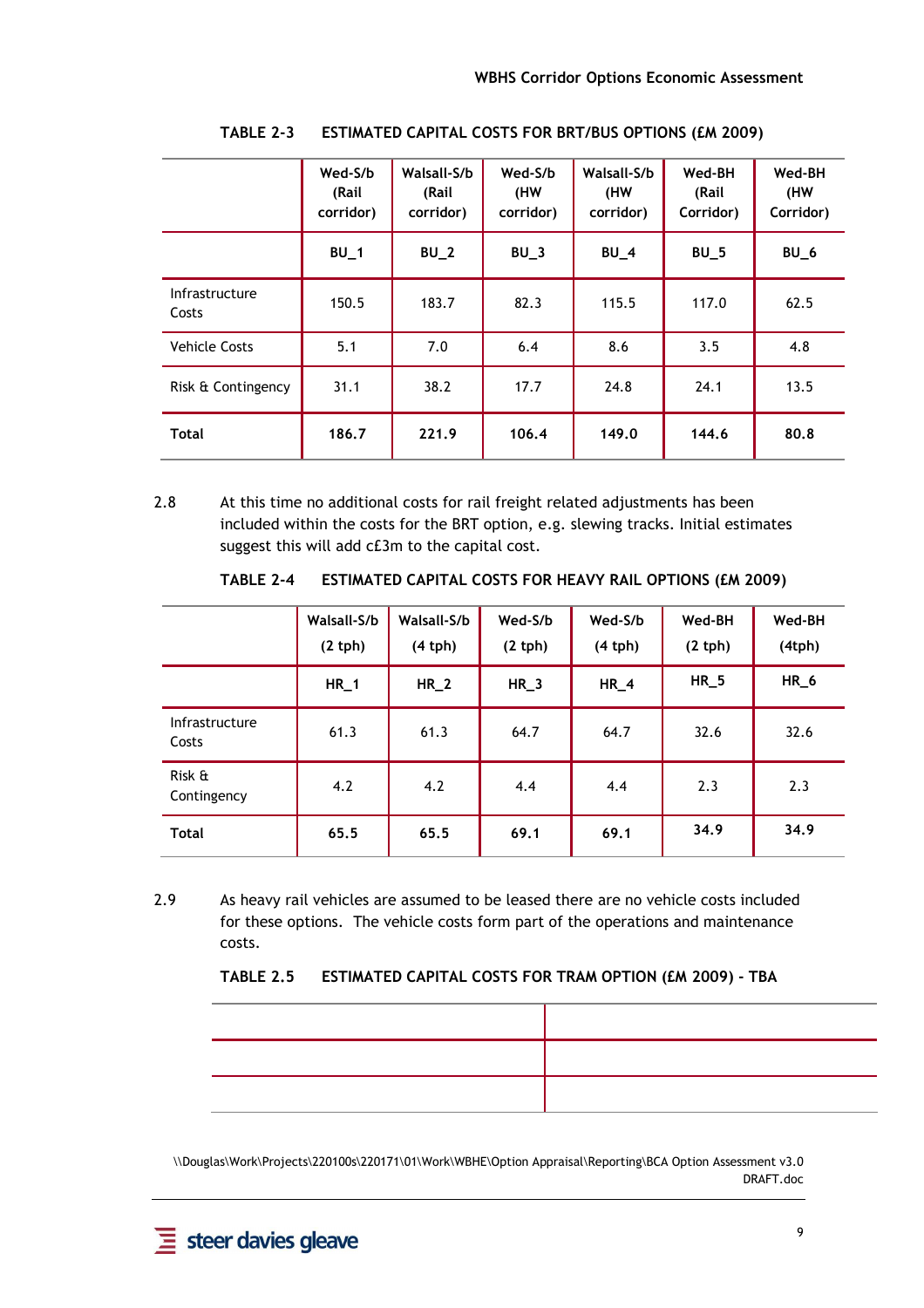|                         | Wed-S/b<br>(Rail<br>corridor) | Walsall-S/b<br>(Rail<br>corridor) | Wed-S/b<br>(HW<br>corridor) | Walsall-S/b<br>(HW<br>corridor) | Wed-BH<br>(Rail<br>Corridor) | Wed-BH<br>(HW<br>Corridor) |
|-------------------------|-------------------------------|-----------------------------------|-----------------------------|---------------------------------|------------------------------|----------------------------|
|                         | $BU_1$                        | $BU_2$                            | $BU_3$                      | $BU_4$                          | $BU_5$                       | $BU_6$                     |
| Infrastructure<br>Costs | 150.5                         | 183.7                             | 82.3                        | 115.5                           | 117.0                        | 62.5                       |
| <b>Vehicle Costs</b>    | 5.1                           | 7.0                               | 6.4                         | 8.6                             | 3.5                          | 4.8                        |
| Risk & Contingency      | 31.1                          | 38.2                              | 17.7                        | 24.8                            | 24.1                         | 13.5                       |
| <b>Total</b>            | 186.7                         | 221.9                             | 106.4                       | 149.0                           | 144.6                        | 80.8                       |

**TABLE 2-3 ESTIMATED CAPITAL COSTS FOR BRT/BUS OPTIONS (£M 2009)** 

2.8 At this time no additional costs for rail freight related adjustments has been included within the costs for the BRT option, e.g. slewing tracks. Initial estimates suggest this will add c£3m to the capital cost.

**TABLE 2-4 ESTIMATED CAPITAL COSTS FOR HEAVY RAIL OPTIONS (£M 2009)** 

|                         | Walsall-S/b<br>(2 th) | Walsall-S/b<br>(4 th) | Wed-S/b<br>(2 th) | Wed-S/b<br>(4 th) | Wed-BH<br>(2 th) | Wed-BH<br>(4tph) |
|-------------------------|-----------------------|-----------------------|-------------------|-------------------|------------------|------------------|
|                         | $HR_1$                | $HR_2$                | $HR_3$            | $HR_4$            | $HR_5$           | $HR_6$           |
| Infrastructure<br>Costs | 61.3                  | 61.3                  | 64.7              | 64.7              | 32.6             | 32.6             |
| Risk &<br>Contingency   | 4.2                   | 4.2                   | 4.4               | 4.4               | 2.3              | 2.3              |
| <b>Total</b>            | 65.5                  | 65.5                  | 69.1              | 69.1              | 34.9             | 34.9             |

2.9 As heavy rail vehicles are assumed to be leased there are no vehicle costs included for these options. The vehicle costs form part of the operations and maintenance costs.

|  | TABLE 2.5 ESTIMATED CAPITAL COSTS FOR TRAM OPTION (EM 2009) - TBA |
|--|-------------------------------------------------------------------|
|--|-------------------------------------------------------------------|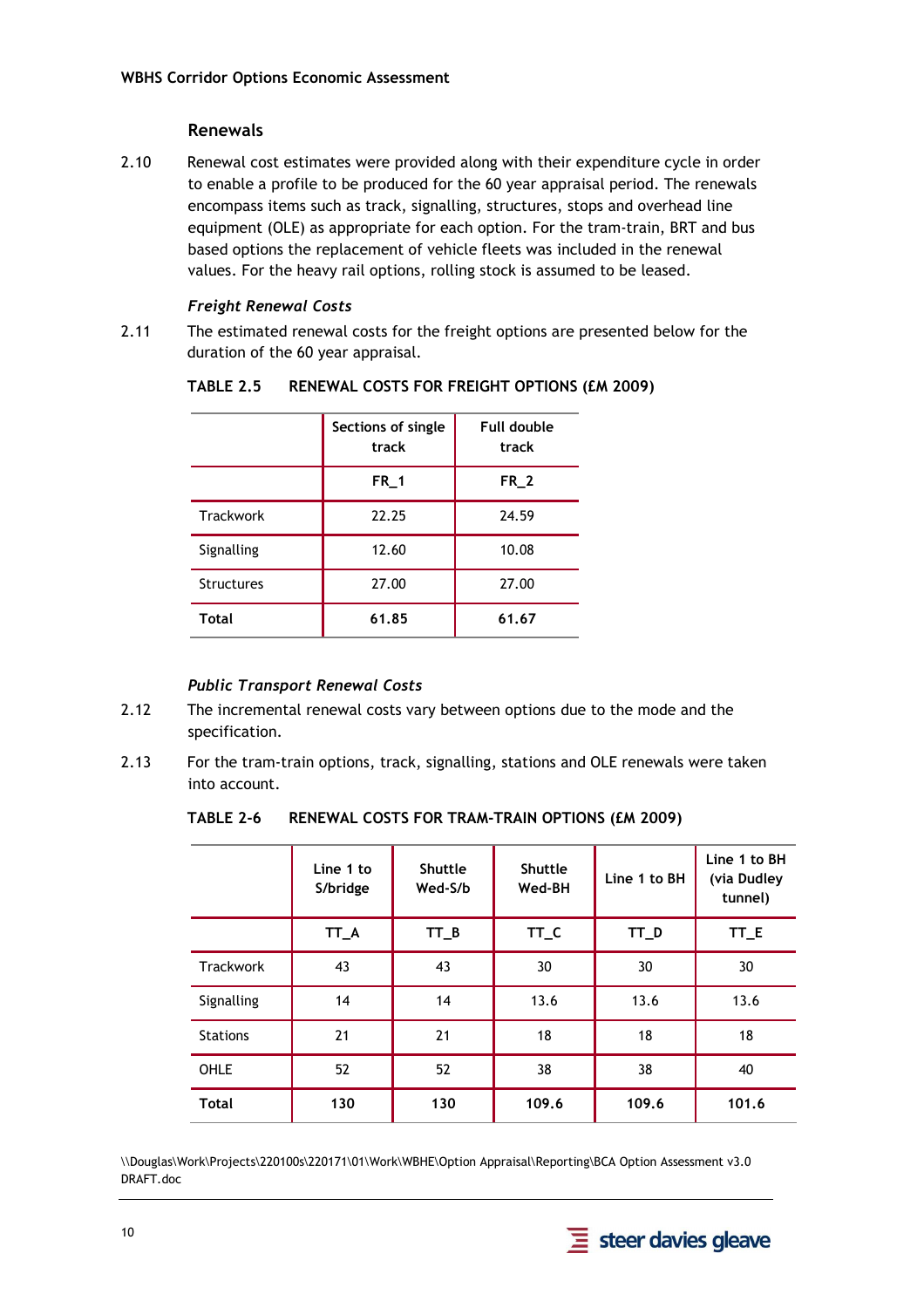#### **Renewals**

2.10 Renewal cost estimates were provided along with their expenditure cycle in order to enable a profile to be produced for the 60 year appraisal period. The renewals encompass items such as track, signalling, structures, stops and overhead line equipment (OLE) as appropriate for each option. For the tram-train, BRT and bus based options the replacement of vehicle fleets was included in the renewal values. For the heavy rail options, rolling stock is assumed to be leased.

#### *Freight Renewal Costs*

2.11 The estimated renewal costs for the freight options are presented below for the duration of the 60 year appraisal.

|                   | Sections of single<br>track | Full double<br>track |
|-------------------|-----------------------------|----------------------|
|                   | $FR_1$                      | $FR_2$               |
| <b>Trackwork</b>  | 22.25                       | 24.59                |
| Signalling        | 12.60                       | 10.08                |
| <b>Structures</b> | 27.00                       | 27.00                |
| <b>Total</b>      | 61.85                       | 61.67                |

#### **TABLE 2.5 RENEWAL COSTS FOR FREIGHT OPTIONS (£M 2009)**

#### *Public Transport Renewal Costs*

- 2.12 The incremental renewal costs vary between options due to the mode and the specification.
- 2.13 For the tram-train options, track, signalling, stations and OLE renewals were taken into account.

**TABLE 2-6 RENEWAL COSTS FOR TRAM-TRAIN OPTIONS (£M 2009)** 

|                  | Line 1 to<br>S/bridge | <b>Shuttle</b><br>Wed-S/b | <b>Shuttle</b><br>Wed-BH | Line 1 to BH | Line 1 to BH<br>(via Dudley<br>tunnel) |
|------------------|-----------------------|---------------------------|--------------------------|--------------|----------------------------------------|
|                  | $TT_A$                | TT B                      | TT_C                     | TT_D         | TT_E                                   |
| <b>Trackwork</b> | 43                    | 43                        | 30                       | 30           | 30                                     |
| Signalling       | 14                    | 14                        | 13.6                     | 13.6         | 13.6                                   |
| <b>Stations</b>  | 21                    | 21                        | 18                       | 18           | 18                                     |
| OHLE             | 52                    | 52                        | 38                       | 38           | 40                                     |
| <b>Total</b>     | 130                   | 130                       | 109.6                    | 109.6        | 101.6                                  |

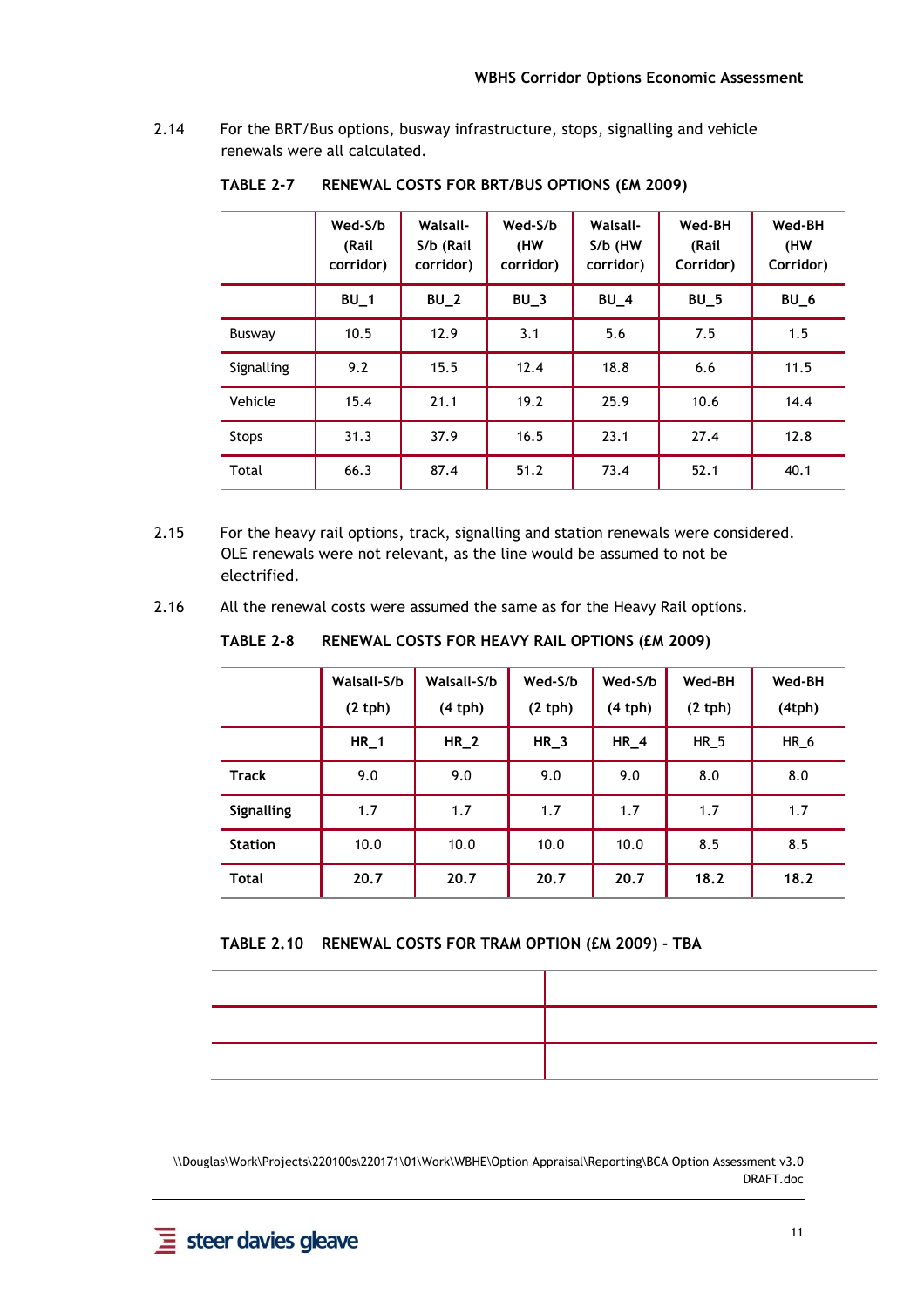2.14 For the BRT/Bus options, busway infrastructure, stops, signalling and vehicle renewals were all calculated.

|              | Wed-S/b<br>(Rail<br>corridor) | <b>Walsall-</b><br>S/b (Rail<br>corridor) | Wed-S/b<br>(HW<br>corridor) | <b>Walsall-</b><br>S/b (HW<br>corridor) | Wed-BH<br>(Rail<br>Corridor) | Wed-BH<br>(HW<br>Corridor) |
|--------------|-------------------------------|-------------------------------------------|-----------------------------|-----------------------------------------|------------------------------|----------------------------|
|              | $BU_1$                        | $BU_2$                                    | $BU_3$                      | $BU_4$                                  | $BU_5$                       | $BU_6$                     |
| Busway       | 10.5                          | 12.9                                      | 3.1                         | 5.6                                     | 7.5                          | 1.5                        |
| Signalling   | 9.2                           | 15.5                                      | 12.4                        | 18.8                                    | 6.6                          | 11.5                       |
| Vehicle      | 15.4                          | 21.1                                      | 19.2                        | 25.9                                    | 10.6                         | 14.4                       |
| <b>Stops</b> | 31.3                          | 37.9                                      | 16.5                        | 23.1                                    | 27.4                         | 12.8                       |
| Total        | 66.3                          | 87.4                                      | 51.2                        | 73.4                                    | 52.1                         | 40.1                       |

**TABLE 2-7 RENEWAL COSTS FOR BRT/BUS OPTIONS (£M 2009)** 

- 2.15 For the heavy rail options, track, signalling and station renewals were considered. OLE renewals were not relevant, as the line would be assumed to not be electrified.
- 2.16 All the renewal costs were assumed the same as for the Heavy Rail options.

**Walsall-S/b (2 tph) Walsall-S/b (4 tph) Wed-S/b (2 tph) Wed-S/b (4 tph) Wed-BH (2 tph) Wed-BH (4tph) HR\_1 HR\_2 HR\_3 HR\_4** HR\_5 HR\_6 **Track | 9.0 | 9.0 | 9.0 | 9.0 | 8.0 | 8.0 Signalling | 1.7 | 1.7 | 1.7 | 1.7 | 1.7** | 1.7 **Station | 10.0 | 10.0 | 10.0 | 10.0 | 8.5 | 8.5 Total 20.7 20.7 20.7 20.7 18.2 18.2** 

**TABLE 2-8 RENEWAL COSTS FOR HEAVY RAIL OPTIONS (£M 2009)** 

**TABLE 2.10 RENEWAL COSTS FOR TRAM OPTION (£M 2009) - TBA**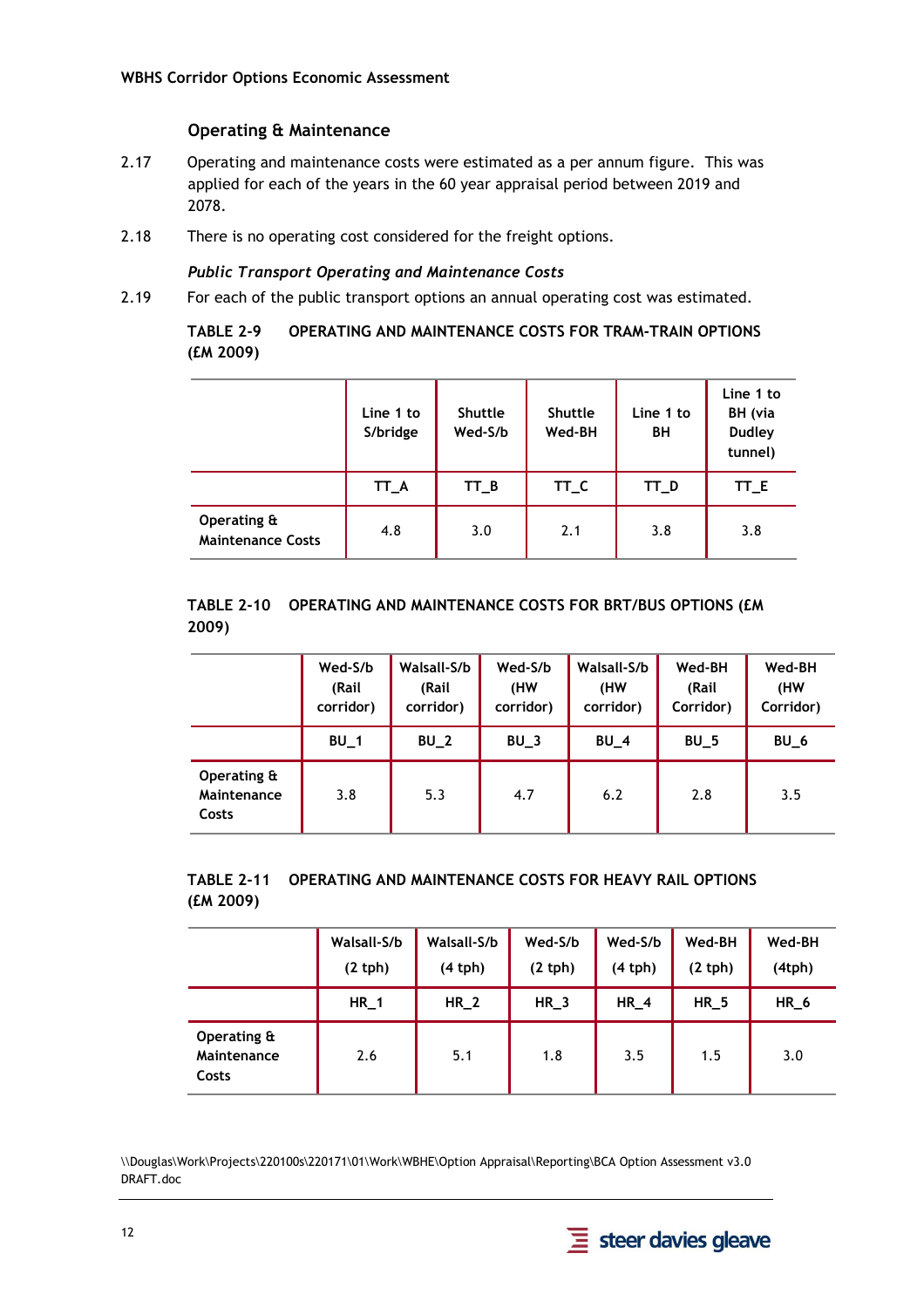#### **Operating & Maintenance**

- 2.17 Operating and maintenance costs were estimated as a per annum figure. This was applied for each of the years in the 60 year appraisal period between 2019 and 2078.
- 2.18 There is no operating cost considered for the freight options.

#### *Public Transport Operating and Maintenance Costs*

2.19 For each of the public transport options an annual operating cost was estimated.

**TABLE 2-9 OPERATING AND MAINTENANCE COSTS FOR TRAM-TRAIN OPTIONS (£M 2009)** 

|                                         | Line 1 to<br>S/bridge | <b>Shuttle</b><br>Wed-S/b | <b>Shuttle</b><br>Wed-BH | Line 1 to<br>BH | Line 1 to<br>BH (via<br><b>Dudley</b><br>tunnel) |
|-----------------------------------------|-----------------------|---------------------------|--------------------------|-----------------|--------------------------------------------------|
|                                         | TT_A                  | $TT_B$                    | TT_C                     | TT_D            | TT_E                                             |
| Operating &<br><b>Maintenance Costs</b> | 4.8                   | 3.0                       | 2.1                      | 3.8             | 3.8                                              |

#### **TABLE 2-10 OPERATING AND MAINTENANCE COSTS FOR BRT/BUS OPTIONS (£M 2009)**

|                                     | Wed-S/b<br>(Rail<br>corridor) | Walsall-S/b<br>(Rail<br>corridor) | Wed-S/b<br>(HW<br>corridor) | Walsall-S/b<br>(HW<br>corridor) | Wed-BH<br>(Rail<br>Corridor) | Wed-BH<br>(HW<br>Corridor) |
|-------------------------------------|-------------------------------|-----------------------------------|-----------------------------|---------------------------------|------------------------------|----------------------------|
|                                     | BU <sub>1</sub>               | $BU_2$                            | $BU_3$                      | $BU_4$                          | $BU_5$                       | BU <sub>6</sub>            |
| Operating &<br>Maintenance<br>Costs | 3.8                           | 5.3                               | 4.7                         | 6.2                             | 2.8                          | 3.5                        |

#### **TABLE 2-11 OPERATING AND MAINTENANCE COSTS FOR HEAVY RAIL OPTIONS (£M 2009)**

|                                     | Walsall-S/b<br>$(2$ tph) | Walsall-S/b<br>(4 th) | Wed-S/b<br>(2 th) | Wed-S/b<br>(4 th) | Wed-BH<br>(2 th) | Wed-BH<br>(4tph) |
|-------------------------------------|--------------------------|-----------------------|-------------------|-------------------|------------------|------------------|
|                                     | $HR_1$                   | $HR_2$                | $HR_3$            | $HR_4$            | $HR_5$           | $HR_6$           |
| Operating &<br>Maintenance<br>Costs | 2.6                      | 5.1                   | 1.8               | 3.5               | 1.5              | 3.0              |

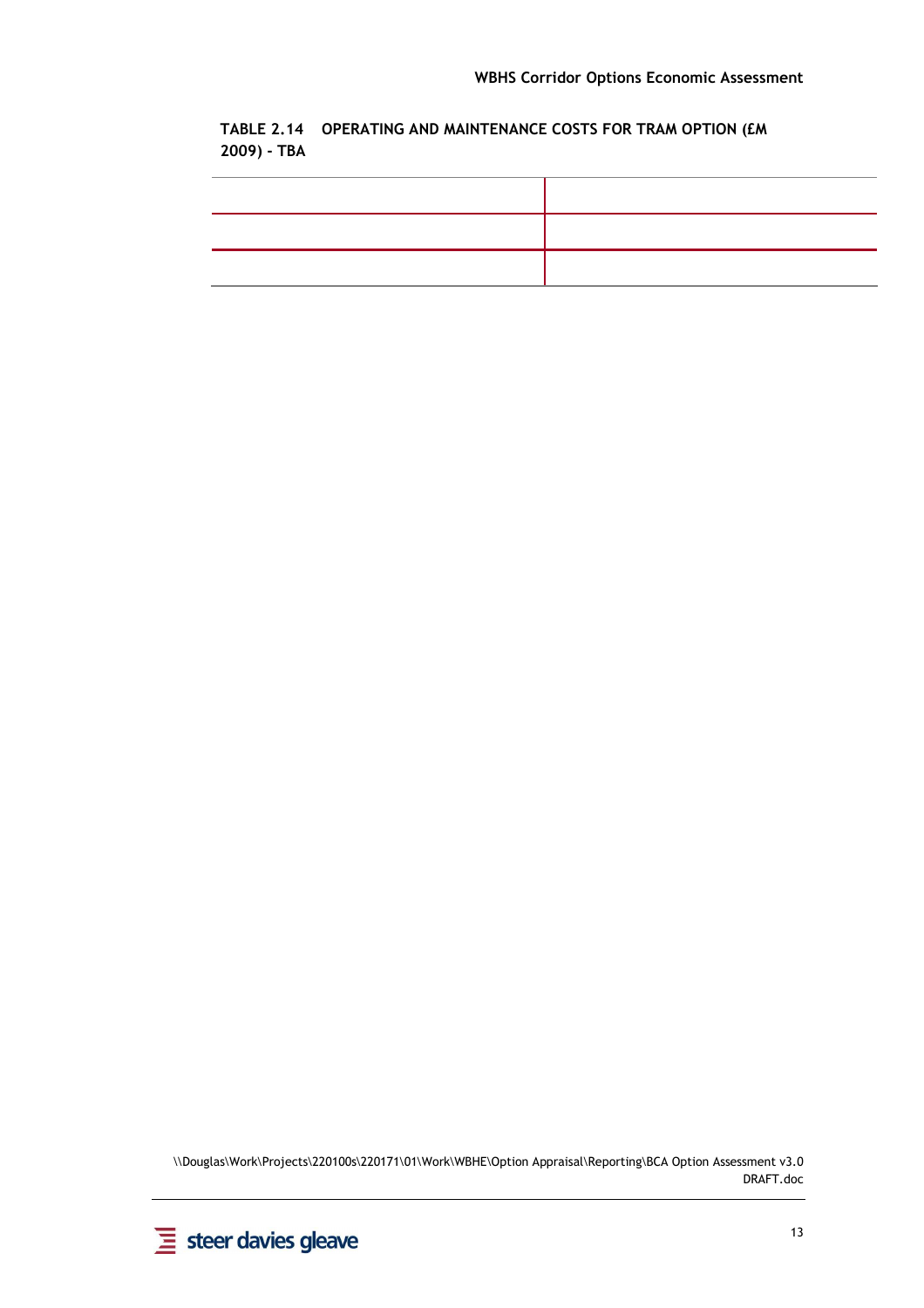**TABLE 2.14 OPERATING AND MAINTENANCE COSTS FOR TRAM OPTION (£M 2009) - TBA** 

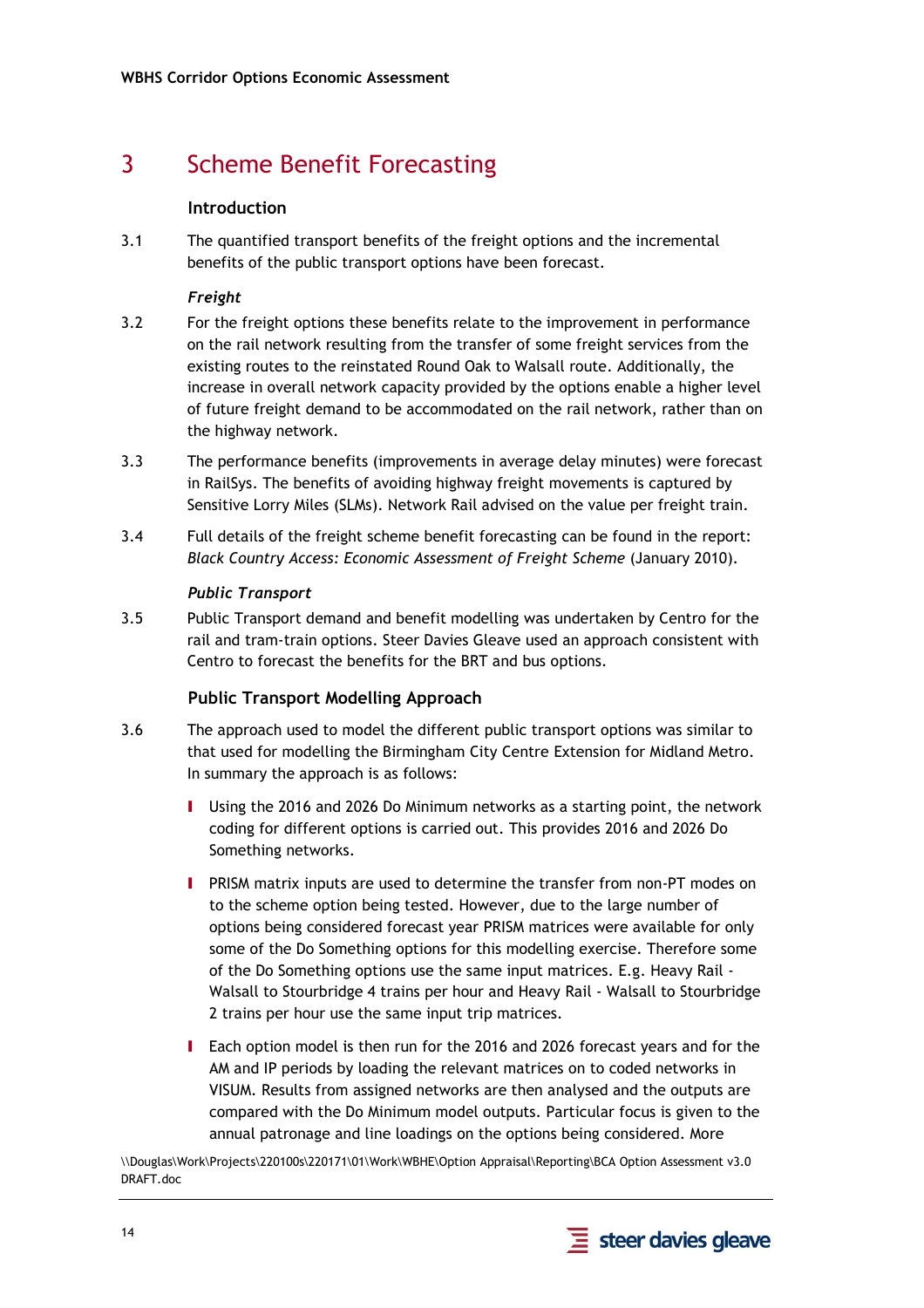## 3 Scheme Benefit Forecasting

#### **Introduction**

3.1 The quantified transport benefits of the freight options and the incremental benefits of the public transport options have been forecast.

#### *Freight*

- 3.2 For the freight options these benefits relate to the improvement in performance on the rail network resulting from the transfer of some freight services from the existing routes to the reinstated Round Oak to Walsall route. Additionally, the increase in overall network capacity provided by the options enable a higher level of future freight demand to be accommodated on the rail network, rather than on the highway network.
- 3.3 The performance benefits (improvements in average delay minutes) were forecast in RailSys. The benefits of avoiding highway freight movements is captured by Sensitive Lorry Miles (SLMs). Network Rail advised on the value per freight train.
- 3.4 Full details of the freight scheme benefit forecasting can be found in the report: *Black Country Access: Economic Assessment of Freight Scheme* (January 2010).

#### *Public Transport*

3.5 Public Transport demand and benefit modelling was undertaken by Centro for the rail and tram-train options. Steer Davies Gleave used an approach consistent with Centro to forecast the benefits for the BRT and bus options.

#### **Public Transport Modelling Approach**

- 3.6 The approach used to model the different public transport options was similar to that used for modelling the Birmingham City Centre Extension for Midland Metro. In summary the approach is as follows:
	- I Using the 2016 and 2026 Do Minimum networks as a starting point, the network coding for different options is carried out. This provides 2016 and 2026 Do Something networks.
	- I PRISM matrix inputs are used to determine the transfer from non-PT modes on to the scheme option being tested. However, due to the large number of options being considered forecast year PRISM matrices were available for only some of the Do Something options for this modelling exercise. Therefore some of the Do Something options use the same input matrices. E.g. Heavy Rail - Walsall to Stourbridge 4 trains per hour and Heavy Rail - Walsall to Stourbridge 2 trains per hour use the same input trip matrices.
	- I Each option model is then run for the 2016 and 2026 forecast years and for the AM and IP periods by loading the relevant matrices on to coded networks in VISUM. Results from assigned networks are then analysed and the outputs are compared with the Do Minimum model outputs. Particular focus is given to the annual patronage and line loadings on the options being considered. More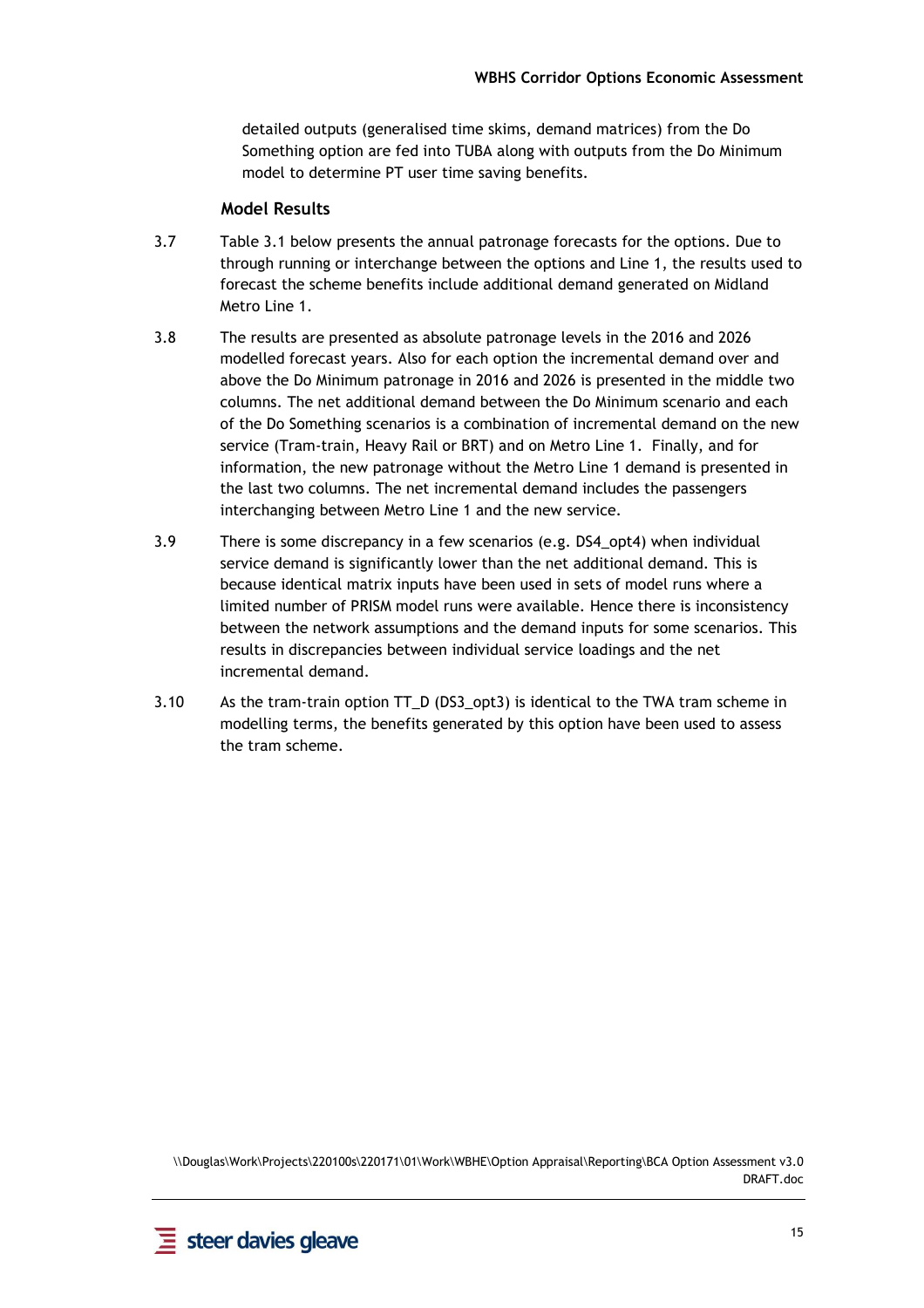detailed outputs (generalised time skims, demand matrices) from the Do Something option are fed into TUBA along with outputs from the Do Minimum model to determine PT user time saving benefits.

#### **Model Results**

- 3.7 Table 3.1 below presents the annual patronage forecasts for the options. Due to through running or interchange between the options and Line 1, the results used to forecast the scheme benefits include additional demand generated on Midland Metro Line 1.
- 3.8 The results are presented as absolute patronage levels in the 2016 and 2026 modelled forecast years. Also for each option the incremental demand over and above the Do Minimum patronage in 2016 and 2026 is presented in the middle two columns. The net additional demand between the Do Minimum scenario and each of the Do Something scenarios is a combination of incremental demand on the new service (Tram-train, Heavy Rail or BRT) and on Metro Line 1. Finally, and for information, the new patronage without the Metro Line 1 demand is presented in the last two columns. The net incremental demand includes the passengers interchanging between Metro Line 1 and the new service.
- 3.9 There is some discrepancy in a few scenarios (e.g. DS4\_opt4) when individual service demand is significantly lower than the net additional demand. This is because identical matrix inputs have been used in sets of model runs where a limited number of PRISM model runs were available. Hence there is inconsistency between the network assumptions and the demand inputs for some scenarios. This results in discrepancies between individual service loadings and the net incremental demand.
- 3.10 As the tram-train option TT\_D (DS3\_opt3) is identical to the TWA tram scheme in modelling terms, the benefits generated by this option have been used to assess the tram scheme.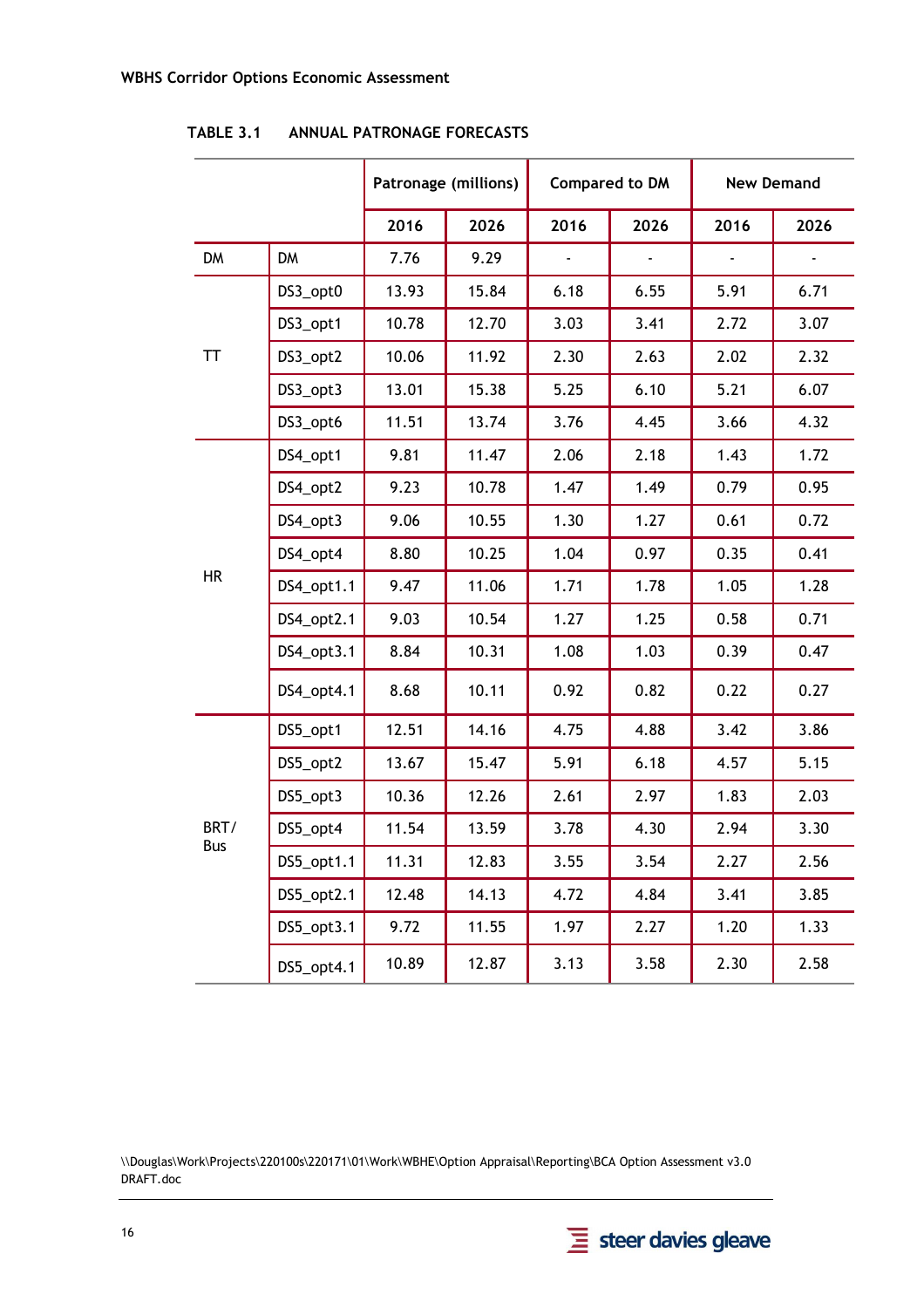|           |            | Patronage (millions) |       | <b>Compared to DM</b> |      | <b>New Demand</b> |      |
|-----------|------------|----------------------|-------|-----------------------|------|-------------------|------|
|           |            | 2016                 | 2026  | 2016                  | 2026 | 2016              | 2026 |
| <b>DM</b> | <b>DM</b>  | 7.76                 | 9.29  |                       |      |                   |      |
|           | DS3_opt0   | 13.93                | 15.84 | 6.18                  | 6.55 | 5.91              | 6.71 |
|           | DS3_opt1   | 10.78                | 12.70 | 3.03                  | 3.41 | 2.72              | 3.07 |
| TT        | DS3_opt2   | 10.06                | 11.92 | 2.30                  | 2.63 | 2.02              | 2.32 |
|           | DS3_opt3   | 13.01                | 15.38 | 5.25                  | 6.10 | 5.21              | 6.07 |
|           | DS3_opt6   | 11.51                | 13.74 | 3.76                  | 4.45 | 3.66              | 4.32 |
|           | DS4_opt1   | 9.81                 | 11.47 | 2.06                  | 2.18 | 1.43              | 1.72 |
|           | DS4_opt2   | 9.23                 | 10.78 | 1.47                  | 1.49 | 0.79              | 0.95 |
|           | DS4_opt3   | 9.06                 | 10.55 | 1.30                  | 1.27 | 0.61              | 0.72 |
|           | DS4_opt4   | 8.80                 | 10.25 | 1.04                  | 0.97 | 0.35              | 0.41 |
| <b>HR</b> | DS4_opt1.1 | 9.47                 | 11.06 | 1.71                  | 1.78 | 1.05              | 1.28 |
|           | DS4_opt2.1 | 9.03                 | 10.54 | 1.27                  | 1.25 | 0.58              | 0.71 |
|           | DS4_opt3.1 | 8.84                 | 10.31 | 1.08                  | 1.03 | 0.39              | 0.47 |
|           | DS4_opt4.1 | 8.68                 | 10.11 | 0.92                  | 0.82 | 0.22              | 0.27 |
|           | DS5_opt1   | 12.51                | 14.16 | 4.75                  | 4.88 | 3.42              | 3.86 |
|           | DS5_opt2   | 13.67                | 15.47 | 5.91                  | 6.18 | 4.57              | 5.15 |
|           | DS5_opt3   | 10.36                | 12.26 | 2.61                  | 2.97 | 1.83              | 2.03 |
| BRT/      | DS5_opt4   | 11.54                | 13.59 | 3.78                  | 4.30 | 2.94              | 3.30 |
| Bus       | DS5_opt1.1 | 11.31                | 12.83 | 3.55                  | 3.54 | 2.27              | 2.56 |
|           | DS5_opt2.1 | 12.48                | 14.13 | 4.72                  | 4.84 | 3.41              | 3.85 |
|           | DS5_opt3.1 | 9.72                 | 11.55 | 1.97                  | 2.27 | 1.20              | 1.33 |
|           | DS5_opt4.1 | 10.89                | 12.87 | 3.13                  | 3.58 | 2.30              | 2.58 |

**TABLE 3.1 ANNUAL PATRONAGE FORECASTS** 

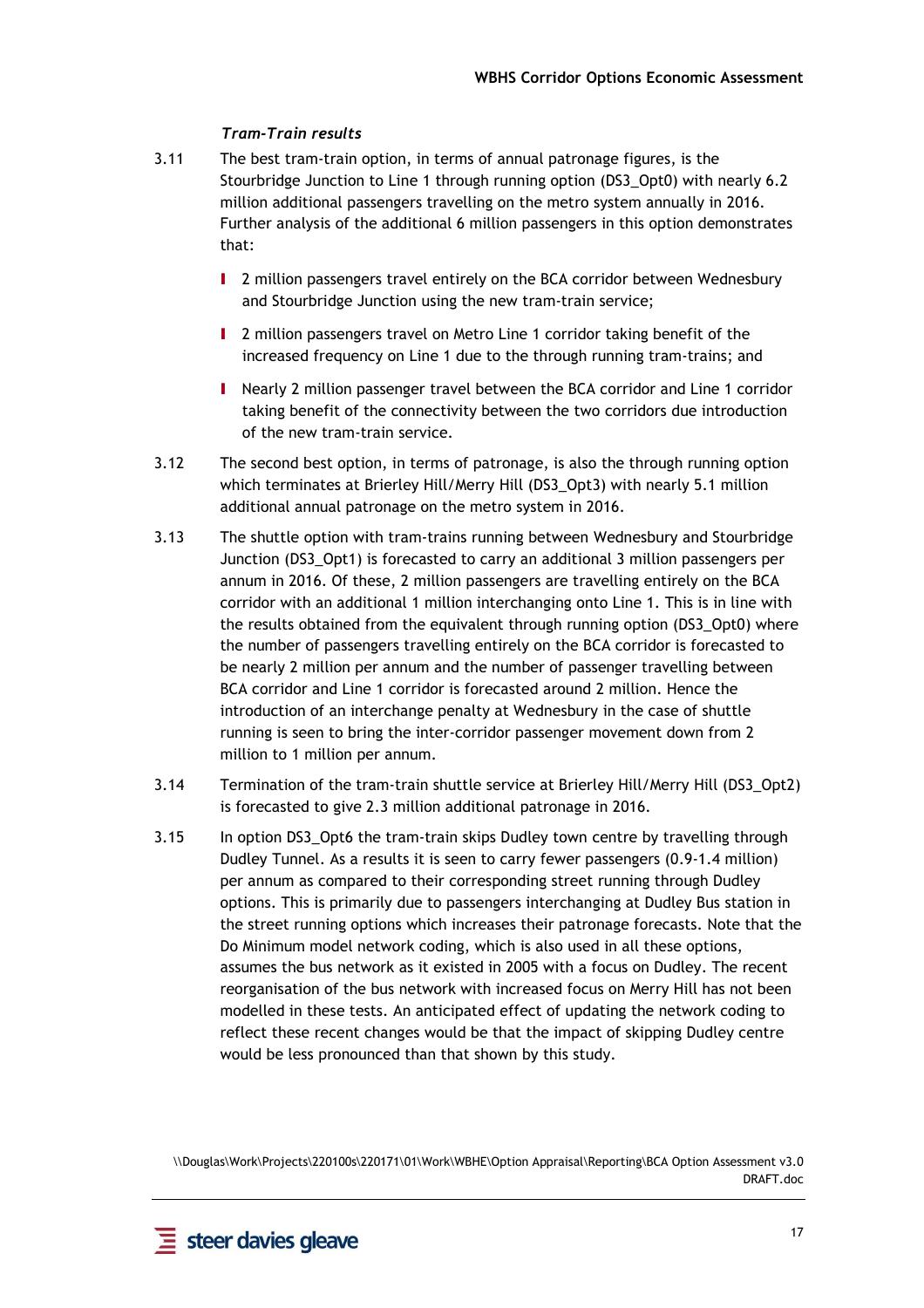#### *Tram-Train results*

- 3.11 The best tram-train option, in terms of annual patronage figures, is the Stourbridge Junction to Line 1 through running option (DS3\_Opt0) with nearly 6.2 million additional passengers travelling on the metro system annually in 2016. Further analysis of the additional 6 million passengers in this option demonstrates that:
	- I 2 million passengers travel entirely on the BCA corridor between Wednesbury and Stourbridge Junction using the new tram-train service;
	- I 2 million passengers travel on Metro Line 1 corridor taking benefit of the increased frequency on Line 1 due to the through running tram-trains; and
	- I Nearly 2 million passenger travel between the BCA corridor and Line 1 corridor taking benefit of the connectivity between the two corridors due introduction of the new tram-train service.
- 3.12 The second best option, in terms of patronage, is also the through running option which terminates at Brierley Hill/Merry Hill (DS3\_Opt3) with nearly 5.1 million additional annual patronage on the metro system in 2016.
- 3.13 The shuttle option with tram-trains running between Wednesbury and Stourbridge Junction (DS3\_Opt1) is forecasted to carry an additional 3 million passengers per annum in 2016. Of these, 2 million passengers are travelling entirely on the BCA corridor with an additional 1 million interchanging onto Line 1. This is in line with the results obtained from the equivalent through running option (DS3\_Opt0) where the number of passengers travelling entirely on the BCA corridor is forecasted to be nearly 2 million per annum and the number of passenger travelling between BCA corridor and Line 1 corridor is forecasted around 2 million. Hence the introduction of an interchange penalty at Wednesbury in the case of shuttle running is seen to bring the inter-corridor passenger movement down from 2 million to 1 million per annum.
- 3.14 Termination of the tram-train shuttle service at Brierley Hill/Merry Hill (DS3\_Opt2) is forecasted to give 2.3 million additional patronage in 2016.
- 3.15 In option DS3\_Opt6 the tram-train skips Dudley town centre by travelling through Dudley Tunnel. As a results it is seen to carry fewer passengers (0.9-1.4 million) per annum as compared to their corresponding street running through Dudley options. This is primarily due to passengers interchanging at Dudley Bus station in the street running options which increases their patronage forecasts. Note that the Do Minimum model network coding, which is also used in all these options, assumes the bus network as it existed in 2005 with a focus on Dudley. The recent reorganisation of the bus network with increased focus on Merry Hill has not been modelled in these tests. An anticipated effect of updating the network coding to reflect these recent changes would be that the impact of skipping Dudley centre would be less pronounced than that shown by this study.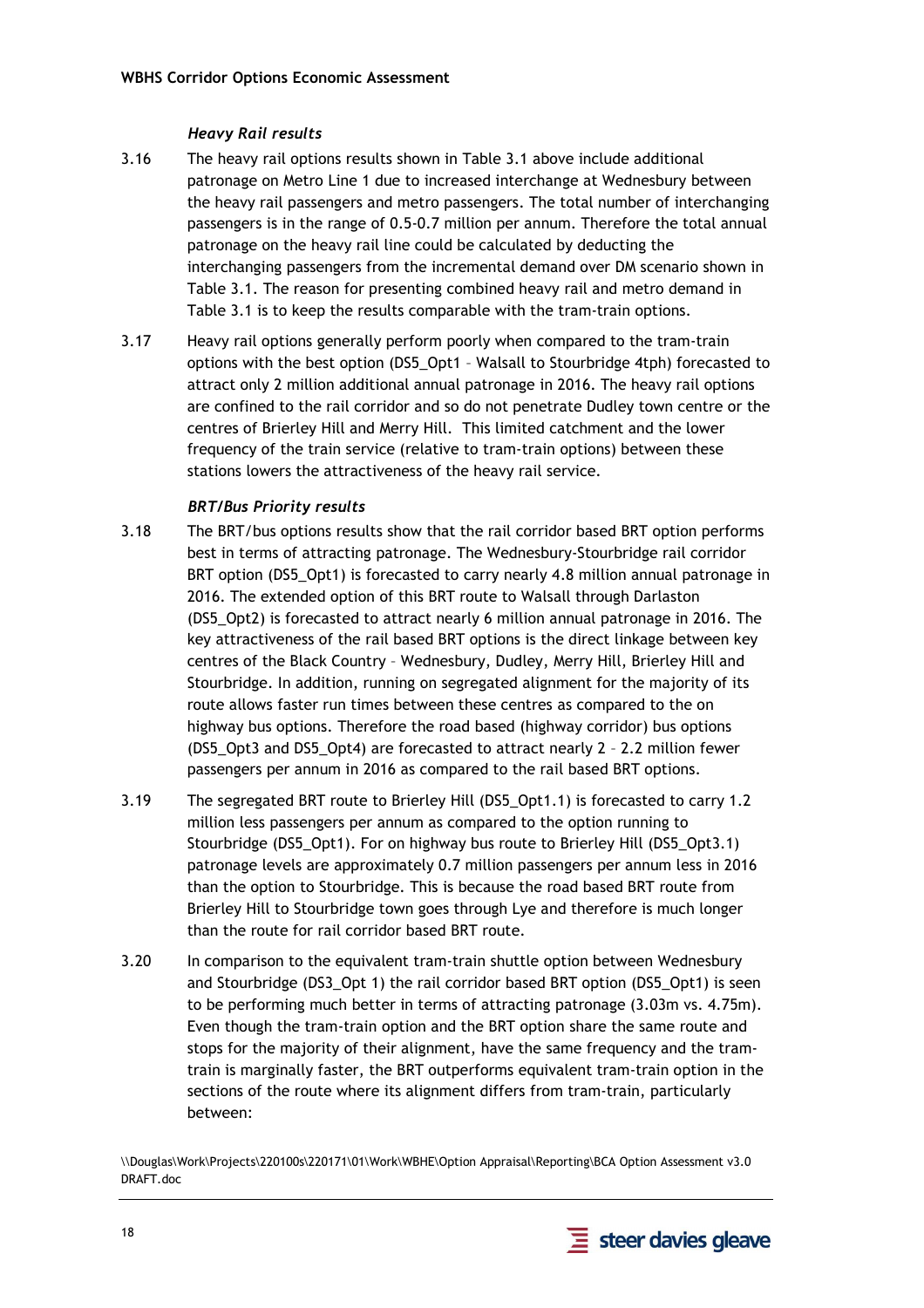#### *Heavy Rail results*

- 3.16 The heavy rail options results shown in Table 3.1 above include additional patronage on Metro Line 1 due to increased interchange at Wednesbury between the heavy rail passengers and metro passengers. The total number of interchanging passengers is in the range of 0.5-0.7 million per annum. Therefore the total annual patronage on the heavy rail line could be calculated by deducting the interchanging passengers from the incremental demand over DM scenario shown in Table 3.1. The reason for presenting combined heavy rail and metro demand in Table 3.1 is to keep the results comparable with the tram-train options.
- 3.17 Heavy rail options generally perform poorly when compared to the tram-train options with the best option (DS5\_Opt1 – Walsall to Stourbridge 4tph) forecasted to attract only 2 million additional annual patronage in 2016. The heavy rail options are confined to the rail corridor and so do not penetrate Dudley town centre or the centres of Brierley Hill and Merry Hill. This limited catchment and the lower frequency of the train service (relative to tram-train options) between these stations lowers the attractiveness of the heavy rail service.

#### *BRT/Bus Priority results*

- 3.18 The BRT/bus options results show that the rail corridor based BRT option performs best in terms of attracting patronage. The Wednesbury-Stourbridge rail corridor BRT option (DS5 Opt1) is forecasted to carry nearly 4.8 million annual patronage in 2016. The extended option of this BRT route to Walsall through Darlaston (DS5\_Opt2) is forecasted to attract nearly 6 million annual patronage in 2016. The key attractiveness of the rail based BRT options is the direct linkage between key centres of the Black Country – Wednesbury, Dudley, Merry Hill, Brierley Hill and Stourbridge. In addition, running on segregated alignment for the majority of its route allows faster run times between these centres as compared to the on highway bus options. Therefore the road based (highway corridor) bus options (DS5\_Opt3 and DS5\_Opt4) are forecasted to attract nearly 2 – 2.2 million fewer passengers per annum in 2016 as compared to the rail based BRT options.
- 3.19 The segregated BRT route to Brierley Hill (DS5\_Opt1.1) is forecasted to carry 1.2 million less passengers per annum as compared to the option running to Stourbridge (DS5\_Opt1). For on highway bus route to Brierley Hill (DS5\_Opt3.1) patronage levels are approximately 0.7 million passengers per annum less in 2016 than the option to Stourbridge. This is because the road based BRT route from Brierley Hill to Stourbridge town goes through Lye and therefore is much longer than the route for rail corridor based BRT route.
- 3.20 In comparison to the equivalent tram-train shuttle option between Wednesbury and Stourbridge (DS3\_Opt 1) the rail corridor based BRT option (DS5\_Opt1) is seen to be performing much better in terms of attracting patronage (3.03m vs. 4.75m). Even though the tram-train option and the BRT option share the same route and stops for the majority of their alignment, have the same frequency and the tramtrain is marginally faster, the BRT outperforms equivalent tram-train option in the sections of the route where its alignment differs from tram-train, particularly between:

<sup>\\</sup>Douglas\Work\Projects\220100s\220171\01\Work\WBHE\Option Appraisal\Reporting\BCA Option Assessment v3.0 DRAFT.doc

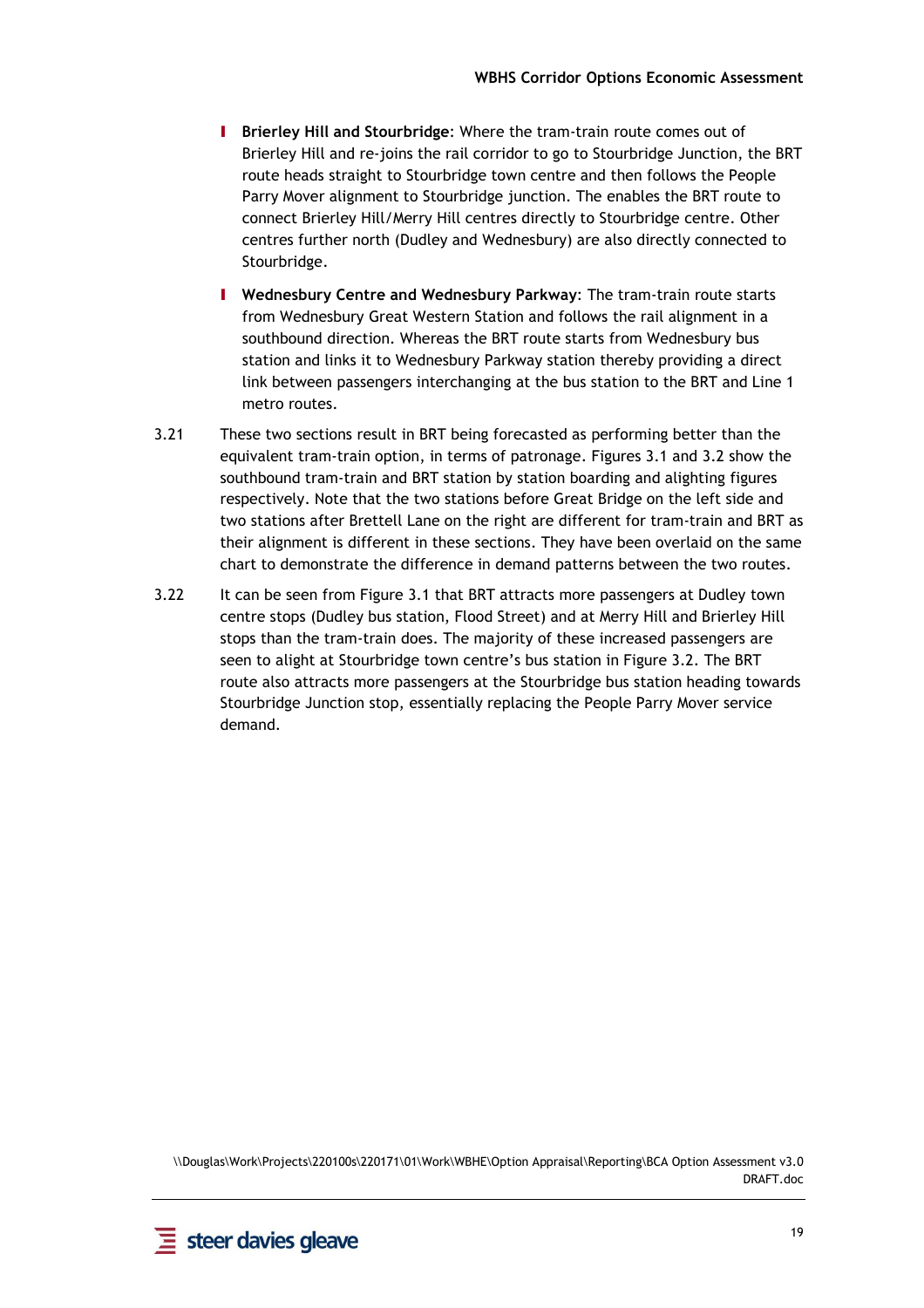- I **Brierley Hill and Stourbridge**: Where the tram-train route comes out of Brierley Hill and re-joins the rail corridor to go to Stourbridge Junction, the BRT route heads straight to Stourbridge town centre and then follows the People Parry Mover alignment to Stourbridge junction. The enables the BRT route to connect Brierley Hill/Merry Hill centres directly to Stourbridge centre. Other centres further north (Dudley and Wednesbury) are also directly connected to Stourbridge.
- I **Wednesbury Centre and Wednesbury Parkway**: The tram-train route starts from Wednesbury Great Western Station and follows the rail alignment in a southbound direction. Whereas the BRT route starts from Wednesbury bus station and links it to Wednesbury Parkway station thereby providing a direct link between passengers interchanging at the bus station to the BRT and Line 1 metro routes.
- 3.21 These two sections result in BRT being forecasted as performing better than the equivalent tram-train option, in terms of patronage. Figures 3.1 and 3.2 show the southbound tram-train and BRT station by station boarding and alighting figures respectively. Note that the two stations before Great Bridge on the left side and two stations after Brettell Lane on the right are different for tram-train and BRT as their alignment is different in these sections. They have been overlaid on the same chart to demonstrate the difference in demand patterns between the two routes.
- 3.22 It can be seen from Figure 3.1 that BRT attracts more passengers at Dudley town centre stops (Dudley bus station, Flood Street) and at Merry Hill and Brierley Hill stops than the tram-train does. The majority of these increased passengers are seen to alight at Stourbridge town centre's bus station in Figure 3.2. The BRT route also attracts more passengers at the Stourbridge bus station heading towards Stourbridge Junction stop, essentially replacing the People Parry Mover service demand.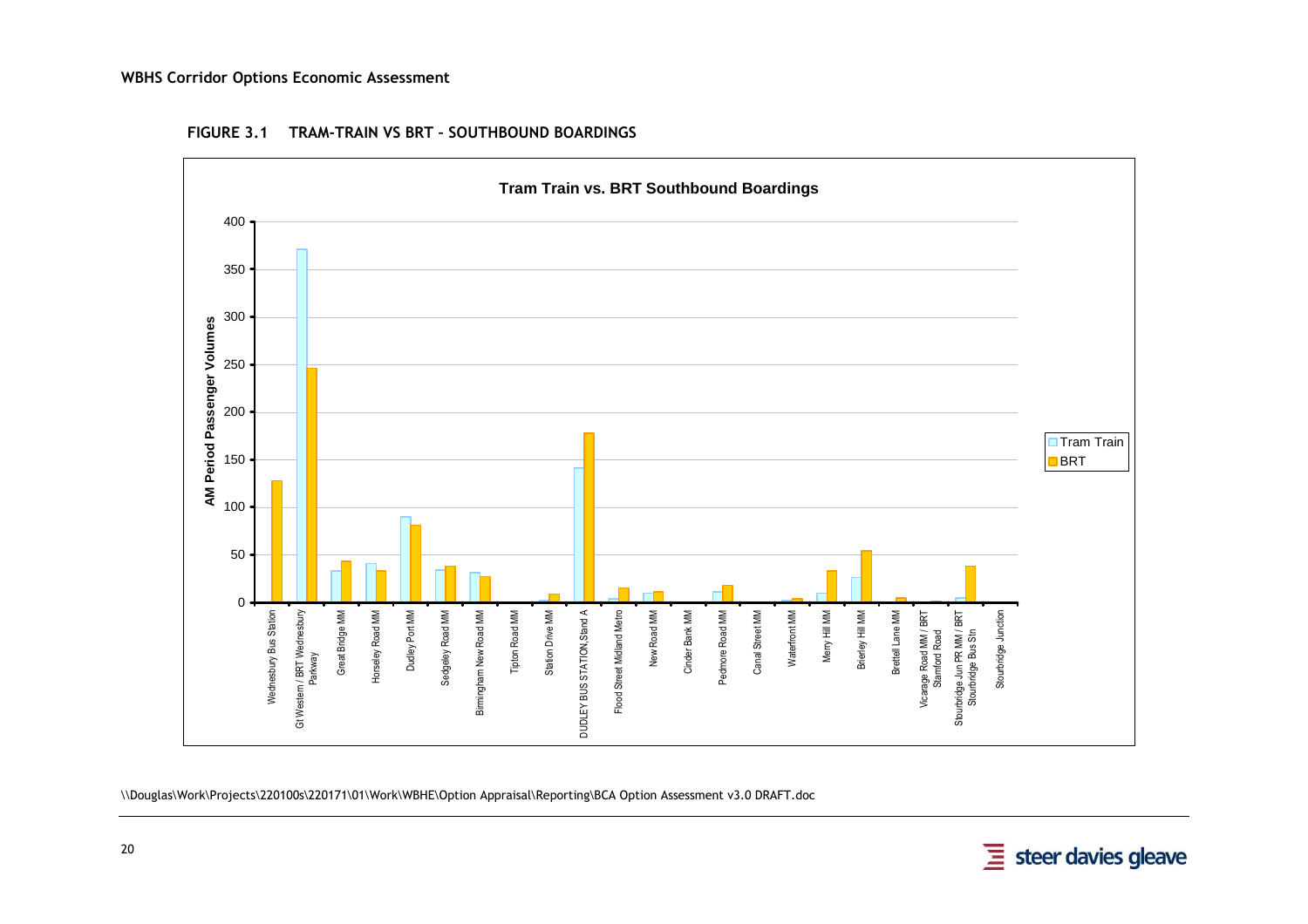#### **WBHS Corridor Options Economic Assessment**



#### **FIGURE 3.1 TRAM-TRAIN VS BRT – SOUTHBOUND BOARDINGS**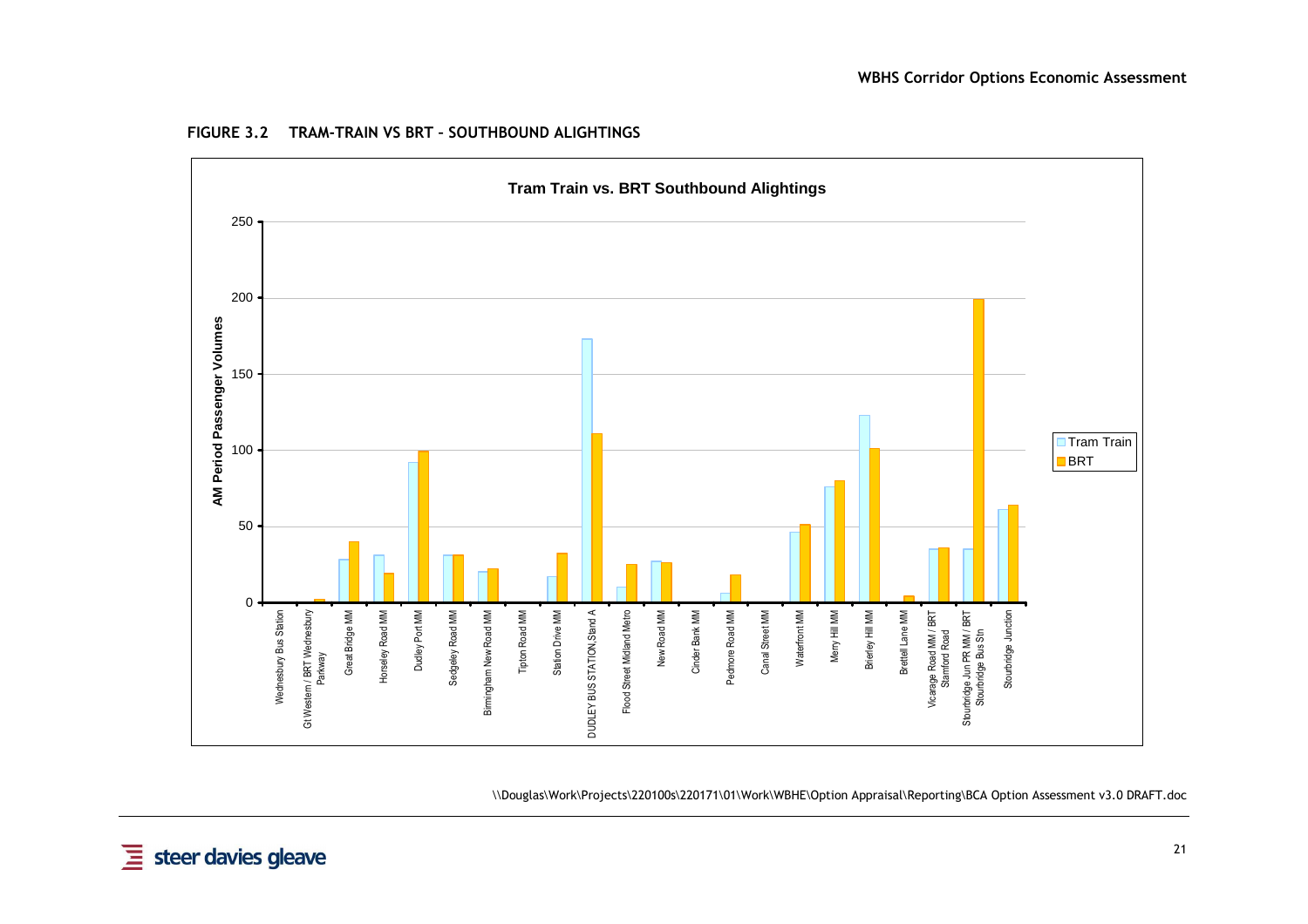

**FIGURE 3.2 TRAM-TRAIN VS BRT – SOUTHBOUND ALIGHTINGS**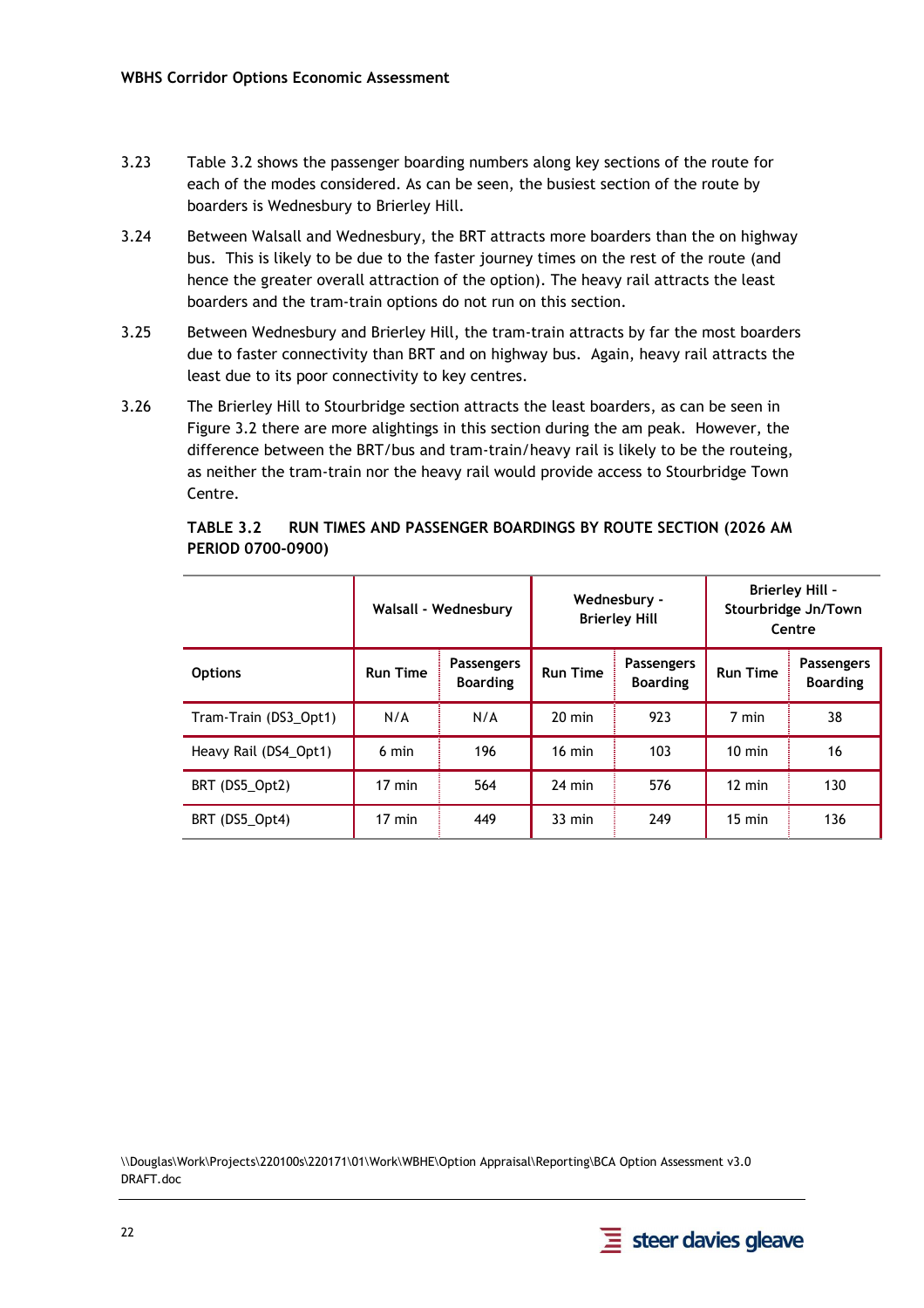- 3.23 Table 3.2 shows the passenger boarding numbers along key sections of the route for each of the modes considered. As can be seen, the busiest section of the route by boarders is Wednesbury to Brierley Hill.
- 3.24 Between Walsall and Wednesbury, the BRT attracts more boarders than the on highway bus. This is likely to be due to the faster journey times on the rest of the route (and hence the greater overall attraction of the option). The heavy rail attracts the least boarders and the tram-train options do not run on this section.
- 3.25 Between Wednesbury and Brierley Hill, the tram-train attracts by far the most boarders due to faster connectivity than BRT and on highway bus. Again, heavy rail attracts the least due to its poor connectivity to key centres.
- 3.26 The Brierley Hill to Stourbridge section attracts the least boarders, as can be seen in Figure 3.2 there are more alightings in this section during the am peak. However, the difference between the BRT/bus and tram-train/heavy rail is likely to be the routeing, as neither the tram-train nor the heavy rail would provide access to Stourbridge Town Centre.

|                       |                  | Walsall - Wednesbury                 | Wednesbury -<br><b>Brierley Hill</b> |                                      | <b>Brierley Hill -</b><br>Stourbridge Jn/Town<br>Centre |                                      |
|-----------------------|------------------|--------------------------------------|--------------------------------------|--------------------------------------|---------------------------------------------------------|--------------------------------------|
| <b>Options</b>        | <b>Run Time</b>  | <b>Passengers</b><br><b>Boarding</b> | <b>Run Time</b>                      | <b>Passengers</b><br><b>Boarding</b> | <b>Run Time</b>                                         | <b>Passengers</b><br><b>Boarding</b> |
| Tram-Train (DS3 Opt1) | N/A              | N/A                                  | $20 \text{ min}$                     | 923                                  | 7 min                                                   | 38                                   |
| Heavy Rail (DS4 Opt1) | 6 min            | 196                                  | $16 \text{ min}$                     | 103                                  | $10 \text{ min}$                                        | 16                                   |
| BRT (DS5_Opt2)        | $17 \text{ min}$ | 564                                  | $24 \text{ min}$                     | 576                                  | $12 \text{ min}$                                        | 130                                  |
| BRT (DS5_Opt4)        | $17 \text{ min}$ | 449                                  | $33 \text{ min}$                     | 249                                  | $15 \text{ min}$                                        | 136                                  |

**TABLE 3.2 RUN TIMES AND PASSENGER BOARDINGS BY ROUTE SECTION (2026 AM PERIOD 0700-0900)** 

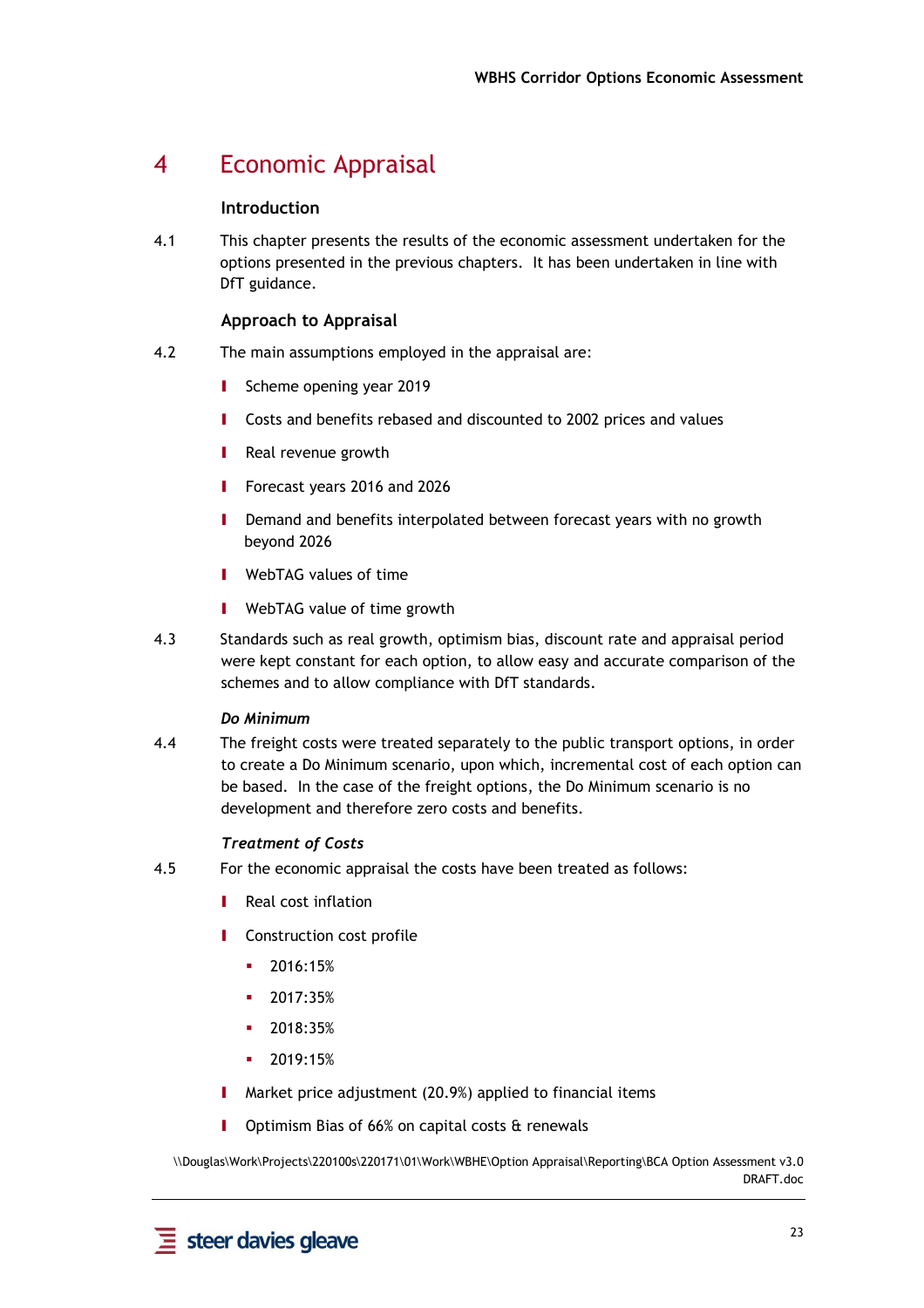## 4 Economic Appraisal

#### **Introduction**

4.1 This chapter presents the results of the economic assessment undertaken for the options presented in the previous chapters. It has been undertaken in line with DfT guidance.

#### **Approach to Appraisal**

- 4.2 The main assumptions employed in the appraisal are:
	- **I** Scheme opening year 2019
	- **I** Costs and benefits rebased and discounted to 2002 prices and values
	- **I** Real revenue growth
	- **I** Forecast years 2016 and 2026
	- **I** Demand and benefits interpolated between forecast years with no growth beyond 2026
	- **I** WebTAG values of time
	- **I** WebTAG value of time growth
- 4.3 Standards such as real growth, optimism bias, discount rate and appraisal period were kept constant for each option, to allow easy and accurate comparison of the schemes and to allow compliance with DfT standards.

#### *Do Minimum*

4.4 The freight costs were treated separately to the public transport options, in order to create a Do Minimum scenario, upon which, incremental cost of each option can be based. In the case of the freight options, the Do Minimum scenario is no development and therefore zero costs and benefits.

#### *Treatment of Costs*

- 4.5 For the economic appraisal the costs have been treated as follows:
	- **I** Real cost inflation
	- **I** Construction cost profile
		- $-2016:15%$
		- $-2017:35%$
		- $-2018:35%$
		- $-2019:15%$
	- **I** Market price adjustment (20.9%) applied to financial items
	- **I** Optimism Bias of 66% on capital costs & renewals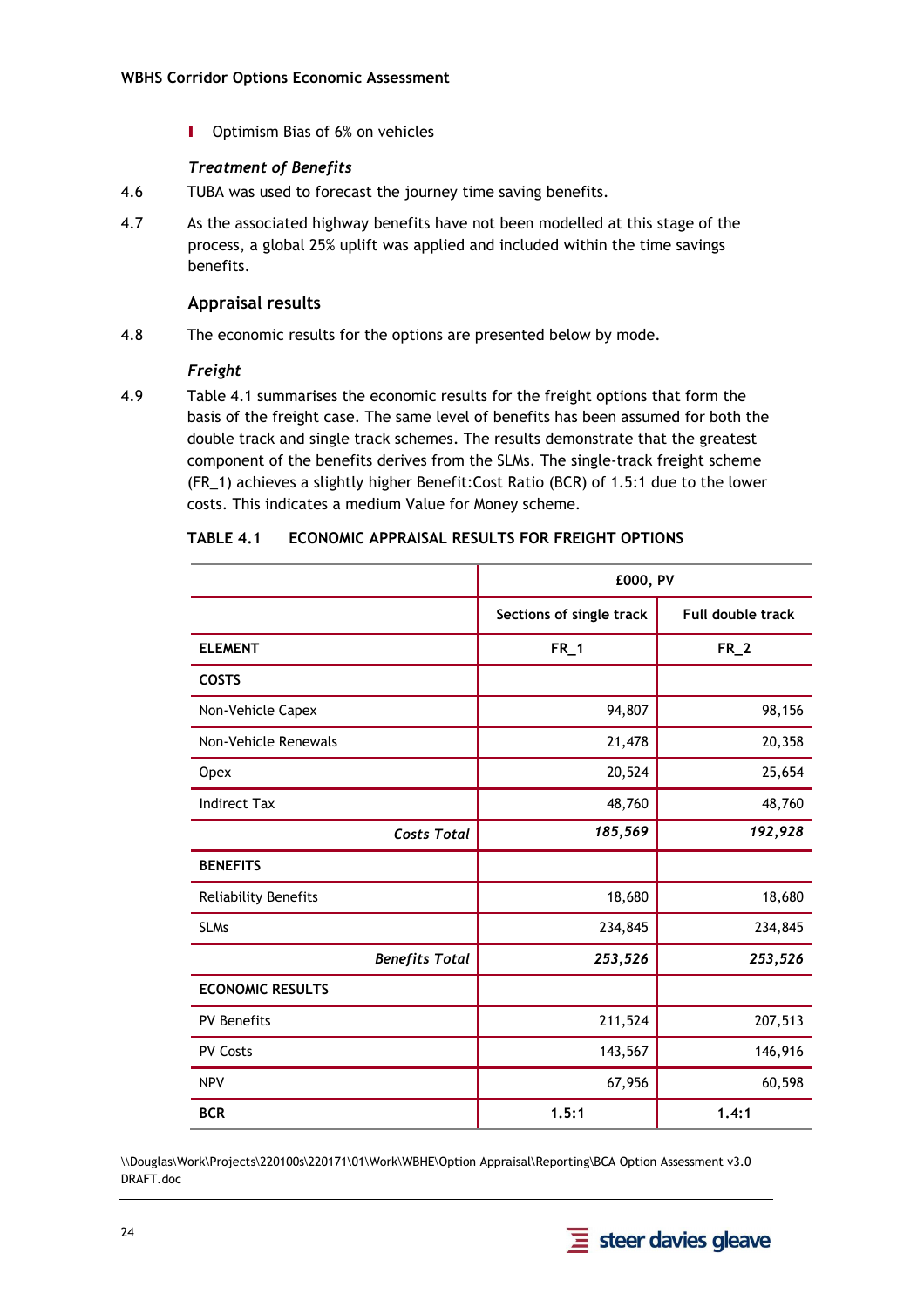**I** Optimism Bias of 6% on vehicles

#### *Treatment of Benefits*

- 4.6 TUBA was used to forecast the journey time saving benefits.
- 4.7 As the associated highway benefits have not been modelled at this stage of the process, a global 25% uplift was applied and included within the time savings benefits.

#### **Appraisal results**

4.8 The economic results for the options are presented below by mode.

#### *Freight*

4.9 Table 4.1 summarises the economic results for the freight options that form the basis of the freight case. The same level of benefits has been assumed for both the double track and single track schemes. The results demonstrate that the greatest component of the benefits derives from the SLMs. The single-track freight scheme (FR\_1) achieves a slightly higher Benefit:Cost Ratio (BCR) of 1.5:1 due to the lower costs. This indicates a medium Value for Money scheme.

|                         | £000, PV                 |                   |
|-------------------------|--------------------------|-------------------|
|                         | Sections of single track | Full double track |
| <b>ELEMENT</b>          | $FR_1$                   | $FR_2$            |
| <b>COSTS</b>            |                          |                   |
| Non-Vehicle Capex       | 94,807                   | 98,156            |
| Non-Vehicle Renewals    | 21,478                   | 20,358            |
| Opex                    | 20,524                   | 25,654            |
| <b>Indirect Tax</b>     | 48,760                   | 48,760            |
| <b>Costs Total</b>      | 185,569                  | 192,928           |
| <b>BENEFITS</b>         |                          |                   |
| Reliability Benefits    | 18,680                   | 18,680            |
| <b>SLMs</b>             | 234,845                  | 234,845           |
| <b>Benefits Total</b>   | 253,526                  | 253,526           |
| <b>ECONOMIC RESULTS</b> |                          |                   |
| <b>PV Benefits</b>      | 211,524                  | 207,513           |
| <b>PV Costs</b>         | 143,567                  | 146,916           |
| <b>NPV</b>              | 67,956                   | 60,598            |
| <b>BCR</b>              | 1.5:1                    | 1.4:1             |

| TABLE 4.1 | <b>ECONOMIC APPRAISAL RESULTS FOR FREIGHT OPTIONS</b> |  |
|-----------|-------------------------------------------------------|--|
|           |                                                       |  |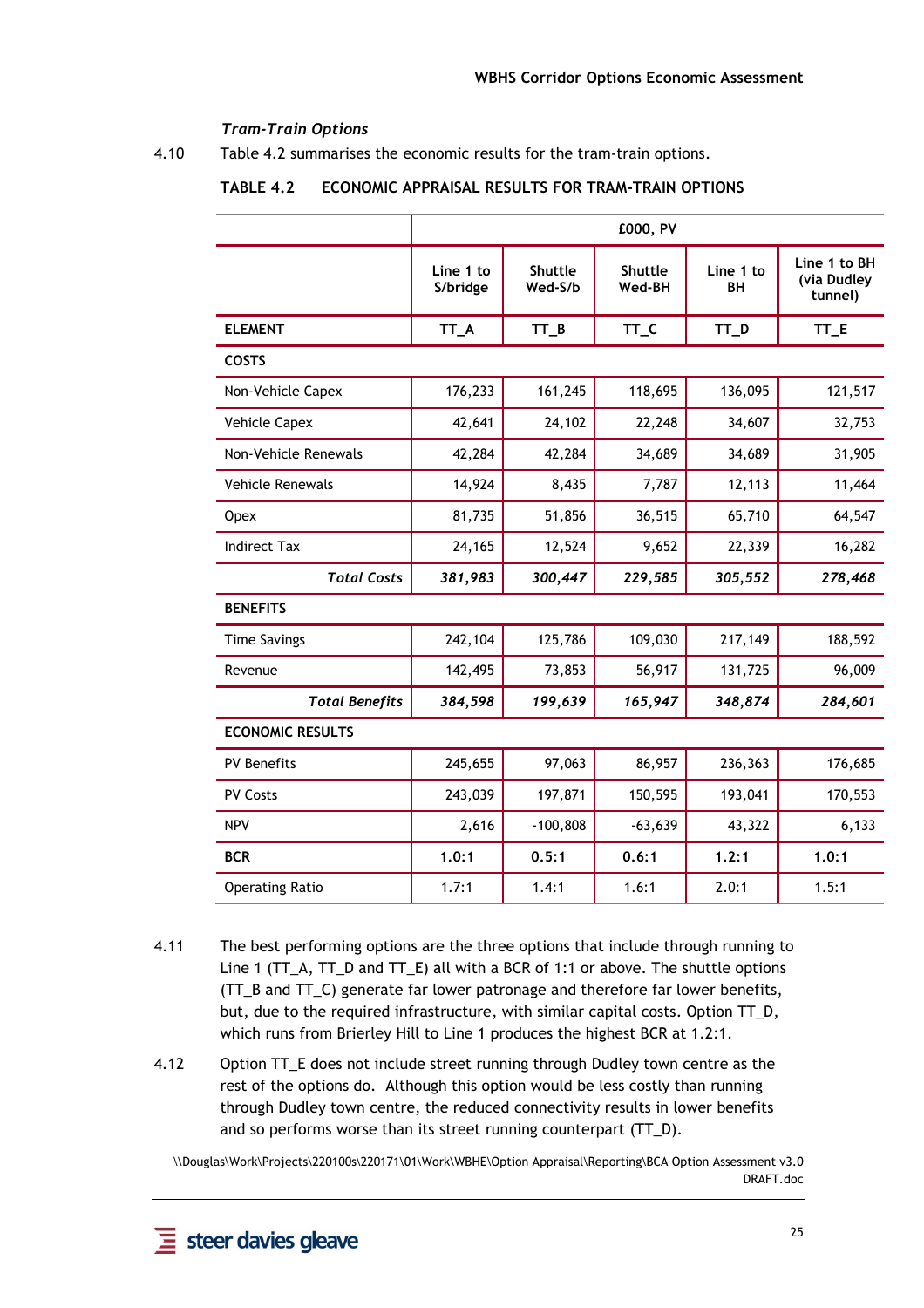#### *Tram-Train Options*

4.10 Table 4.2 summarises the economic results for the tram-train options.

|                         |                       |                    | £000, PV          |                 |                                        |
|-------------------------|-----------------------|--------------------|-------------------|-----------------|----------------------------------------|
|                         | Line 1 to<br>S/bridge | Shuttle<br>Wed-S/b | Shuttle<br>Wed-BH | Line 1 to<br>BН | Line 1 to BH<br>(via Dudley<br>tunnel) |
| <b>ELEMENT</b>          | TT_A                  | $TT_B$             | TT_C              | TT_D            | TT_E                                   |
| <b>COSTS</b>            |                       |                    |                   |                 |                                        |
| Non-Vehicle Capex       | 176,233               | 161,245            | 118,695           | 136,095         | 121,517                                |
| <b>Vehicle Capex</b>    | 42,641                | 24,102             | 22,248            | 34,607          | 32,753                                 |
| Non-Vehicle Renewals    | 42,284                | 42,284             | 34,689            | 34,689          | 31,905                                 |
| <b>Vehicle Renewals</b> | 14,924                | 8,435              | 7,787             | 12,113          | 11,464                                 |
| Opex                    | 81,735                | 51,856             | 36,515            | 65,710          | 64,547                                 |
| <b>Indirect Tax</b>     | 24,165                | 12,524             | 9,652             | 22,339          | 16,282                                 |
| <b>Total Costs</b>      | 381,983               | 300,447            | 229,585           | 305,552         | 278,468                                |
| <b>BENEFITS</b>         |                       |                    |                   |                 |                                        |
| <b>Time Savings</b>     | 242,104               | 125,786            | 109,030           | 217,149         | 188,592                                |
| Revenue                 | 142,495               | 73,853             | 56,917            | 131,725         | 96,009                                 |
| <b>Total Benefits</b>   | 384,598               | 199,639            | 165,947           | 348,874         | 284,601                                |
| <b>ECONOMIC RESULTS</b> |                       |                    |                   |                 |                                        |
| <b>PV Benefits</b>      | 245,655               | 97,063             | 86,957            | 236,363         | 176,685                                |
| <b>PV Costs</b>         | 243,039               | 197,871            | 150,595           | 193,041         | 170,553                                |
| <b>NPV</b>              | 2,616                 | $-100,808$         | $-63,639$         | 43,322          | 6,133                                  |
| <b>BCR</b>              | 1.0:1                 | 0.5:1              | 0.6:1             | 1.2:1           | 1.0:1                                  |
| <b>Operating Ratio</b>  | 1.7:1                 | 1.4:1              | 1.6:1             | 2.0:1           | 1.5:1                                  |

#### **TABLE 4.2 ECONOMIC APPRAISAL RESULTS FOR TRAM-TRAIN OPTIONS**

- 4.11 The best performing options are the three options that include through running to Line 1 (TT\_A, TT\_D and TT\_E) all with a BCR of 1:1 or above. The shuttle options (TT\_B and TT\_C) generate far lower patronage and therefore far lower benefits, but, due to the required infrastructure, with similar capital costs. Option TT\_D, which runs from Brierley Hill to Line 1 produces the highest BCR at 1.2:1.
- 4.12 Option TT\_E does not include street running through Dudley town centre as the rest of the options do. Although this option would be less costly than running through Dudley town centre, the reduced connectivity results in lower benefits and so performs worse than its street running counterpart (TT\_D).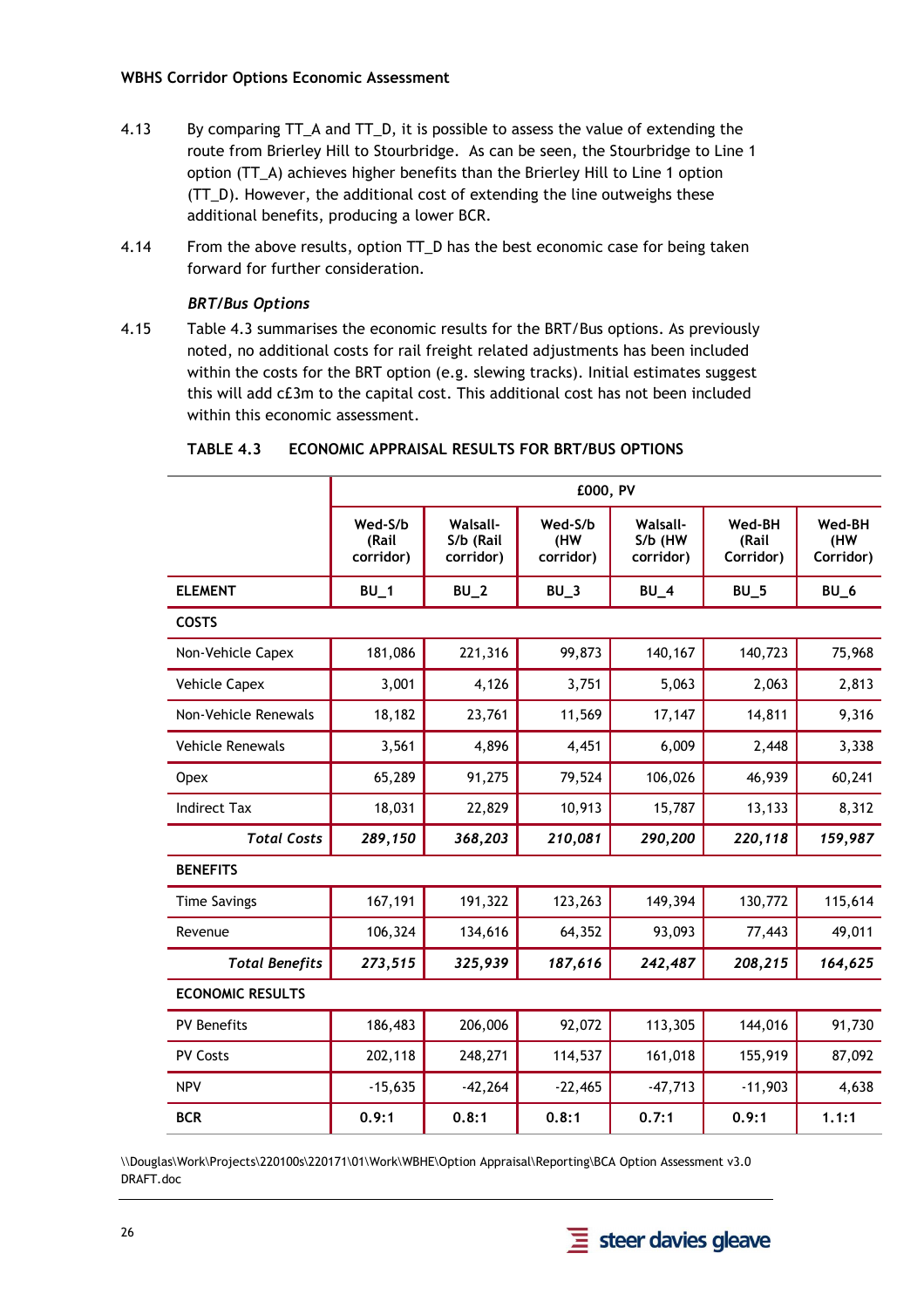- 4.13 By comparing TT\_A and TT\_D, it is possible to assess the value of extending the route from Brierley Hill to Stourbridge. As can be seen, the Stourbridge to Line 1 option (TT\_A) achieves higher benefits than the Brierley Hill to Line 1 option (TT\_D). However, the additional cost of extending the line outweighs these additional benefits, producing a lower BCR.
- 4.14 From the above results, option TT\_D has the best economic case for being taken forward for further consideration.

#### *BRT/Bus Options*

4.15 Table 4.3 summarises the economic results for the BRT/Bus options. As previously noted, no additional costs for rail freight related adjustments has been included within the costs for the BRT option (e.g. slewing tracks). Initial estimates suggest this will add c£3m to the capital cost. This additional cost has not been included within this economic assessment.

|                         |                               |                                           | £000, PV                    |                                         |                              |                            |
|-------------------------|-------------------------------|-------------------------------------------|-----------------------------|-----------------------------------------|------------------------------|----------------------------|
|                         | Wed-S/b<br>(Rail<br>corridor) | <b>Walsall-</b><br>S/b (Rail<br>corridor) | Wed-S/b<br>(HW<br>corridor) | <b>Walsall-</b><br>S/b (HW<br>corridor) | Wed-BH<br>(Rail<br>Corridor) | Wed-BH<br>(HW<br>Corridor) |
| <b>ELEMENT</b>          | $BU_1$                        | $BU_2$                                    | $BU_3$                      | $BU_4$                                  | $BU_5$                       | $BU_6$                     |
| <b>COSTS</b>            |                               |                                           |                             |                                         |                              |                            |
| Non-Vehicle Capex       | 181,086                       | 221,316                                   | 99,873                      | 140,167                                 | 140,723                      | 75,968                     |
| <b>Vehicle Capex</b>    | 3,001                         | 4,126                                     | 3,751                       | 5,063                                   | 2,063                        | 2,813                      |
| Non-Vehicle Renewals    | 18,182                        | 23,761                                    | 11,569                      | 17,147                                  | 14,811                       | 9,316                      |
| <b>Vehicle Renewals</b> | 3,561                         | 4,896                                     | 4,451                       | 6,009                                   | 2,448                        | 3,338                      |
| <b>Opex</b>             | 65,289                        | 91,275                                    | 79,524                      | 106,026                                 | 46,939                       | 60,241                     |
| <b>Indirect Tax</b>     | 18,031                        | 22,829                                    | 10,913                      | 15,787                                  | 13,133                       | 8,312                      |
| <b>Total Costs</b>      | 289,150                       | 368,203                                   | 210,081                     | 290,200                                 | 220,118                      | 159,987                    |
| <b>BENEFITS</b>         |                               |                                           |                             |                                         |                              |                            |
| <b>Time Savings</b>     | 167,191                       | 191,322                                   | 123,263                     | 149,394                                 | 130,772                      | 115,614                    |
| Revenue                 | 106,324                       | 134,616                                   | 64,352                      | 93,093                                  | 77,443                       | 49,011                     |
| <b>Total Benefits</b>   | 273,515                       | 325,939                                   | 187,616                     | 242,487                                 | 208,215                      | 164,625                    |
| <b>ECONOMIC RESULTS</b> |                               |                                           |                             |                                         |                              |                            |
| <b>PV Benefits</b>      | 186,483                       | 206,006                                   | 92,072                      | 113,305                                 | 144,016                      | 91,730                     |
| <b>PV Costs</b>         | 202,118                       | 248,271                                   | 114,537                     | 161,018                                 | 155,919                      | 87,092                     |
| <b>NPV</b>              | $-15,635$                     | $-42,264$                                 | $-22,465$                   | $-47,713$                               | $-11,903$                    | 4,638                      |
| <b>BCR</b>              | 0.9:1                         | 0.8:1                                     | 0.8:1                       | 0.7:1                                   | 0.9:1                        | 1.1:1                      |

#### **TABLE 4.3 ECONOMIC APPRAISAL RESULTS FOR BRT/BUS OPTIONS**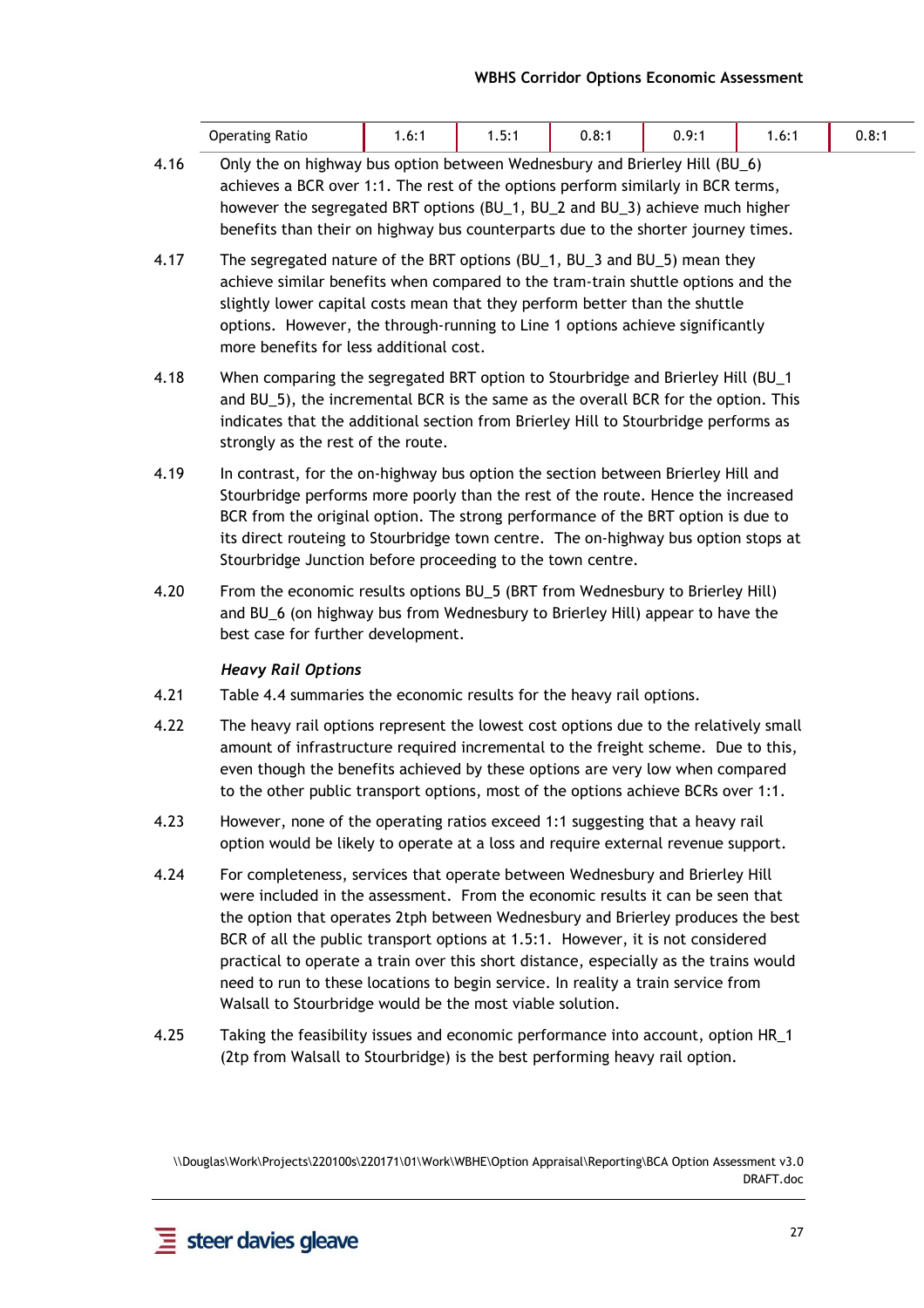| Ratio<br>Operating | .6: | $-$<br>ъ. -<br>. | $\mathbf{o}$ .<br>∪.o. i | $\Omega$<br>v. | ∴6: ا | $0.\circ.$ |
|--------------------|-----|------------------|--------------------------|----------------|-------|------------|
|                    |     |                  |                          |                |       |            |

- 4.16 Only the on highway bus option between Wednesbury and Brierley Hill (BU\_6) achieves a BCR over 1:1. The rest of the options perform similarly in BCR terms, however the segregated BRT options (BU\_1, BU\_2 and BU\_3) achieve much higher benefits than their on highway bus counterparts due to the shorter journey times.
- 4.17 The segregated nature of the BRT options (BU\_1, BU\_3 and BU\_5) mean they achieve similar benefits when compared to the tram-train shuttle options and the slightly lower capital costs mean that they perform better than the shuttle options. However, the through-running to Line 1 options achieve significantly more benefits for less additional cost.
- 4.18 When comparing the segregated BRT option to Stourbridge and Brierley Hill (BU\_1 and BU\_5), the incremental BCR is the same as the overall BCR for the option. This indicates that the additional section from Brierley Hill to Stourbridge performs as strongly as the rest of the route.
- 4.19 In contrast, for the on-highway bus option the section between Brierley Hill and Stourbridge performs more poorly than the rest of the route. Hence the increased BCR from the original option. The strong performance of the BRT option is due to its direct routeing to Stourbridge town centre. The on-highway bus option stops at Stourbridge Junction before proceeding to the town centre.
- 4.20 From the economic results options BU\_5 (BRT from Wednesbury to Brierley Hill) and BU\_6 (on highway bus from Wednesbury to Brierley Hill) appear to have the best case for further development.

#### *Heavy Rail Options*

- 4.21 Table 4.4 summaries the economic results for the heavy rail options.
- 4.22 The heavy rail options represent the lowest cost options due to the relatively small amount of infrastructure required incremental to the freight scheme. Due to this, even though the benefits achieved by these options are very low when compared to the other public transport options, most of the options achieve BCRs over 1:1.
- 4.23 However, none of the operating ratios exceed 1:1 suggesting that a heavy rail option would be likely to operate at a loss and require external revenue support.
- 4.24 For completeness, services that operate between Wednesbury and Brierley Hill were included in the assessment. From the economic results it can be seen that the option that operates 2tph between Wednesbury and Brierley produces the best BCR of all the public transport options at 1.5:1. However, it is not considered practical to operate a train over this short distance, especially as the trains would need to run to these locations to begin service. In reality a train service from Walsall to Stourbridge would be the most viable solution.
- 4.25 Taking the feasibility issues and economic performance into account, option HR\_1 (2tp from Walsall to Stourbridge) is the best performing heavy rail option.

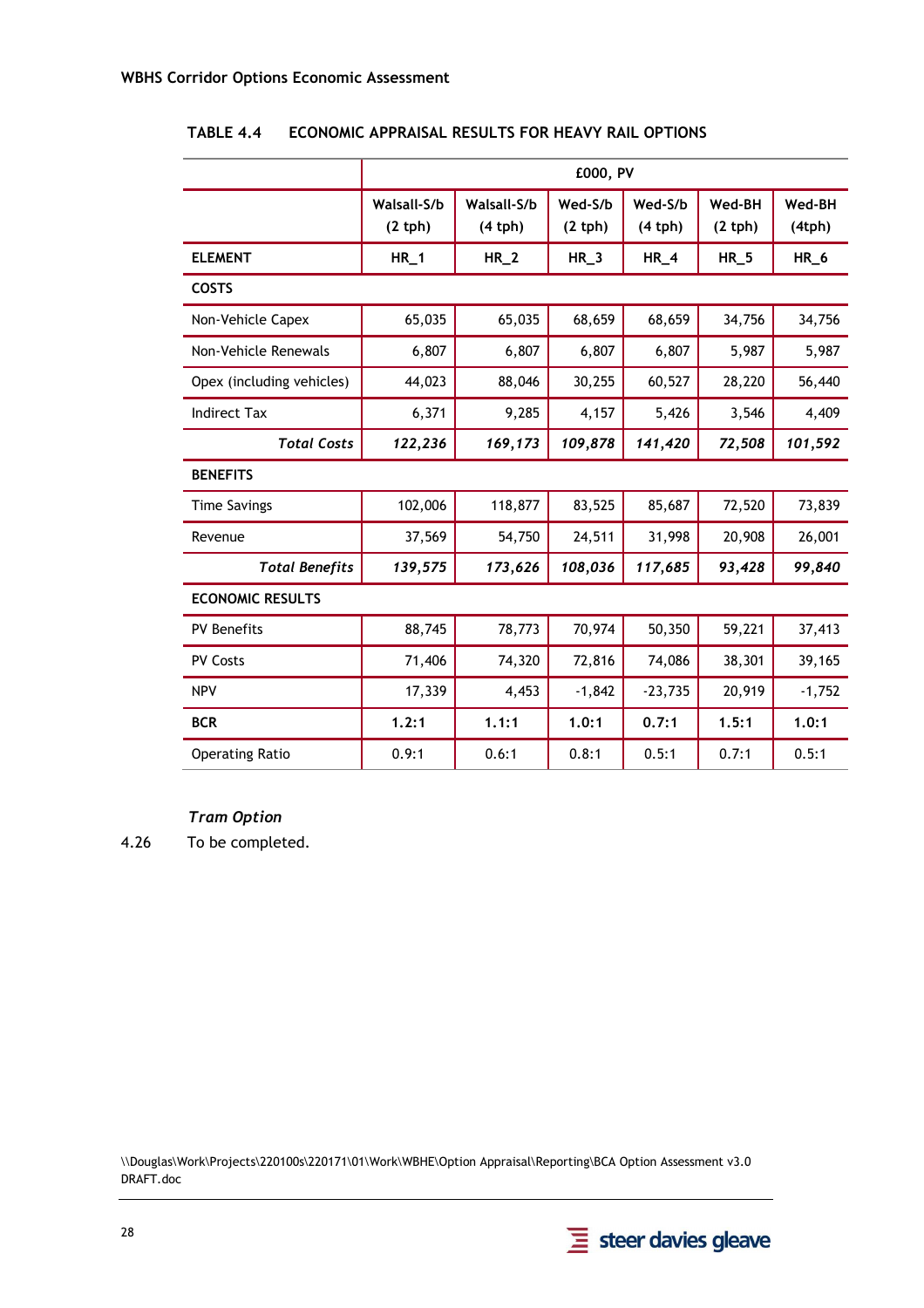|                           | £000, PV              |                       |                   |                   |                  |                               |  |  |
|---------------------------|-----------------------|-----------------------|-------------------|-------------------|------------------|-------------------------------|--|--|
|                           | Walsall-S/b<br>(2 th) | Walsall-S/b<br>(4 th) | Wed-S/b<br>(2 th) | Wed-S/b<br>(4 th) | Wed-BH<br>(2 th) | Wed-BH<br>(4 <sub>tp</sub> h) |  |  |
| <b>ELEMENT</b>            | $HR_1$                | $HR_2$                | $HR_3$            | $HR_4$            | $HR_5$           | $HR_6$                        |  |  |
| <b>COSTS</b>              |                       |                       |                   |                   |                  |                               |  |  |
| Non-Vehicle Capex         | 65,035                | 65,035                | 68,659            | 68,659            | 34,756           | 34,756                        |  |  |
| Non-Vehicle Renewals      | 6,807                 | 6,807                 | 6,807             | 6,807             | 5,987            | 5,987                         |  |  |
| Opex (including vehicles) | 44,023                | 88,046                | 30,255            | 60,527            | 28,220           | 56,440                        |  |  |
| <b>Indirect Tax</b>       | 6,371                 | 9,285                 | 4,157             | 5,426             | 3,546            | 4,409                         |  |  |
| <b>Total Costs</b>        | 122,236               | 169,173               | 109,878           | 141,420           | 72,508           | 101,592                       |  |  |
| <b>BENEFITS</b>           |                       |                       |                   |                   |                  |                               |  |  |
| <b>Time Savings</b>       | 102,006               | 118,877               | 83,525            | 85,687            | 72,520           | 73,839                        |  |  |
| Revenue                   | 37,569                | 54,750                | 24,511            | 31,998            | 20,908           | 26,001                        |  |  |
| <b>Total Benefits</b>     | 139,575               | 173,626               | 108,036           | 117,685           | 93,428           | 99,840                        |  |  |
| <b>ECONOMIC RESULTS</b>   |                       |                       |                   |                   |                  |                               |  |  |
| <b>PV Benefits</b>        | 88,745                | 78,773                | 70,974            | 50,350            | 59,221           | 37,413                        |  |  |
| <b>PV Costs</b>           | 71,406                | 74,320                | 72,816            | 74,086            | 38,301           | 39,165                        |  |  |
| <b>NPV</b>                | 17,339                | 4,453                 | $-1,842$          | $-23,735$         | 20,919           | $-1,752$                      |  |  |
| <b>BCR</b>                | 1.2:1                 | 1.1:1                 | 1.0:1             | 0.7:1             | 1.5:1            | 1.0:1                         |  |  |
| <b>Operating Ratio</b>    | 0.9:1                 | 0.6:1                 | 0.8:1             | 0.5:1             | 0.7:1            | 0.5:1                         |  |  |

**TABLE 4.4 ECONOMIC APPRAISAL RESULTS FOR HEAVY RAIL OPTIONS** 

*Tram Option* 

4.26 To be completed.

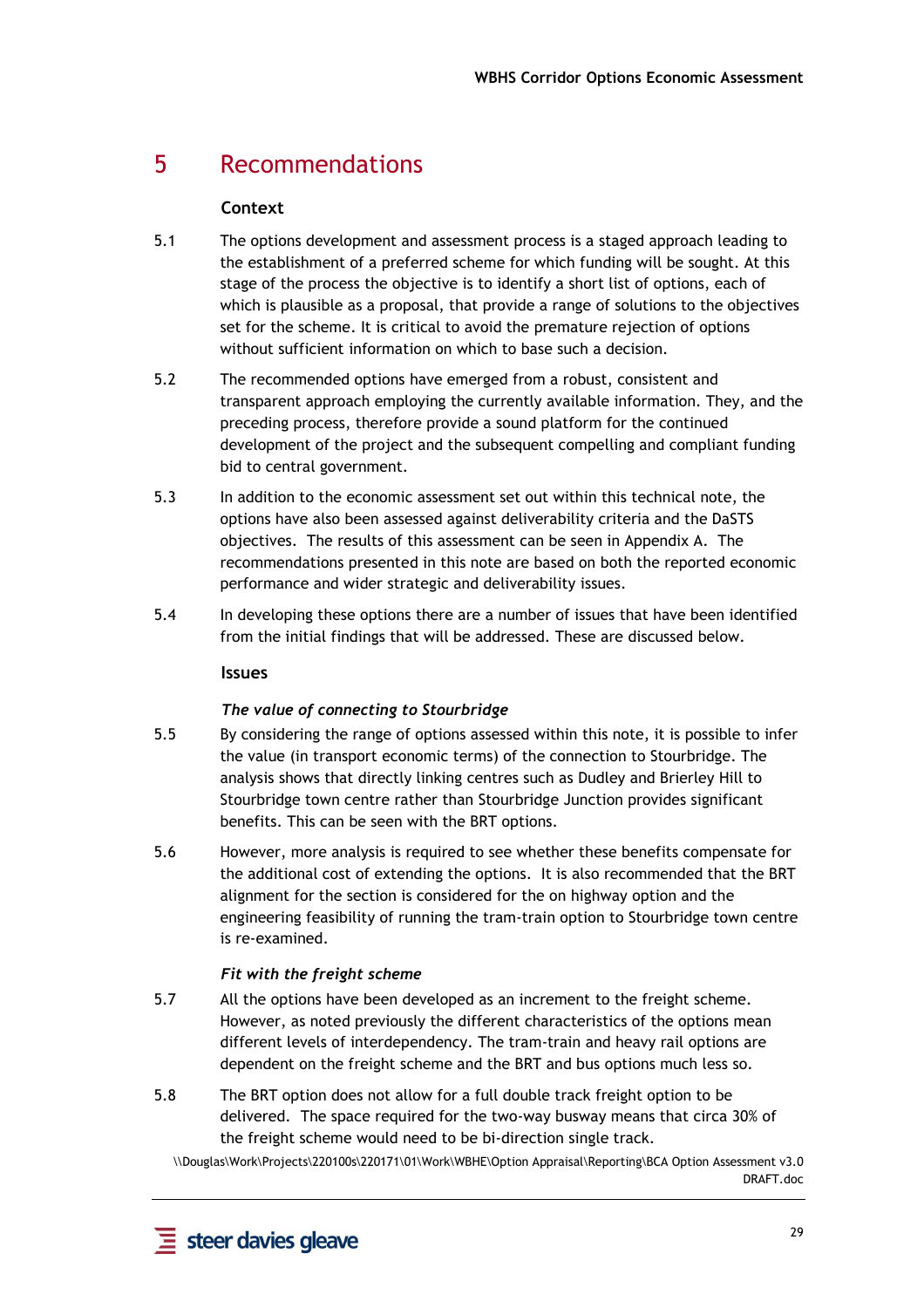## 5 Recommendations

#### **Context**

- 5.1 The options development and assessment process is a staged approach leading to the establishment of a preferred scheme for which funding will be sought. At this stage of the process the objective is to identify a short list of options, each of which is plausible as a proposal, that provide a range of solutions to the objectives set for the scheme. It is critical to avoid the premature rejection of options without sufficient information on which to base such a decision.
- 5.2 The recommended options have emerged from a robust, consistent and transparent approach employing the currently available information. They, and the preceding process, therefore provide a sound platform for the continued development of the project and the subsequent compelling and compliant funding bid to central government.
- 5.3 In addition to the economic assessment set out within this technical note, the options have also been assessed against deliverability criteria and the DaSTS objectives. The results of this assessment can be seen in Appendix A. The recommendations presented in this note are based on both the reported economic performance and wider strategic and deliverability issues.
- 5.4 In developing these options there are a number of issues that have been identified from the initial findings that will be addressed. These are discussed below.

#### **Issues**

#### *The value of connecting to Stourbridge*

- 5.5 By considering the range of options assessed within this note, it is possible to infer the value (in transport economic terms) of the connection to Stourbridge. The analysis shows that directly linking centres such as Dudley and Brierley Hill to Stourbridge town centre rather than Stourbridge Junction provides significant benefits. This can be seen with the BRT options.
- 5.6 However, more analysis is required to see whether these benefits compensate for the additional cost of extending the options. It is also recommended that the BRT alignment for the section is considered for the on highway option and the engineering feasibility of running the tram-train option to Stourbridge town centre is re-examined.

#### *Fit with the freight scheme*

- 5.7 All the options have been developed as an increment to the freight scheme. However, as noted previously the different characteristics of the options mean different levels of interdependency. The tram-train and heavy rail options are dependent on the freight scheme and the BRT and bus options much less so.
- 5.8 The BRT option does not allow for a full double track freight option to be delivered. The space required for the two-way busway means that circa 30% of the freight scheme would need to be bi-direction single track.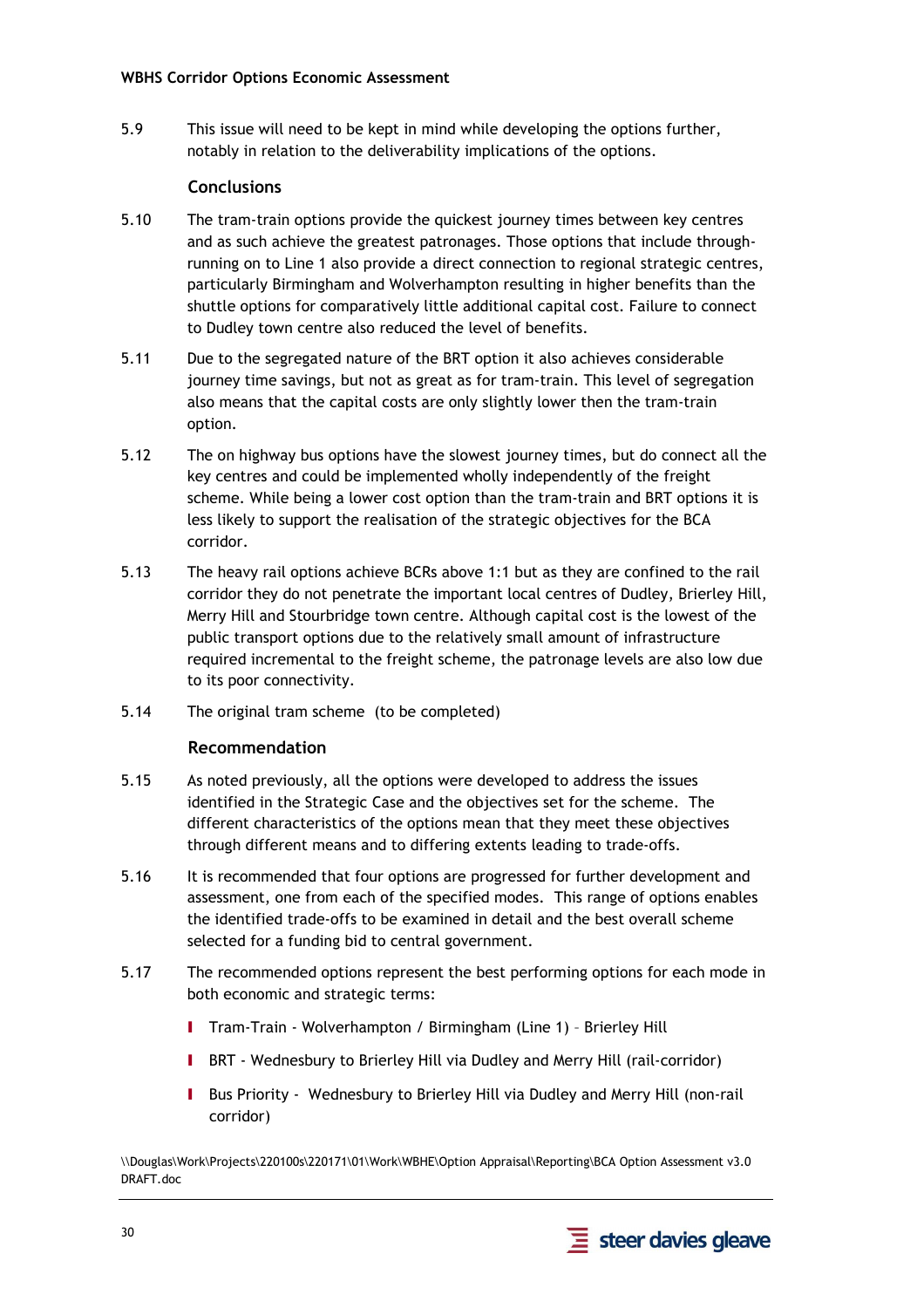5.9 This issue will need to be kept in mind while developing the options further, notably in relation to the deliverability implications of the options.

#### **Conclusions**

- 5.10 The tram-train options provide the quickest journey times between key centres and as such achieve the greatest patronages. Those options that include throughrunning on to Line 1 also provide a direct connection to regional strategic centres, particularly Birmingham and Wolverhampton resulting in higher benefits than the shuttle options for comparatively little additional capital cost. Failure to connect to Dudley town centre also reduced the level of benefits.
- 5.11 Due to the segregated nature of the BRT option it also achieves considerable journey time savings, but not as great as for tram-train. This level of segregation also means that the capital costs are only slightly lower then the tram-train option.
- 5.12 The on highway bus options have the slowest journey times, but do connect all the key centres and could be implemented wholly independently of the freight scheme. While being a lower cost option than the tram-train and BRT options it is less likely to support the realisation of the strategic objectives for the BCA corridor.
- 5.13 The heavy rail options achieve BCRs above 1:1 but as they are confined to the rail corridor they do not penetrate the important local centres of Dudley, Brierley Hill, Merry Hill and Stourbridge town centre. Although capital cost is the lowest of the public transport options due to the relatively small amount of infrastructure required incremental to the freight scheme, the patronage levels are also low due to its poor connectivity.
- 5.14 The original tram scheme (to be completed)

#### **Recommendation**

- 5.15 As noted previously, all the options were developed to address the issues identified in the Strategic Case and the objectives set for the scheme. The different characteristics of the options mean that they meet these objectives through different means and to differing extents leading to trade-offs.
- 5.16 It is recommended that four options are progressed for further development and assessment, one from each of the specified modes. This range of options enables the identified trade-offs to be examined in detail and the best overall scheme selected for a funding bid to central government.
- 5.17 The recommended options represent the best performing options for each mode in both economic and strategic terms:
	- I Tram-Train Wolverhampton / Birmingham (Line 1) Brierley Hill
	- I BRT Wednesbury to Brierley Hill via Dudley and Merry Hill (rail-corridor)
	- I Bus Priority Wednesbury to Brierley Hill via Dudley and Merry Hill (non-rail corridor)

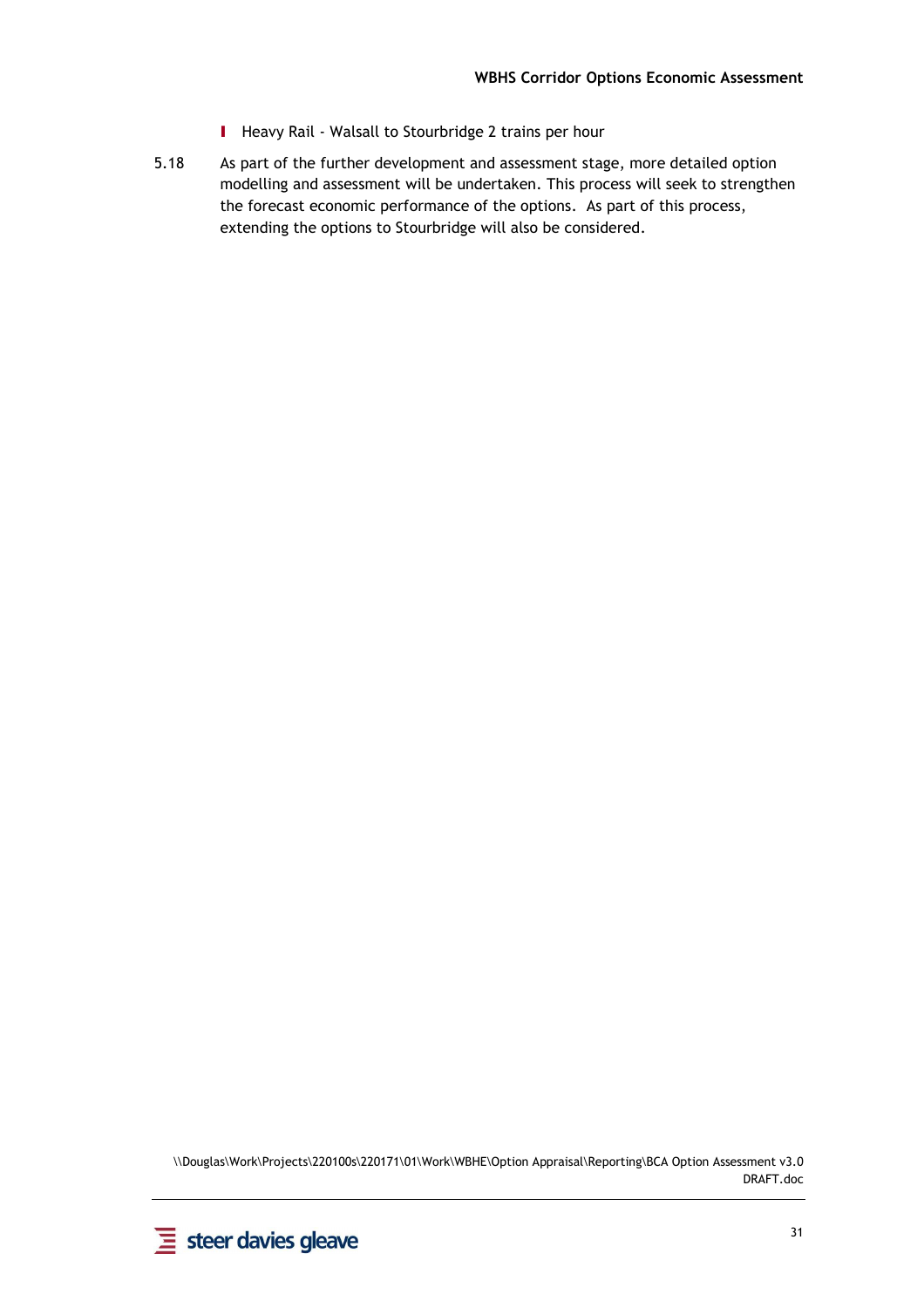- I Heavy Rail Walsall to Stourbridge 2 trains per hour
- 5.18 As part of the further development and assessment stage, more detailed option modelling and assessment will be undertaken. This process will seek to strengthen the forecast economic performance of the options. As part of this process, extending the options to Stourbridge will also be considered.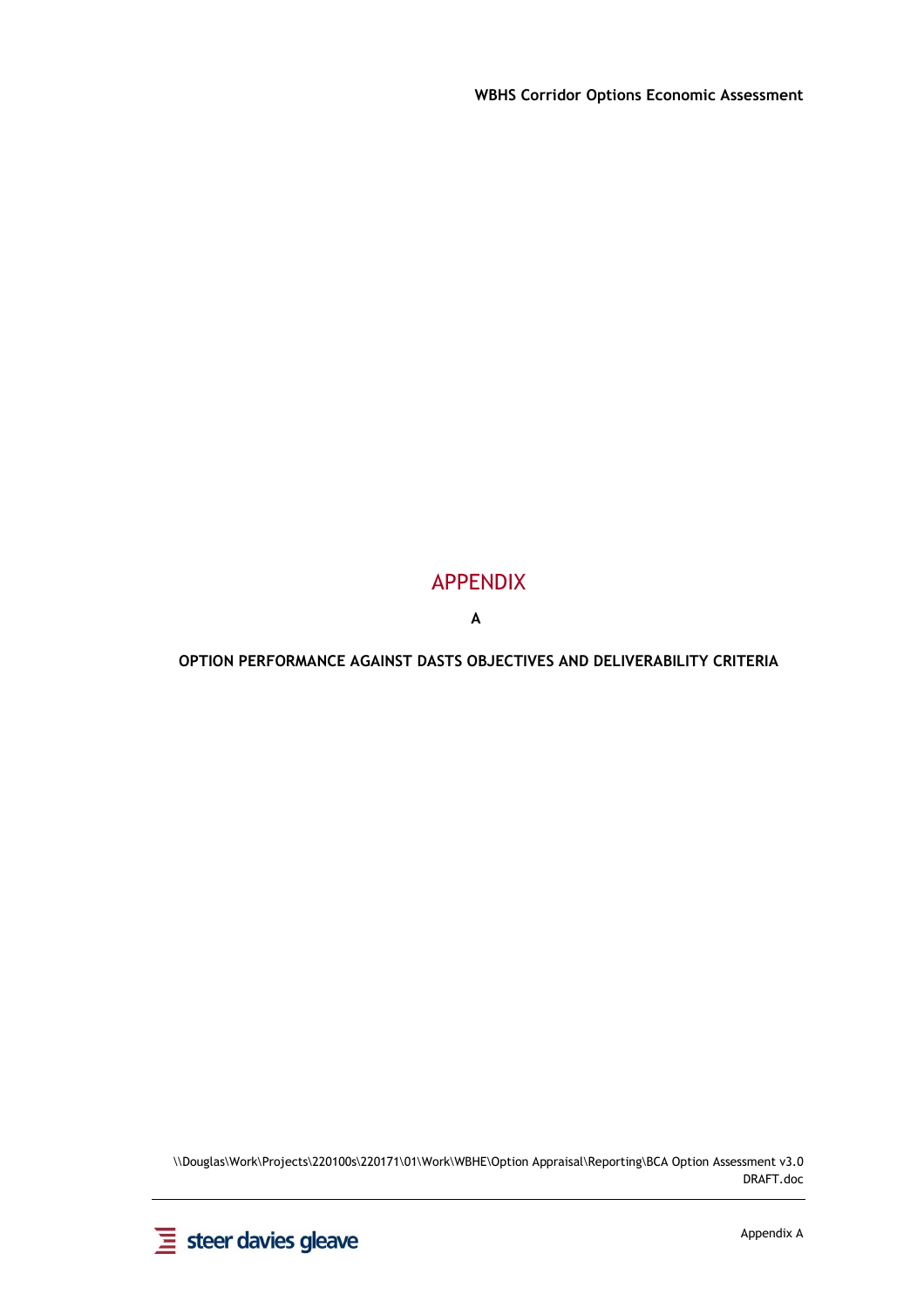### APPENDIX

**A**

**OPTION PERFORMANCE AGAINST DASTS OBJECTIVES AND DELIVERABILITY CRITERIA** 

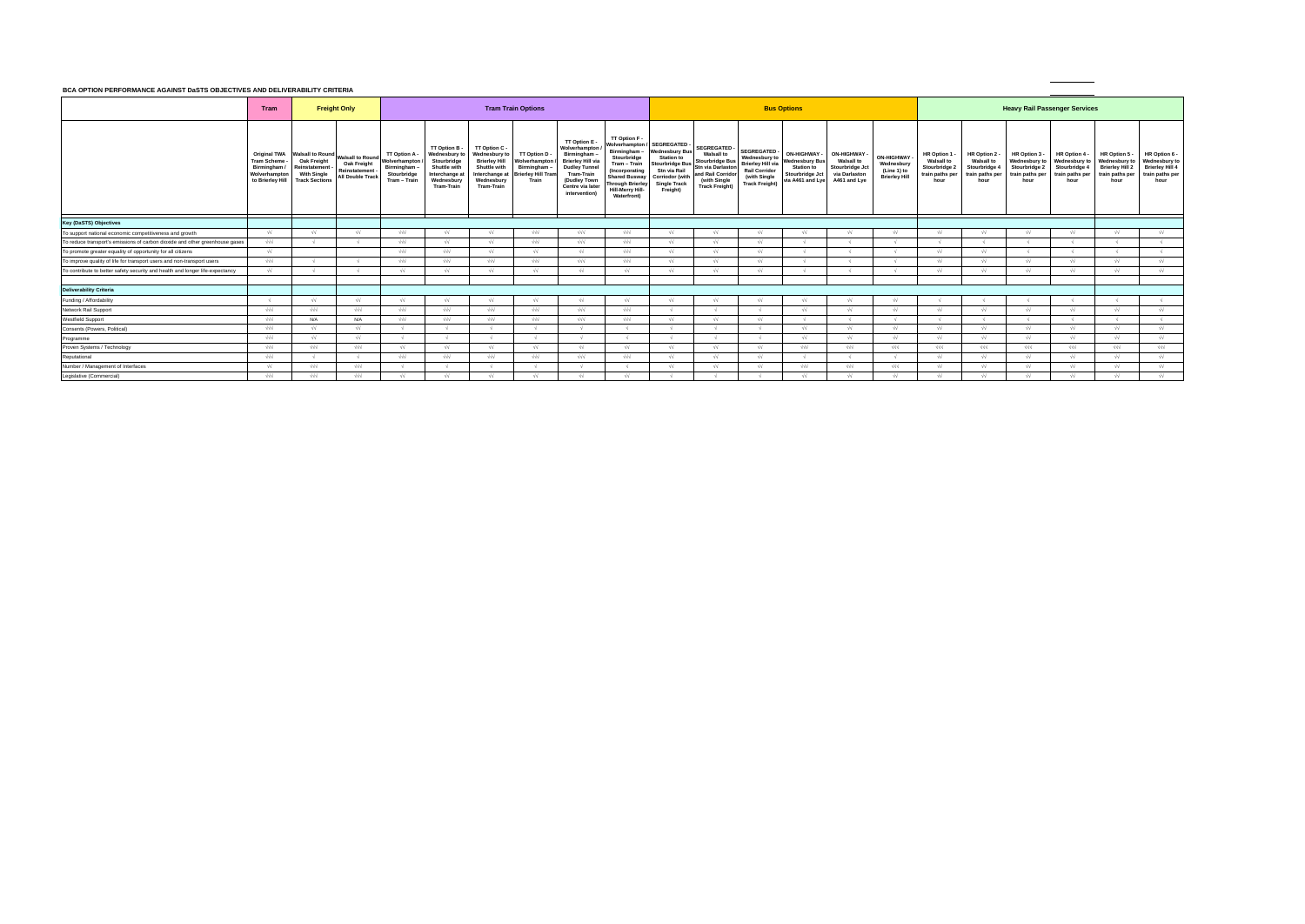#### **BCA OPTION PERFORMANCE AGAINST DaSTS OBJECTIVES AND DELIVERABILITY CRITERIA**

|                                                                               |                                                                     | <b>DUA OF HON FENFONMANCE AGAINST DRSTS ODJECTIVES AND DELIVENABILITT UNITENIA</b>                               |                                                                                    |                                                                              |                                                                                                                   |                                                                                                                          |                                                                                      |                                                                                                                                                                              |                                                                                                                                                                                        |                                                                                                                                                          |                                                                                                                                                      |                                                                                                                    |                                                                                            |                                                                                            |                                                                 |                                                                                   |                                                                                |                                                                          |                                                                          |                                                                                     |                                                                                     |
|-------------------------------------------------------------------------------|---------------------------------------------------------------------|------------------------------------------------------------------------------------------------------------------|------------------------------------------------------------------------------------|------------------------------------------------------------------------------|-------------------------------------------------------------------------------------------------------------------|--------------------------------------------------------------------------------------------------------------------------|--------------------------------------------------------------------------------------|------------------------------------------------------------------------------------------------------------------------------------------------------------------------------|----------------------------------------------------------------------------------------------------------------------------------------------------------------------------------------|----------------------------------------------------------------------------------------------------------------------------------------------------------|------------------------------------------------------------------------------------------------------------------------------------------------------|--------------------------------------------------------------------------------------------------------------------|--------------------------------------------------------------------------------------------|--------------------------------------------------------------------------------------------|-----------------------------------------------------------------|-----------------------------------------------------------------------------------|--------------------------------------------------------------------------------|--------------------------------------------------------------------------|--------------------------------------------------------------------------|-------------------------------------------------------------------------------------|-------------------------------------------------------------------------------------|
|                                                                               | Tram                                                                |                                                                                                                  | <b>Freight Only</b>                                                                |                                                                              | <b>Tram Train Options</b>                                                                                         |                                                                                                                          |                                                                                      |                                                                                                                                                                              | <b>Bus Options</b>                                                                                                                                                                     |                                                                                                                                                          |                                                                                                                                                      |                                                                                                                    | <b>Heavy Rail Passenger Services</b>                                                       |                                                                                            |                                                                 |                                                                                   |                                                                                |                                                                          |                                                                          |                                                                                     |                                                                                     |
|                                                                               | <b>Original TWA</b><br>Tram Scheme -<br>Birmingham<br>Wolverhampton | <b>Walsall to Round</b><br>Oak Freight<br>Reinstatement<br><b>With Single</b><br>to Brierley Hill Track Sections | <b>Walsall to Round</b><br>Oak Freight<br>Reinstatement<br><b>All Double Track</b> | TT Option A.<br>Wolverhampton<br>Birmingham -<br>Stourbridge<br>Tram - Train | TT Option B -<br>Wednesbury to<br>Stourbridge<br>Shuttle with<br>Interchange a<br>Wednesbury<br><b>Tram-Train</b> | TT Option C -<br>Wednesbury to<br><b>Brierley Hill</b><br><b>Shuttle with</b><br>Interchange<br>Wednesbury<br>Tram-Train | TT Option D -<br>Wolverhampton<br>Birmingham -<br><b>Brierley Hill Tran</b><br>Train | TT Option E -<br>Wolverhampton<br>Birmingham -<br><b>Brierley Hill via</b><br><b>Dudley Tunnel</b><br><b>Tram-Train</b><br>(Dudley Town<br>Centre via later<br>intervention) | TT Option F -<br>Wolverhampton<br>Birmingham -<br>Stourbridge<br>Tram – Train<br>(Incorporating<br><b>Shared Busway</b><br>Through Brierley<br>Hill-Merry Hill-<br><b>Waterfront</b> ) | <b>SEGREGATED</b><br><b>Wednesbury Bus</b><br><b>Station to</b><br>Stourbridge Bus<br>Stn via Rail<br>Corriodor (with<br><b>Single Track</b><br>Freight) | <b>SEGREGATED -</b><br><b>Walsall to</b><br><b>Stourbridge Bus</b><br>tn via Darlaston<br>and Rail Corridor<br>(with Single<br><b>Track Freight)</b> | SEGREGATED-<br>Wednesbury to<br>Brierley Hill via<br><b>Rail Corridor</b><br>(with Single<br><b>Track Freight)</b> | ON-HIGHWAY -<br>Vednesbury Bus<br><b>Station to</b><br>Stourbridge Jct<br>via A461 and Lye | <b>ON-HIGHWAY</b><br><b>Walsall to</b><br>Stourbridge Jct<br>via Darlaston<br>A461 and Lye | ON-HIGHWAY<br>Wednesbury<br>(Line 1) to<br><b>Brierley Hill</b> | <b>HR Option</b><br><b>Walsall to</b><br>Stourbridge 2<br>train paths per<br>hour | HR Option 2 -<br><b>Walsall to</b><br>Stourbridge 4<br>train paths per<br>hour | HR Option 3<br>Wednesbury to<br>Stourbridge 2<br>train paths per<br>hour | HR Option 4<br>Wednesbury to<br>Stourbridge 4<br>train paths per<br>hour | HR Option 5 -<br>Wednesbury to<br><b>Brierley Hill 2</b><br>train paths per<br>hour | HR Option 6 -<br>Wednesbury to<br><b>Brierley Hill 4</b><br>train paths per<br>hour |
| Key (DaSTS) Objectives                                                        |                                                                     |                                                                                                                  |                                                                                    |                                                                              |                                                                                                                   |                                                                                                                          |                                                                                      |                                                                                                                                                                              |                                                                                                                                                                                        |                                                                                                                                                          |                                                                                                                                                      |                                                                                                                    |                                                                                            |                                                                                            |                                                                 |                                                                                   |                                                                                |                                                                          |                                                                          |                                                                                     |                                                                                     |
| To support national economic competitiveness and growth                       | $\sqrt{2}$                                                          | $\sqrt{2}$                                                                                                       | งง                                                                                 | $\sqrt{\sqrt{}}$                                                             | $\sqrt{2}$                                                                                                        | $\sqrt{2}$                                                                                                               | $\sqrt{d}$                                                                           | $\sqrt{\sqrt{}}$                                                                                                                                                             | $\sqrt{\sqrt{}}$                                                                                                                                                                       | $\sqrt{2}$                                                                                                                                               | $\sqrt{2}$                                                                                                                                           | $\sqrt{2}$                                                                                                         | $\sqrt{2}$                                                                                 | $\sqrt{2}$                                                                                 | $\sqrt{2}$                                                      | $\sqrt{2}$                                                                        | $\sqrt{2}$                                                                     | $\sqrt{2}$                                                               | $\sqrt{2}$                                                               | $\sqrt{2}$                                                                          | $\sqrt{2}$                                                                          |
| To reduce transport's emissions of carbon dioxide and other greenhouse gases  | $\sqrt{\sqrt{}}$                                                    |                                                                                                                  |                                                                                    | $\sqrt{2}$                                                                   | $\sqrt{2}$                                                                                                        | $\sqrt{2}$                                                                                                               | $\sqrt{v}$                                                                           | $\sqrt{2}$                                                                                                                                                                   | $\sqrt{}\sqrt{}$                                                                                                                                                                       | $\sqrt{2}$                                                                                                                                               | $\sqrt{2}$                                                                                                                                           | $\sqrt{2}$                                                                                                         |                                                                                            |                                                                                            |                                                                 |                                                                                   |                                                                                |                                                                          |                                                                          |                                                                                     |                                                                                     |
| To promote greater equality of opportunity for all citizens                   | $\sqrt{2}$                                                          |                                                                                                                  |                                                                                    | $\sqrt{2}$                                                                   | $\sqrt{\sqrt{}}$                                                                                                  | $\sqrt{2}$                                                                                                               | $\sqrt{2}$                                                                           | $\sqrt{2}$                                                                                                                                                                   | $\sqrt{}\sqrt{}$                                                                                                                                                                       | $\sqrt{2}$                                                                                                                                               | $\sqrt{2}$                                                                                                                                           | $\sqrt{2}$                                                                                                         |                                                                                            |                                                                                            |                                                                 | $\sqrt{2}$                                                                        | $\sqrt{2}$                                                                     |                                                                          |                                                                          |                                                                                     |                                                                                     |
| To improve quality of life for transport users and non-transport users        | $\sqrt{\sqrt{}}$                                                    |                                                                                                                  |                                                                                    | $\sqrt{\sqrt{}}$                                                             | $\sqrt{v}$                                                                                                        | $\sqrt{\sqrt{}}$                                                                                                         | $\sqrt{2}$                                                                           | $\sqrt{v}$                                                                                                                                                                   | $\sqrt{\sqrt{}}$                                                                                                                                                                       | $\sqrt{2}$                                                                                                                                               |                                                                                                                                                      |                                                                                                                    |                                                                                            |                                                                                            |                                                                 | $\sqrt{2}$                                                                        | $\sqrt{2}$                                                                     | $\sqrt{2}$                                                               | $\sqrt{2}$                                                               | $\sqrt{2}$                                                                          | $\sqrt{2}$                                                                          |
| To contribute to better safety security and health and longer life-expectancy | $\sqrt{2}$                                                          |                                                                                                                  |                                                                                    | $\sqrt{v}$                                                                   | $\sqrt{2}$                                                                                                        | $\sqrt{2}$                                                                                                               | $\sqrt{v}$                                                                           | $\sqrt{2}$                                                                                                                                                                   | $\sqrt{2}$                                                                                                                                                                             | $\sqrt{2}$                                                                                                                                               | $\sqrt{v}$                                                                                                                                           | $\sqrt{2}$                                                                                                         |                                                                                            |                                                                                            |                                                                 | $\sqrt{2}$                                                                        | $\sqrt{2}$                                                                     | $\sqrt{2}$                                                               | $\sqrt{2}$                                                               | $\sqrt{2}$                                                                          | $\sqrt{2}$                                                                          |
| <b>Deliverability Criteria</b>                                                |                                                                     |                                                                                                                  |                                                                                    |                                                                              |                                                                                                                   |                                                                                                                          |                                                                                      |                                                                                                                                                                              |                                                                                                                                                                                        |                                                                                                                                                          |                                                                                                                                                      |                                                                                                                    |                                                                                            |                                                                                            |                                                                 |                                                                                   |                                                                                |                                                                          |                                                                          |                                                                                     |                                                                                     |
| Funding / Affordability                                                       |                                                                     | $\sqrt{2}$                                                                                                       | $\sqrt{2}$                                                                         | $\sqrt{2}$                                                                   | $\sqrt{2}$                                                                                                        | $\sqrt{2}$                                                                                                               | $\sqrt{2}$                                                                           | $\sqrt{2}$                                                                                                                                                                   | $\sqrt{2}$                                                                                                                                                                             | $\sqrt{2}$                                                                                                                                               | $\sqrt{2}$                                                                                                                                           |                                                                                                                    | $\sqrt{2}$                                                                                 | $\sqrt{2}$                                                                                 |                                                                 |                                                                                   |                                                                                |                                                                          |                                                                          |                                                                                     |                                                                                     |
| Network Rail Support                                                          | $\sqrt{\sqrt{}}$                                                    | $\sqrt{v}$                                                                                                       | $\sqrt{\sqrt{}}$                                                                   | $\sqrt{\sqrt{}}$                                                             | $\sqrt{}\sqrt{}$                                                                                                  | $\sqrt{\sqrt{}}$                                                                                                         | $\sqrt{}\sqrt{}$                                                                     | $\sqrt{}\sqrt{}$                                                                                                                                                             | $\sqrt{\sqrt{}}$                                                                                                                                                                       |                                                                                                                                                          |                                                                                                                                                      |                                                                                                                    | ₩                                                                                          | $\sqrt{2}$                                                                                 | $\sqrt{2}$                                                      | $\sqrt{2}$                                                                        | $\sqrt{2}$                                                                     | $\sqrt{2}$                                                               | $\sqrt{2}$                                                               | $\sqrt{2}$                                                                          | $\sqrt{2}$                                                                          |
| <b>Westfield Support</b>                                                      | $\sqrt{\sqrt{}}$                                                    | N/A                                                                                                              | N/A                                                                                | $\sqrt{2}$                                                                   | $\sqrt{\sqrt{}}$                                                                                                  | $\sqrt{\sqrt{}}$                                                                                                         | $\sqrt{v}$                                                                           | $\sqrt{}\sqrt{}$                                                                                                                                                             | $\sqrt{}\sqrt{}$                                                                                                                                                                       | $\sqrt{2}$                                                                                                                                               | $\sqrt{2}$                                                                                                                                           | $\sqrt{2}$                                                                                                         |                                                                                            |                                                                                            |                                                                 |                                                                                   |                                                                                |                                                                          |                                                                          |                                                                                     |                                                                                     |
| Consents (Powers, Political)                                                  | $\sqrt{\sqrt{}}$                                                    | $\sqrt{2}$                                                                                                       | $\sqrt{2}$                                                                         |                                                                              |                                                                                                                   |                                                                                                                          |                                                                                      |                                                                                                                                                                              |                                                                                                                                                                                        |                                                                                                                                                          |                                                                                                                                                      |                                                                                                                    | $\sqrt{2}$                                                                                 | $\sqrt{2}$                                                                                 | $\sqrt{2}$                                                      | $\sqrt{2}$                                                                        | $\sqrt{2}$                                                                     | $\sqrt{2}$                                                               | $\sqrt{2}$                                                               | $\sqrt{2}$                                                                          | $\sqrt{2}$                                                                          |
| Programme                                                                     | $\sqrt{\sqrt{}}$                                                    | $\sqrt{2}$                                                                                                       | $\sqrt{2}$                                                                         |                                                                              |                                                                                                                   |                                                                                                                          |                                                                                      |                                                                                                                                                                              |                                                                                                                                                                                        |                                                                                                                                                          |                                                                                                                                                      |                                                                                                                    | $\sqrt{1}$                                                                                 | $\sqrt{2}$                                                                                 | $\sqrt{2}$                                                      | $\sqrt{2}$                                                                        | $\sqrt{2}$                                                                     | $\sqrt{2}$                                                               | $\sqrt{2}$                                                               | $\sqrt{2}$                                                                          | $\sqrt{2}$                                                                          |
| Proven Systems / Technology                                                   | $\sqrt{\sqrt{}}$                                                    | $\sqrt{v}$                                                                                                       | $\sqrt{\sqrt{}}$                                                                   | $\sqrt{2}$                                                                   | $\sqrt{2}$                                                                                                        | $\sqrt{2}$                                                                                                               | $\sqrt{2}$                                                                           | $\sqrt{2}$                                                                                                                                                                   | $\sqrt{2}$                                                                                                                                                                             | $\sqrt{2}$                                                                                                                                               | $\sqrt{2}$                                                                                                                                           | -VV                                                                                                                | $\sqrt{\sqrt{}}$                                                                           | $\sqrt{v}$                                                                                 | $\sqrt{\sqrt{}}$                                                | $\sqrt{}\sqrt{}$                                                                  | $\sqrt{\sqrt{}}$                                                               | $\sqrt{\sqrt{}}$                                                         | $\sqrt{\sqrt{}}$                                                         | $\sqrt{\sqrt{}}$                                                                    | $\sqrt{\sqrt{}}$                                                                    |
| Reputational                                                                  | $\sqrt{\sqrt{}}$                                                    |                                                                                                                  |                                                                                    | $\sqrt{2}$                                                                   | $\sqrt{\sqrt{}}$                                                                                                  | $\sqrt{\sqrt{}}$                                                                                                         | $\sqrt{\sqrt{}}$                                                                     | $\sqrt{}\sqrt{}$                                                                                                                                                             | $\sqrt{\sqrt{}}$                                                                                                                                                                       | $\sqrt{2}$                                                                                                                                               | $\sqrt{2}$                                                                                                                                           | - VV                                                                                                               |                                                                                            |                                                                                            |                                                                 | $\sqrt{2}$                                                                        | $\sqrt{2}$                                                                     | $\sqrt{2}$                                                               | $\sqrt{2}$                                                               | $\sqrt{2}$                                                                          | $\sqrt{2}$                                                                          |
| Number / Management of Interfaces                                             | ₩                                                                   | √√√                                                                                                              | $\sqrt{}\sqrt{}$                                                                   |                                                                              |                                                                                                                   |                                                                                                                          |                                                                                      |                                                                                                                                                                              |                                                                                                                                                                                        | $\sqrt{2}$                                                                                                                                               |                                                                                                                                                      |                                                                                                                    | $\sqrt{\sqrt{}}$                                                                           | $\sqrt{v}$                                                                                 | $\sqrt{\sqrt{}}$                                                | $\sqrt{2}$                                                                        | $\sqrt{2}$                                                                     | $\sqrt{2}$                                                               | $\sqrt{2}$                                                               | $\sqrt{2}$                                                                          | $\sqrt{2}$                                                                          |
| Legislative (Commercial)                                                      | $\sqrt{\sqrt{}}$                                                    | $\sqrt{\sqrt{}}$                                                                                                 | $\sqrt{}\sqrt{}$                                                                   | $\sqrt{2}$                                                                   | $\sqrt{2}$                                                                                                        | $\sqrt{2}$                                                                                                               | $\sqrt{2}$                                                                           | $\sqrt{2}$                                                                                                                                                                   | $\sqrt{2}$                                                                                                                                                                             |                                                                                                                                                          |                                                                                                                                                      |                                                                                                                    | $\sqrt{2}$                                                                                 | $\sqrt{2}$                                                                                 |                                                                 | $\sqrt{2}$                                                                        | $\sqrt{2}$                                                                     | $\sqrt{2}$                                                               | $\sqrt{2}$                                                               | $\sqrt{2}$                                                                          | $\sqrt{2}$                                                                          |